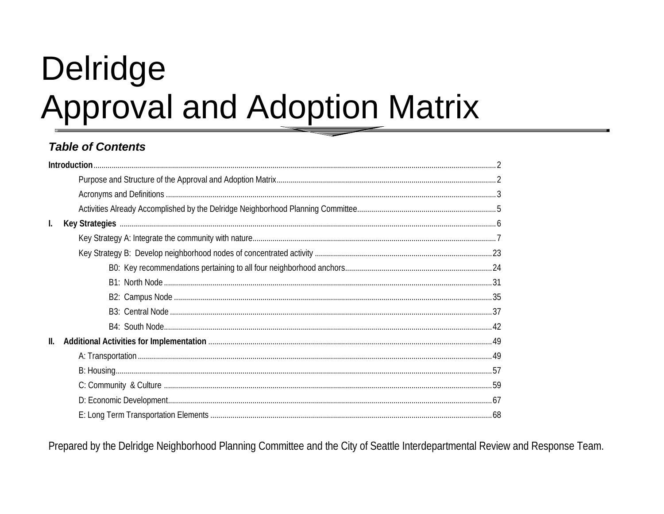# Delridge **Approval and Adoption Matrix**

# **Table of Contents**

|                | Introduction. |
|----------------|---------------|
|                |               |
|                |               |
|                |               |
| $\mathbf{I}$ . |               |
|                |               |
|                |               |
|                |               |
|                |               |
|                |               |
|                |               |
|                |               |
| II.            |               |
|                |               |
|                |               |
|                |               |
|                |               |
|                |               |

Prepared by the Delridge Neighborhood Planning Committee and the City of Seattle Interdepartmental Review and Response Team.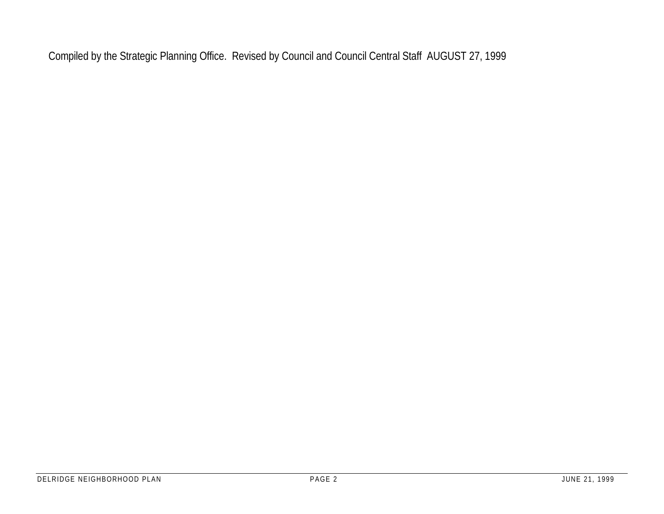Compiled by the Strategic Planning Office. Revised by Council and Council Central Staff AUGUST 27, 1999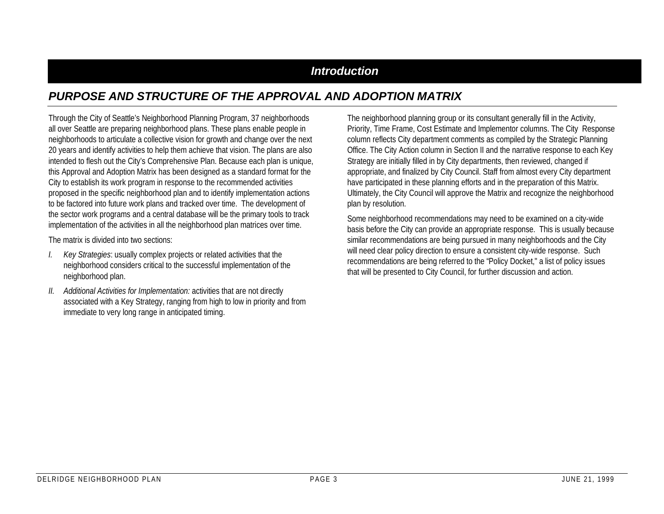## *Introduction*

# *PURPOSE AND STRUCTURE OF THE APPROVAL AND ADOPTION MATRIX*

Through the City of Seattle's Neighborhood Planning Program, 37 neighborhoods all over Seattle are preparing neighborhood plans. These plans enable people in neighborhoods to articulate a collective vision for growth and change over the next 20 years and identify activities to help them achieve that vision. The plans are also intended to flesh out the City's Comprehensive Plan. Because each plan is unique, this Approval and Adoption Matrix has been designed as a standard format for the City to establish its work program in response to the recommended activities proposed in the specific neighborhood plan and to identify implementation actions to be factored into future work plans and tracked over time. The development of the sector work programs and a central database will be the primary tools to track implementation of the activities in all the neighborhood plan matrices over time.

The matrix is divided into two sections:

- *I. Key Strategies*: usually complex projects or related activities that the neighborhood considers critical to the successful implementation of the neighborhood plan.
- *II. Additional Activities for Implementation:* activities that are not directly associated with a Key Strategy, ranging from high to low in priority and from immediate to very long range in anticipated timing.

The neighborhood planning group or its consultant generally fill in the Activity, Priority, Time Frame, Cost Estimate and Implementor columns. The City Response column reflects City department comments as compiled by the Strategic Planning Office. The City Action column in Section II and the narrative response to each Key Strategy are initially filled in by City departments, then reviewed, changed if appropriate, and finalized by City Council. Staff from almost every City department have participated in these planning efforts and in the preparation of this Matrix. Ultimately, the City Council will approve the Matrix and recognize the neighborhood plan by resolution.

Some neighborhood recommendations may need to be examined on a city-wide basis before the City can provide an appropriate response. This is usually because similar recommendations are being pursued in many neighborhoods and the City will need clear policy direction to ensure a consistent city-wide response. Such recommendations are being referred to the "Policy Docket," a list of policy issues that will be presented to City Council, for further discussion and action.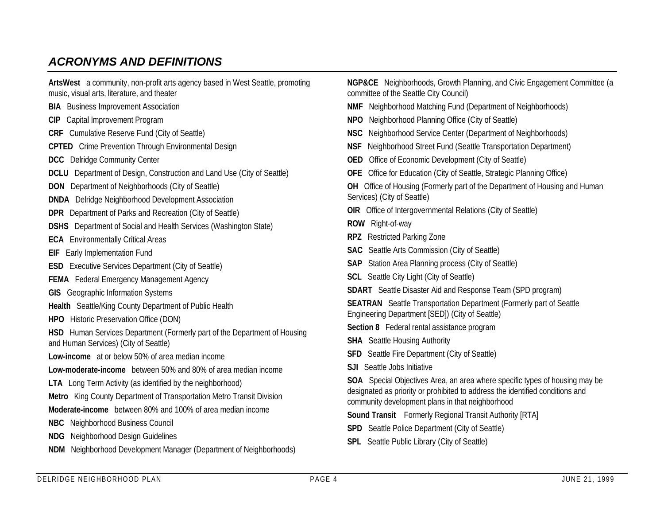# *ACRONYMS AND DEFINITIONS*

| ArtsWest a community, non-profit arts agency based in West Seattle, promoting |
|-------------------------------------------------------------------------------|
| music, visual arts, literature, and theater                                   |
| <b>BIA</b> Business Improvement Association                                   |
| <b>CIP</b> Capital Improvement Program                                        |
| <b>CRF</b> Cumulative Reserve Fund (City of Seattle)                          |
| <b>CPTED</b> Crime Prevention Through Environmental Design                    |
| <b>DCC</b> Delridge Community Center                                          |
| <b>DCLU</b> Department of Design, Construction and Land Use (City of Seattle) |
| <b>DON</b> Department of Neighborhoods (City of Seattle)                      |
| <b>DNDA</b> Delridge Neighborhood Development Association                     |
| <b>DPR</b> Department of Parks and Recreation (City of Seattle)               |
| <b>DSHS</b> Department of Social and Health Services (Washington State)       |
| <b>ECA</b> Environmentally Critical Areas                                     |
| <b>EIF</b> Early Implementation Fund                                          |
| <b>ESD</b> Executive Services Department (City of Seattle)                    |
| <b>FEMA</b> Federal Emergency Management Agency                               |
| <b>GIS</b> Geographic Information Systems                                     |
| Health Seattle/King County Department of Public Health                        |
| <b>HPO</b> Historic Preservation Office (DON)                                 |
| HSD Human Services Department (Formerly part of the Department of Housing     |
| and Human Services) (City of Seattle)                                         |
| Low-income at or below 50% of area median income                              |
| Low-moderate-income between 50% and 80% of area median income                 |
| <b>LTA</b> Long Term Activity (as identified by the neighborhood)             |
| Metro King County Department of Transportation Metro Transit Division         |
| Moderate-income between 80% and 100% of area median income                    |
| <b>NBC</b> Neighborhood Business Council                                      |
| Neighborhood Design Guidelines<br><b>NDG</b>                                  |
| Neighborhood Development Manager (Department of Neighborhoods)<br><b>NDM</b>  |

committee of the Seattle City Council) **NMF** Neighborhood Matching Fund (Department of Neighborhoods) **NPO** Neighborhood Planning Office (City of Seattle) **NSC** Neighborhood Service Center (Department of Neighborhoods) **NSF** Neighborhood Street Fund (Seattle Transportation Department) **OED** Office of Economic Development (City of Seattle) **OFE** Office for Education (City of Seattle, Strategic Planning Office)

**NGP&CE** Neighborhoods, Growth Planning, and Civic Engagement Committee (a

**OH** Office of Housing (Formerly part of the Department of Housing and Human Services) (City of Seattle)

**OIR** Office of Intergovernmental Relations (City of Seattle)

**ROW** Right-of-way

- **RPZ** Restricted Parking Zone
- **SAC** Seattle Arts Commission (City of Seattle)
- **SAP** Station Area Planning process (City of Seattle)
- **SCL** Seattle City Light (City of Seattle)
- **SDART** Seattle Disaster Aid and Response Team (SPD program)

**SEATRAN** Seattle Transportation Department (Formerly part of Seattle Engineering Department [SED]) (City of Seattle)

**Section 8** Federal rental assistance program

**SHA** Seattle Housing Authority

- **SFD** Seattle Fire Department (City of Seattle)
- **SJI** Seattle Jobs Initiative

**SOA** Special Objectives Area, an area where specific types of housing may be designated as priority or prohibited to address the identified conditions and community development plans in that neighborhood

- **Sound Transit** Formerly Regional Transit Authority [RTA]
- **SPD** Seattle Police Department (City of Seattle)
- **SPL** Seattle Public Library (City of Seattle)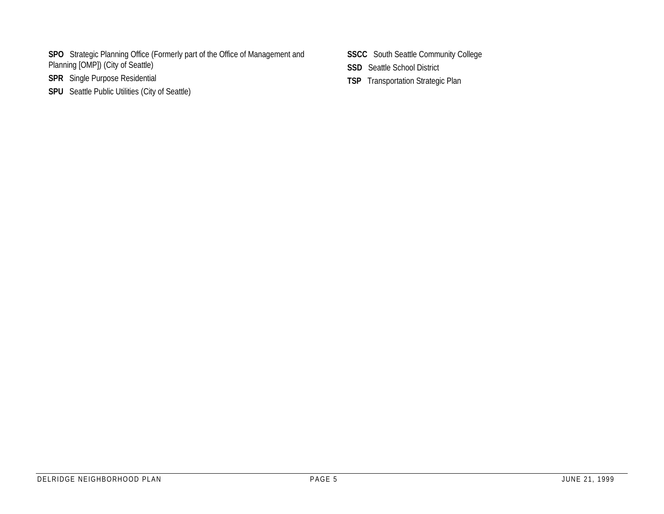- **SPO** Strategic Planning Office (Formerly part of the Office of Management and Planning [OMP]) (City of Seattle)
- **SPR** Single Purpose Residential
- **SPU** Seattle Public Utilities (City of Seattle)
- **SSCC** South Seattle Community College
- **SSD** Seattle School District
- **TSP** Transportation Strategic Plan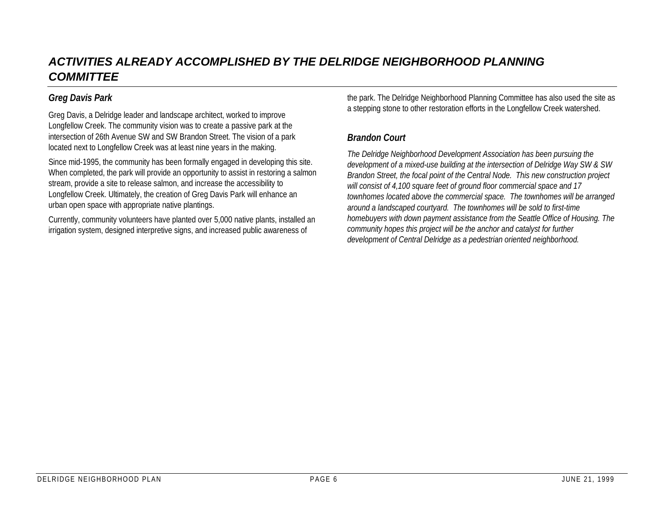# *ACTIVITIES ALREADY ACCOMPLISHED BY THE DELRIDGE NEIGHBORHOOD PLANNING COMMITTEE*

#### *Greg Davis Park*

Greg Davis, a Delridge leader and landscape architect, worked to improve Longfellow Creek. The community vision was to create a passive park at the intersection of 26th Avenue SW and SW Brandon Street. The vision of a park located next to Longfellow Creek was at least nine years in the making.

Since mid-1995, the community has been formally engaged in developing this site. When completed, the park will provide an opportunity to assist in restoring a salmon stream, provide a site to release salmon, and increase the accessibility to Longfellow Creek. Ultimately, the creation of Greg Davis Park will enhance an urban open space with appropriate native plantings.

Currently, community volunteers have planted over 5,000 native plants, installed an irrigation system, designed interpretive signs, and increased public awareness of

the park. The Delridge Neighborhood Planning Committee has also used the site as a stepping stone to other restoration efforts in the Longfellow Creek watershed.

#### *Brandon Court*

*The Delridge Neighborhood Development Association has been pursuing the development of a mixed-use building at the intersection of Delridge Way SW & SW Brandon Street, the focal point of the Central Node. This new construction project will consist of 4,100 square feet of ground floor commercial space and 17 townhomes located above the commercial space. The townhomes will be arranged around a landscaped courtyard. The townhomes will be sold to first-time homebuyers with down payment assistance from the Seattle Office of Housing. The community hopes this project will be the anchor and catalyst for further development of Central Delridge as a pedestrian oriented neighborhood.*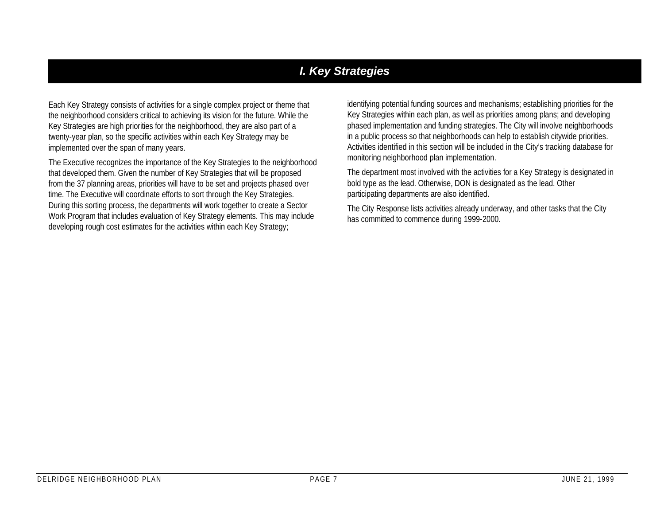# *I. Key Strategies*

Each Key Strategy consists of activities for a single complex project or theme that the neighborhood considers critical to achieving its vision for the future. While the Key Strategies are high priorities for the neighborhood, they are also part of a twenty-year plan, so the specific activities within each Key Strategy may be implemented over the span of many years.

The Executive recognizes the importance of the Key Strategies to the neighborhood that developed them. Given the number of Key Strategies that will be proposed from the 37 planning areas, priorities will have to be set and projects phased over time. The Executive will coordinate efforts to sort through the Key Strategies. During this sorting process, the departments will work together to create a Sector Work Program that includes evaluation of Key Strategy elements. This may include developing rough cost estimates for the activities within each Key Strategy;

identifying potential funding sources and mechanisms; establishing priorities for the Key Strategies within each plan, as well as priorities among plans; and developing phased implementation and funding strategies. The City will involve neighborhoods in a public process so that neighborhoods can help to establish citywide priorities. Activities identified in this section will be included in the City's tracking database for monitoring neighborhood plan implementation.

The department most involved with the activities for a Key Strategy is designated in bold type as the lead. Otherwise, DON is designated as the lead. Other participating departments are also identified.

The City Response lists activities already underway, and other tasks that the City has committed to commence during 1999-2000.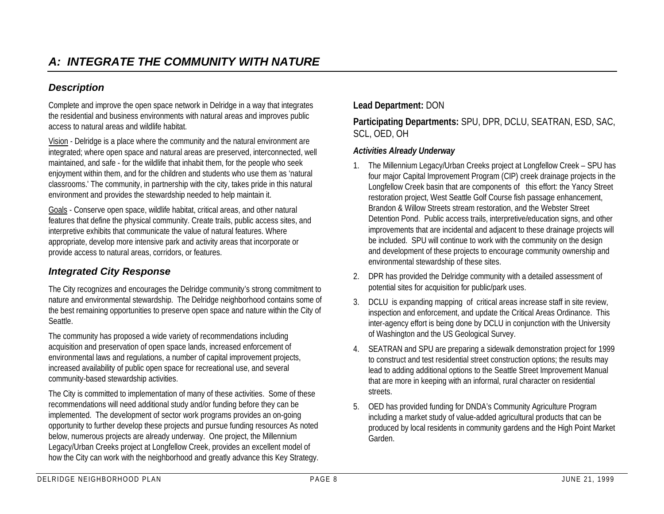### *Description*

Complete and improve the open space network in Delridge in a way that integrates the residential and business environments with natural areas and improves public access to natural areas and wildlife habitat.

Vision - Delridge is a place where the community and the natural environment are integrated; where open space and natural areas are preserved, interconnected, well maintained, and safe - for the wildlife that inhabit them, for the people who seek enjoyment within them, and for the children and students who use them as 'natural classrooms.' The community, in partnership with the city, takes pride in this natural environment and provides the stewardship needed to help maintain it.

Goals - Conserve open space, wildlife habitat, critical areas, and other natural features that define the physical community. Create trails, public access sites, and interpretive exhibits that communicate the value of natural features. Where appropriate, develop more intensive park and activity areas that incorporate or provide access to natural areas, corridors, or features.

#### *Integrated City Response*

The City recognizes and encourages the Delridge community's strong commitment to nature and environmental stewardship. The Delridge neighborhood contains some of the best remaining opportunities to preserve open space and nature within the City of Seattle.

The community has proposed a wide variety of recommendations including acquisition and preservation of open space lands, increased enforcement of environmental laws and regulations, a number of capital improvement projects, increased availability of public open space for recreational use, and several community-based stewardship activities.

The City is committed to implementation of many of these activities. Some of these recommendations will need additional study and/or funding before they can be implemented. The development of sector work programs provides an on-going opportunity to further develop these projects and pursue funding resources As noted below, numerous projects are already underway. One project, the Millennium Legacy/Urban Creeks project at Longfellow Creek, provides an excellent model of how the City can work with the neighborhood and greatly advance this Key Strategy.

#### **Lead Department:** DON

**Participating Departments:** SPU, DPR, DCLU, SEATRAN, ESD, SAC, SCL, OED, OH

#### *Activities Already Underway*

- 1. The Millennium Legacy/Urban Creeks project at Longfellow Creek SPU has four major Capital Improvement Program (CIP) creek drainage projects in the Longfellow Creek basin that are components of this effort: the Yancy Street restoration project, West Seattle Golf Course fish passage enhancement, Brandon & Willow Streets stream restoration, and the Webster Street Detention Pond. Public access trails, interpretive/education signs, and other improvements that are incidental and adjacent to these drainage projects will be included. SPU will continue to work with the community on the design and development of these projects to encourage community ownership and environmental stewardship of these sites.
- 2. DPR has provided the Delridge community with a detailed assessment of potential sites for acquisition for public/park uses.
- 3. DCLU is expanding mapping of critical areas increase staff in site review, inspection and enforcement, and update the Critical Areas Ordinance. This inter-agency effort is being done by DCLU in conjunction with the University of Washington and the US Geological Survey.
- 4. SEATRAN and SPU are preparing a sidewalk demonstration project for 1999 to construct and test residential street construction options; the results may lead to adding additional options to the Seattle Street Improvement Manual that are more in keeping with an informal, rural character on residential streets.
- 5. OED has provided funding for DNDA's Community Agriculture Program including a market study of value-added agricultural products that can be produced by local residents in community gardens and the High Point Market Garden.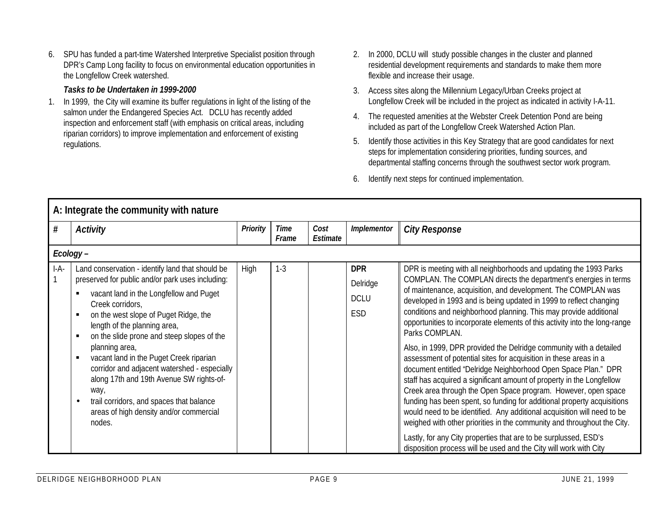6. SPU has funded a part-time Watershed Interpretive Specialist position through DPR's Camp Long facility to focus on environmental education opportunities in the Longfellow Creek watershed.

#### *Tasks to be Undertaken in 1999-2000*

- 1. In 1999, the City will examine its buffer regulations in light of the listing of the salmon under the Endangered Species Act. DCLU has recently added inspection and enforcement staff (with emphasis on critical areas, including riparian corridors) to improve implementation and enforcement of existing regulations.
- 2. In 2000, DCLU will study possible changes in the cluster and planned residential development requirements and standards to make them more flexible and increase their usage.
- 3. Access sites along the Millennium Legacy/Urban Creeks project at Longfellow Creek will be included in the project as indicated in activity I-A-11.
- 4. The requested amenities at the Webster Creek Detention Pond are being included as part of the Longfellow Creek Watershed Action Plan.
- 5. Identify those activities in this Key Strategy that are good candidates for next steps for implementation considering priorities, funding sources, and departmental staffing concerns through the southwest sector work program.
- 6. Identify next steps for continued implementation.

|        | A: Integrate the community with nature                                                                                                                                                                                                                                                                                                                                                                                                                                                                                                                                                        |                 |               |                  |                                                     |                                                                                                                                                                                                                                                                                                                                                                                                                                                                                                                                                                                                                                                                                                                                                                                                                                                                                                                                                                                                                                                                                                                                                                                    |
|--------|-----------------------------------------------------------------------------------------------------------------------------------------------------------------------------------------------------------------------------------------------------------------------------------------------------------------------------------------------------------------------------------------------------------------------------------------------------------------------------------------------------------------------------------------------------------------------------------------------|-----------------|---------------|------------------|-----------------------------------------------------|------------------------------------------------------------------------------------------------------------------------------------------------------------------------------------------------------------------------------------------------------------------------------------------------------------------------------------------------------------------------------------------------------------------------------------------------------------------------------------------------------------------------------------------------------------------------------------------------------------------------------------------------------------------------------------------------------------------------------------------------------------------------------------------------------------------------------------------------------------------------------------------------------------------------------------------------------------------------------------------------------------------------------------------------------------------------------------------------------------------------------------------------------------------------------------|
| #      | <b>Activity</b>                                                                                                                                                                                                                                                                                                                                                                                                                                                                                                                                                                               | <b>Priority</b> | Time<br>Frame | Cost<br>Estimate | Implementor                                         | <b>City Response</b>                                                                                                                                                                                                                                                                                                                                                                                                                                                                                                                                                                                                                                                                                                                                                                                                                                                                                                                                                                                                                                                                                                                                                               |
|        | Ecology-                                                                                                                                                                                                                                                                                                                                                                                                                                                                                                                                                                                      |                 |               |                  |                                                     |                                                                                                                                                                                                                                                                                                                                                                                                                                                                                                                                                                                                                                                                                                                                                                                                                                                                                                                                                                                                                                                                                                                                                                                    |
| $I-A-$ | Land conservation - identify land that should be<br>preserved for public and/or park uses including:<br>vacant land in the Longfellow and Puget<br>п<br>Creek corridors,<br>on the west slope of Puget Ridge, the<br>п<br>length of the planning area,<br>on the slide prone and steep slopes of the<br>п<br>planning area,<br>vacant land in the Puget Creek riparian<br>٠<br>corridor and adjacent watershed - especially<br>along 17th and 19th Avenue SW rights-of-<br>way,<br>trail corridors, and spaces that balance<br>$\bullet$<br>areas of high density and/or commercial<br>nodes. | High            | $1 - 3$       |                  | <b>DPR</b><br>Delridge<br><b>DCLU</b><br><b>ESD</b> | DPR is meeting with all neighborhoods and updating the 1993 Parks<br>COMPLAN. The COMPLAN directs the department's energies in terms<br>of maintenance, acquisition, and development. The COMPLAN was<br>developed in 1993 and is being updated in 1999 to reflect changing<br>conditions and neighborhood planning. This may provide additional<br>opportunities to incorporate elements of this activity into the long-range<br>Parks COMPLAN.<br>Also, in 1999, DPR provided the Delridge community with a detailed<br>assessment of potential sites for acquisition in these areas in a<br>document entitled "Delridge Neighborhood Open Space Plan." DPR<br>staff has acquired a significant amount of property in the Longfellow<br>Creek area through the Open Space program. However, open space<br>funding has been spent, so funding for additional property acquisitions<br>would need to be identified. Any additional acquisition will need to be<br>weighed with other priorities in the community and throughout the City.<br>Lastly, for any City properties that are to be surplussed, ESD's<br>disposition process will be used and the City will work with City |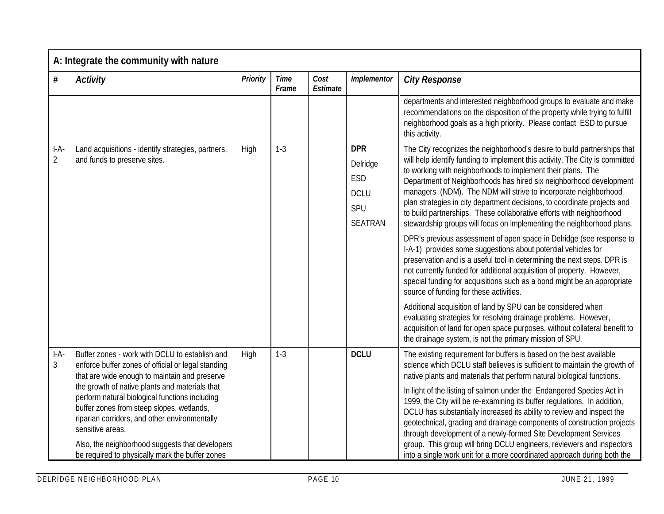|                          | A: Integrate the community with nature                                                                                                                                                                             |          |                      |                  |                                                                              |                                                                                                                                                                                                                                                                                                                                                                                                                                                                                                                                                                                                                                                                                                                                        |
|--------------------------|--------------------------------------------------------------------------------------------------------------------------------------------------------------------------------------------------------------------|----------|----------------------|------------------|------------------------------------------------------------------------------|----------------------------------------------------------------------------------------------------------------------------------------------------------------------------------------------------------------------------------------------------------------------------------------------------------------------------------------------------------------------------------------------------------------------------------------------------------------------------------------------------------------------------------------------------------------------------------------------------------------------------------------------------------------------------------------------------------------------------------------|
| $\#$                     | <b>Activity</b>                                                                                                                                                                                                    | Priority | <b>Time</b><br>Frame | Cost<br>Estimate | Implementor                                                                  | <b>City Response</b>                                                                                                                                                                                                                                                                                                                                                                                                                                                                                                                                                                                                                                                                                                                   |
|                          |                                                                                                                                                                                                                    |          |                      |                  |                                                                              | departments and interested neighborhood groups to evaluate and make<br>recommendations on the disposition of the property while trying to fulfill<br>neighborhood goals as a high priority. Please contact ESD to pursue<br>this activity.                                                                                                                                                                                                                                                                                                                                                                                                                                                                                             |
| I-A-<br>$\overline{2}$   | Land acquisitions - identify strategies, partners,<br>and funds to preserve sites.                                                                                                                                 | High     | $1 - 3$              |                  | <b>DPR</b><br>Delridge<br><b>ESD</b><br><b>DCLU</b><br>SPU<br><b>SEATRAN</b> | The City recognizes the neighborhood's desire to build partnerships that<br>will help identify funding to implement this activity. The City is committed<br>to working with neighborhoods to implement their plans. The<br>Department of Neighborhoods has hired six neighborhood development<br>managers (NDM). The NDM will strive to incorporate neighborhood<br>plan strategies in city department decisions, to coordinate projects and<br>to build partnerships. These collaborative efforts with neighborhood<br>stewardship groups will focus on implementing the neighborhood plans.<br>DPR's previous assessment of open space in Delridge (see response to<br>I-A-1) provides some suggestions about potential vehicles for |
|                          |                                                                                                                                                                                                                    |          |                      |                  |                                                                              | preservation and is a useful tool in determining the next steps. DPR is<br>not currently funded for additional acquisition of property. However,<br>special funding for acquisitions such as a bond might be an appropriate<br>source of funding for these activities.                                                                                                                                                                                                                                                                                                                                                                                                                                                                 |
|                          |                                                                                                                                                                                                                    |          |                      |                  |                                                                              | Additional acquisition of land by SPU can be considered when<br>evaluating strategies for resolving drainage problems. However,<br>acquisition of land for open space purposes, without collateral benefit to<br>the drainage system, is not the primary mission of SPU.                                                                                                                                                                                                                                                                                                                                                                                                                                                               |
| $I-A-$<br>$\mathfrak{Z}$ | Buffer zones - work with DCLU to establish and<br>enforce buffer zones of official or legal standing<br>that are wide enough to maintain and preserve                                                              | High     | $1 - 3$              |                  | <b>DCLU</b>                                                                  | The existing requirement for buffers is based on the best available<br>science which DCLU staff believes is sufficient to maintain the growth of<br>native plants and materials that perform natural biological functions.                                                                                                                                                                                                                                                                                                                                                                                                                                                                                                             |
|                          | the growth of native plants and materials that<br>perform natural biological functions including<br>buffer zones from steep slopes, wetlands,<br>riparian corridors, and other environmentally<br>sensitive areas. |          |                      |                  |                                                                              | In light of the listing of salmon under the Endangered Species Act in<br>1999, the City will be re-examining its buffer regulations. In addition,<br>DCLU has substantially increased its ability to review and inspect the<br>geotechnical, grading and drainage components of construction projects<br>through development of a newly-formed Site Development Services                                                                                                                                                                                                                                                                                                                                                               |
|                          | Also, the neighborhood suggests that developers<br>be required to physically mark the buffer zones                                                                                                                 |          |                      |                  |                                                                              | group. This group will bring DCLU engineers, reviewers and inspectors<br>into a single work unit for a more coordinated approach during both the                                                                                                                                                                                                                                                                                                                                                                                                                                                                                                                                                                                       |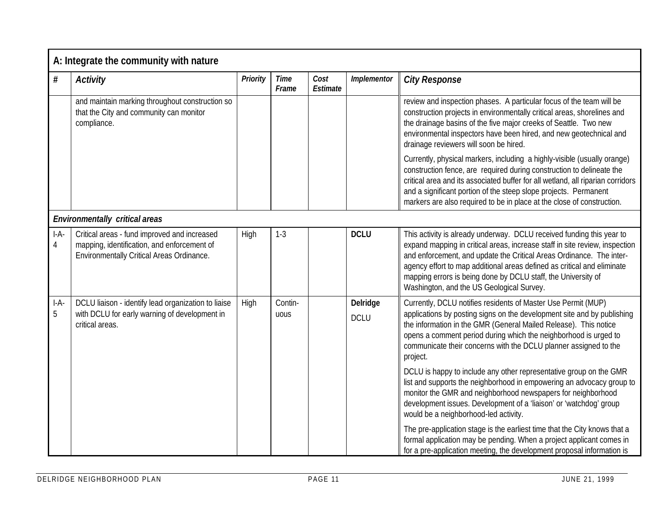|             | A: Integrate the community with nature                                                                                                   |                 |                      |                  |                         |                                                                                                                                                                                                                                                                                                                                                                                                                       |
|-------------|------------------------------------------------------------------------------------------------------------------------------------------|-----------------|----------------------|------------------|-------------------------|-----------------------------------------------------------------------------------------------------------------------------------------------------------------------------------------------------------------------------------------------------------------------------------------------------------------------------------------------------------------------------------------------------------------------|
| $\#$        | <b>Activity</b>                                                                                                                          | <b>Priority</b> | <b>Time</b><br>Frame | Cost<br>Estimate | Implementor             | <b>City Response</b>                                                                                                                                                                                                                                                                                                                                                                                                  |
|             | and maintain marking throughout construction so<br>that the City and community can monitor<br>compliance.                                |                 |                      |                  |                         | review and inspection phases. A particular focus of the team will be<br>construction projects in environmentally critical areas, shorelines and<br>the drainage basins of the five major creeks of Seattle. Two new<br>environmental inspectors have been hired, and new geotechnical and<br>drainage reviewers will soon be hired.                                                                                   |
|             |                                                                                                                                          |                 |                      |                  |                         | Currently, physical markers, including a highly-visible (usually orange)<br>construction fence, are required during construction to delineate the<br>critical area and its associated buffer for all wetland, all riparian corridors<br>and a significant portion of the steep slope projects. Permanent<br>markers are also required to be in place at the close of construction.                                    |
|             | <b>Environmentally critical areas</b>                                                                                                    |                 |                      |                  |                         |                                                                                                                                                                                                                                                                                                                                                                                                                       |
| $I-A-$<br>4 | Critical areas - fund improved and increased<br>mapping, identification, and enforcement of<br>Environmentally Critical Areas Ordinance. | High            | $1-3$                |                  | <b>DCLU</b>             | This activity is already underway. DCLU received funding this year to<br>expand mapping in critical areas, increase staff in site review, inspection<br>and enforcement, and update the Critical Areas Ordinance. The inter-<br>agency effort to map additional areas defined as critical and eliminate<br>mapping errors is being done by DCLU staff, the University of<br>Washington, and the US Geological Survey. |
| $I-A-$<br>5 | DCLU liaison - identify lead organization to liaise<br>with DCLU for early warning of development in<br>critical areas.                  | High            | Contin-<br>uous      |                  | Delridge<br><b>DCLU</b> | Currently, DCLU notifies residents of Master Use Permit (MUP)<br>applications by posting signs on the development site and by publishing<br>the information in the GMR (General Mailed Release). This notice<br>opens a comment period during which the neighborhood is urged to<br>communicate their concerns with the DCLU planner assigned to the<br>project.                                                      |
|             |                                                                                                                                          |                 |                      |                  |                         | DCLU is happy to include any other representative group on the GMR<br>list and supports the neighborhood in empowering an advocacy group to<br>monitor the GMR and neighborhood newspapers for neighborhood<br>development issues. Development of a 'liaison' or 'watchdog' group<br>would be a neighborhood-led activity.                                                                                            |
|             |                                                                                                                                          |                 |                      |                  |                         | The pre-application stage is the earliest time that the City knows that a<br>formal application may be pending. When a project applicant comes in<br>for a pre-application meeting, the development proposal information is                                                                                                                                                                                           |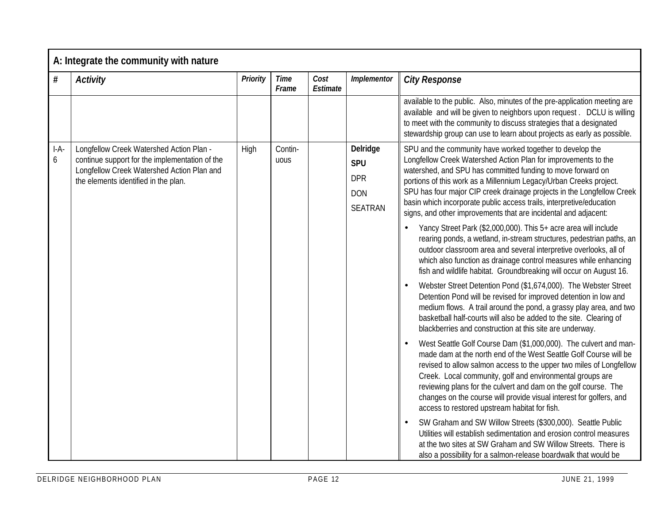|             | A: Integrate the community with nature                                                                                                                                           |                 |                      |                  |                                                                      |                                                                                                                                                                                                                                                                                                                                                                                                                                                                                                                                                                                                                                                                                                                                                                                                                                                                                                                                                                                                                                                                                                                                                                                                                                                                                                                                                                                                                                                                                                                                                                                                                                                                                                                                                                                                                                                                                                                                                  |
|-------------|----------------------------------------------------------------------------------------------------------------------------------------------------------------------------------|-----------------|----------------------|------------------|----------------------------------------------------------------------|--------------------------------------------------------------------------------------------------------------------------------------------------------------------------------------------------------------------------------------------------------------------------------------------------------------------------------------------------------------------------------------------------------------------------------------------------------------------------------------------------------------------------------------------------------------------------------------------------------------------------------------------------------------------------------------------------------------------------------------------------------------------------------------------------------------------------------------------------------------------------------------------------------------------------------------------------------------------------------------------------------------------------------------------------------------------------------------------------------------------------------------------------------------------------------------------------------------------------------------------------------------------------------------------------------------------------------------------------------------------------------------------------------------------------------------------------------------------------------------------------------------------------------------------------------------------------------------------------------------------------------------------------------------------------------------------------------------------------------------------------------------------------------------------------------------------------------------------------------------------------------------------------------------------------------------------------|
| #           | <b>Activity</b>                                                                                                                                                                  | <b>Priority</b> | <b>Time</b><br>Frame | Cost<br>Estimate | Implementor                                                          | <b>City Response</b>                                                                                                                                                                                                                                                                                                                                                                                                                                                                                                                                                                                                                                                                                                                                                                                                                                                                                                                                                                                                                                                                                                                                                                                                                                                                                                                                                                                                                                                                                                                                                                                                                                                                                                                                                                                                                                                                                                                             |
|             |                                                                                                                                                                                  |                 |                      |                  |                                                                      | available to the public. Also, minutes of the pre-application meeting are<br>available and will be given to neighbors upon request. DCLU is willing<br>to meet with the community to discuss strategies that a designated<br>stewardship group can use to learn about projects as early as possible.                                                                                                                                                                                                                                                                                                                                                                                                                                                                                                                                                                                                                                                                                                                                                                                                                                                                                                                                                                                                                                                                                                                                                                                                                                                                                                                                                                                                                                                                                                                                                                                                                                             |
| $I-A-$<br>6 | Longfellow Creek Watershed Action Plan -<br>continue support for the implementation of the<br>Longfellow Creek Watershed Action Plan and<br>the elements identified in the plan. | High            | Contin-<br>uous      |                  | Delridge<br><b>SPU</b><br><b>DPR</b><br><b>DON</b><br><b>SEATRAN</b> | SPU and the community have worked together to develop the<br>Longfellow Creek Watershed Action Plan for improvements to the<br>watershed, and SPU has committed funding to move forward on<br>portions of this work as a Millennium Legacy/Urban Creeks project.<br>SPU has four major CIP creek drainage projects in the Longfellow Creek<br>basin which incorporate public access trails, interpretive/education<br>signs, and other improvements that are incidental and adjacent:<br>Yancy Street Park (\$2,000,000). This 5+ acre area will include<br>rearing ponds, a wetland, in-stream structures, pedestrian paths, an<br>outdoor classroom area and several interpretive overlooks, all of<br>which also function as drainage control measures while enhancing<br>fish and wildlife habitat. Groundbreaking will occur on August 16.<br>Webster Street Detention Pond (\$1,674,000). The Webster Street<br>Detention Pond will be revised for improved detention in low and<br>medium flows. A trail around the pond, a grassy play area, and two<br>basketball half-courts will also be added to the site. Clearing of<br>blackberries and construction at this site are underway.<br>West Seattle Golf Course Dam (\$1,000,000). The culvert and man-<br>made dam at the north end of the West Seattle Golf Course will be<br>revised to allow salmon access to the upper two miles of Longfellow<br>Creek. Local community, golf and environmental groups are<br>reviewing plans for the culvert and dam on the golf course. The<br>changes on the course will provide visual interest for golfers, and<br>access to restored upstream habitat for fish.<br>SW Graham and SW Willow Streets (\$300,000). Seattle Public<br>Utilities will establish sedimentation and erosion control measures<br>at the two sites at SW Graham and SW Willow Streets. There is<br>also a possibility for a salmon-release boardwalk that would be |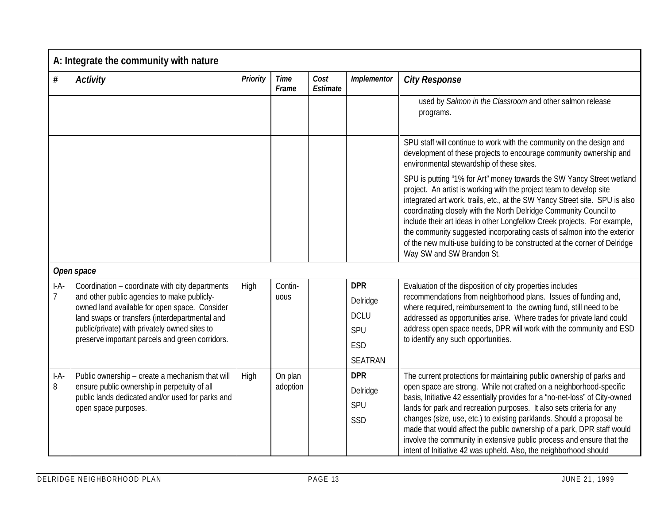|             | A: Integrate the community with nature                                                                                                                                                                                                                                                                |          |                      |                  |                                                                       |                                                                                                                                                                                                                                                                                                                                                                                                                                                                                                                                                                                                       |
|-------------|-------------------------------------------------------------------------------------------------------------------------------------------------------------------------------------------------------------------------------------------------------------------------------------------------------|----------|----------------------|------------------|-----------------------------------------------------------------------|-------------------------------------------------------------------------------------------------------------------------------------------------------------------------------------------------------------------------------------------------------------------------------------------------------------------------------------------------------------------------------------------------------------------------------------------------------------------------------------------------------------------------------------------------------------------------------------------------------|
| $\#$        | <b>Activity</b>                                                                                                                                                                                                                                                                                       | Priority | <b>Time</b><br>Frame | Cost<br>Estimate | Implementor                                                           | <b>City Response</b>                                                                                                                                                                                                                                                                                                                                                                                                                                                                                                                                                                                  |
|             |                                                                                                                                                                                                                                                                                                       |          |                      |                  |                                                                       | used by Salmon in the Classroom and other salmon release<br>programs.                                                                                                                                                                                                                                                                                                                                                                                                                                                                                                                                 |
|             |                                                                                                                                                                                                                                                                                                       |          |                      |                  |                                                                       | SPU staff will continue to work with the community on the design and<br>development of these projects to encourage community ownership and<br>environmental stewardship of these sites.                                                                                                                                                                                                                                                                                                                                                                                                               |
|             |                                                                                                                                                                                                                                                                                                       |          |                      |                  |                                                                       | SPU is putting "1% for Art" money towards the SW Yancy Street wetland<br>project. An artist is working with the project team to develop site<br>integrated art work, trails, etc., at the SW Yancy Street site. SPU is also<br>coordinating closely with the North Delridge Community Council to<br>include their art ideas in other Longfellow Creek projects. For example,<br>the community suggested incorporating casts of salmon into the exterior<br>of the new multi-use building to be constructed at the corner of Delridge<br>Way SW and SW Brandon St.                                     |
|             | Open space                                                                                                                                                                                                                                                                                            |          |                      |                  |                                                                       |                                                                                                                                                                                                                                                                                                                                                                                                                                                                                                                                                                                                       |
| $I-A-$      | Coordination - coordinate with city departments<br>and other public agencies to make publicly-<br>owned land available for open space. Consider<br>land swaps or transfers (interdepartmental and<br>public/private) with privately owned sites to<br>preserve important parcels and green corridors. | High     | Contin-<br>uous      |                  | <b>DPR</b><br>Delridge<br><b>DCLU</b><br>SPU<br>ESD<br><b>SEATRAN</b> | Evaluation of the disposition of city properties includes<br>recommendations from neighborhood plans. Issues of funding and,<br>where required, reimbursement to the owning fund, still need to be<br>addressed as opportunities arise. Where trades for private land could<br>address open space needs, DPR will work with the community and ESD<br>to identify any such opportunities.                                                                                                                                                                                                              |
| $I-A-$<br>8 | Public ownership - create a mechanism that will<br>ensure public ownership in perpetuity of all<br>public lands dedicated and/or used for parks and<br>open space purposes.                                                                                                                           | High     | On plan<br>adoption  |                  | <b>DPR</b><br>Delridge<br>SPU<br>SSD                                  | The current protections for maintaining public ownership of parks and<br>open space are strong. While not crafted on a neighborhood-specific<br>basis, Initiative 42 essentially provides for a 'no-net-loss" of City-owned<br>lands for park and recreation purposes. It also sets criteria for any<br>changes (size, use, etc.) to existing parklands. Should a proposal be<br>made that would affect the public ownership of a park, DPR staff would<br>involve the community in extensive public process and ensure that the<br>intent of Initiative 42 was upheld. Also, the neighborhood should |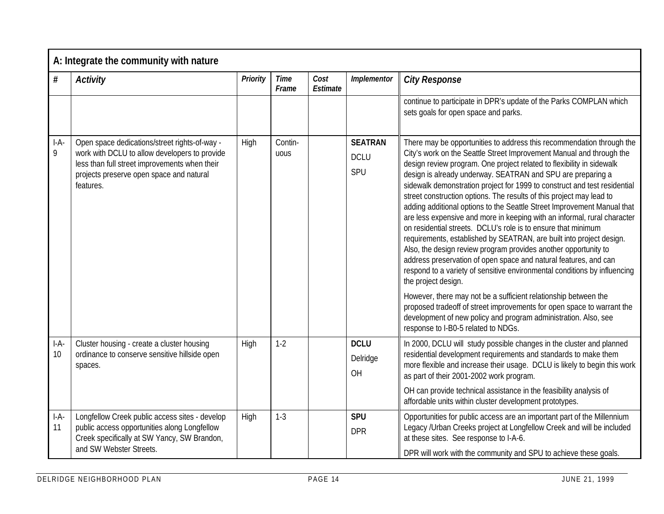|              | A: Integrate the community with nature                                                                                                                                                                   |                 |                      |                  |                                      |                                                                                                                                                                                                                                                                                                                                                                                                                                                                                                                                                                                                                                                                                                                                                                                                                                                                                                                                                                                                                                                                                                                                    |
|--------------|----------------------------------------------------------------------------------------------------------------------------------------------------------------------------------------------------------|-----------------|----------------------|------------------|--------------------------------------|------------------------------------------------------------------------------------------------------------------------------------------------------------------------------------------------------------------------------------------------------------------------------------------------------------------------------------------------------------------------------------------------------------------------------------------------------------------------------------------------------------------------------------------------------------------------------------------------------------------------------------------------------------------------------------------------------------------------------------------------------------------------------------------------------------------------------------------------------------------------------------------------------------------------------------------------------------------------------------------------------------------------------------------------------------------------------------------------------------------------------------|
| $\#$         | <b>Activity</b>                                                                                                                                                                                          | <b>Priority</b> | <b>Time</b><br>Frame | Cost<br>Estimate | Implementor                          | <b>City Response</b>                                                                                                                                                                                                                                                                                                                                                                                                                                                                                                                                                                                                                                                                                                                                                                                                                                                                                                                                                                                                                                                                                                               |
|              |                                                                                                                                                                                                          |                 |                      |                  |                                      | continue to participate in DPR's update of the Parks COMPLAN which<br>sets goals for open space and parks.                                                                                                                                                                                                                                                                                                                                                                                                                                                                                                                                                                                                                                                                                                                                                                                                                                                                                                                                                                                                                         |
| $I-A-$<br>9  | Open space dedications/street rights-of-way -<br>work with DCLU to allow developers to provide<br>less than full street improvements when their<br>projects preserve open space and natural<br>features. | High            | Contin-<br>uous      |                  | <b>SEATRAN</b><br><b>DCLU</b><br>SPU | There may be opportunities to address this recommendation through the<br>City's work on the Seattle Street Improvement Manual and through the<br>design review program. One project related to flexibility in sidewalk<br>design is already underway. SEATRAN and SPU are preparing a<br>sidewalk demonstration project for 1999 to construct and test residential<br>street construction options. The results of this project may lead to<br>adding additional options to the Seattle Street Improvement Manual that<br>are less expensive and more in keeping with an informal, rural character<br>on residential streets. DCLU's role is to ensure that minimum<br>requirements, established by SEATRAN, are built into project design.<br>Also, the design review program provides another opportunity to<br>address preservation of open space and natural features, and can<br>respond to a variety of sensitive environmental conditions by influencing<br>the project design.<br>However, there may not be a sufficient relationship between the<br>proposed tradeoff of street improvements for open space to warrant the |
|              |                                                                                                                                                                                                          |                 |                      |                  |                                      | development of new policy and program administration. Also, see<br>response to I-B0-5 related to NDGs.                                                                                                                                                                                                                                                                                                                                                                                                                                                                                                                                                                                                                                                                                                                                                                                                                                                                                                                                                                                                                             |
| $I-A-$<br>10 | Cluster housing - create a cluster housing<br>ordinance to conserve sensitive hillside open<br>spaces.                                                                                                   | High            | $1-2$                |                  | <b>DCLU</b><br>Delridge<br>OH        | In 2000, DCLU will study possible changes in the cluster and planned<br>residential development requirements and standards to make them<br>more flexible and increase their usage. DCLU is likely to begin this work<br>as part of their 2001-2002 work program.                                                                                                                                                                                                                                                                                                                                                                                                                                                                                                                                                                                                                                                                                                                                                                                                                                                                   |
|              |                                                                                                                                                                                                          |                 |                      |                  |                                      | OH can provide technical assistance in the feasibility analysis of<br>affordable units within cluster development prototypes.                                                                                                                                                                                                                                                                                                                                                                                                                                                                                                                                                                                                                                                                                                                                                                                                                                                                                                                                                                                                      |
| $I-A-$<br>11 | Longfellow Creek public access sites - develop<br>public access opportunities along Longfellow<br>Creek specifically at SW Yancy, SW Brandon,<br>and SW Webster Streets.                                 | High            | $1-3$                |                  | <b>SPU</b><br><b>DPR</b>             | Opportunities for public access are an important part of the Millennium<br>Legacy /Urban Creeks project at Longfellow Creek and will be included<br>at these sites. See response to I-A-6.                                                                                                                                                                                                                                                                                                                                                                                                                                                                                                                                                                                                                                                                                                                                                                                                                                                                                                                                         |
|              |                                                                                                                                                                                                          |                 |                      |                  |                                      | DPR will work with the community and SPU to achieve these goals.                                                                                                                                                                                                                                                                                                                                                                                                                                                                                                                                                                                                                                                                                                                                                                                                                                                                                                                                                                                                                                                                   |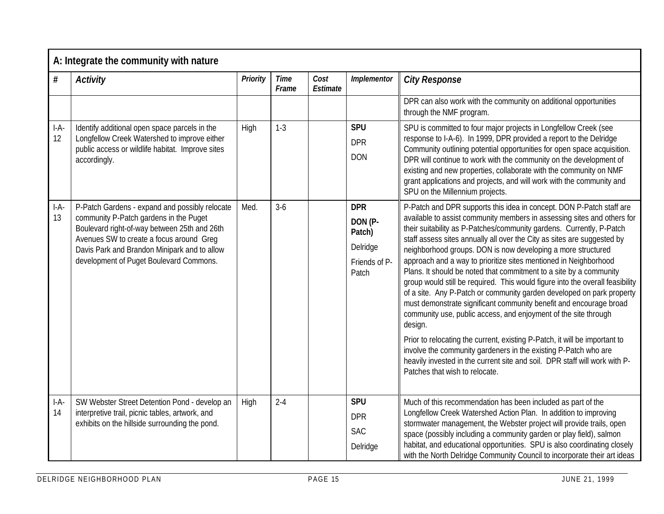|              | A: Integrate the community with nature                                                                                                                                                                                                                                          |          |                      |                  |                                                                       |                                                                                                                                                                                                                                                                                                                                                                                                                                                                                                                                                                                                                                                                                                                                                                                                                                                                                                                                                                                                                                                                                             |
|--------------|---------------------------------------------------------------------------------------------------------------------------------------------------------------------------------------------------------------------------------------------------------------------------------|----------|----------------------|------------------|-----------------------------------------------------------------------|---------------------------------------------------------------------------------------------------------------------------------------------------------------------------------------------------------------------------------------------------------------------------------------------------------------------------------------------------------------------------------------------------------------------------------------------------------------------------------------------------------------------------------------------------------------------------------------------------------------------------------------------------------------------------------------------------------------------------------------------------------------------------------------------------------------------------------------------------------------------------------------------------------------------------------------------------------------------------------------------------------------------------------------------------------------------------------------------|
| #            | <b>Activity</b>                                                                                                                                                                                                                                                                 | Priority | <b>Time</b><br>Frame | Cost<br>Estimate | Implementor                                                           | <b>City Response</b>                                                                                                                                                                                                                                                                                                                                                                                                                                                                                                                                                                                                                                                                                                                                                                                                                                                                                                                                                                                                                                                                        |
|              |                                                                                                                                                                                                                                                                                 |          |                      |                  |                                                                       | DPR can also work with the community on additional opportunities<br>through the NMF program.                                                                                                                                                                                                                                                                                                                                                                                                                                                                                                                                                                                                                                                                                                                                                                                                                                                                                                                                                                                                |
| $I-A-$<br>12 | Identify additional open space parcels in the<br>Longfellow Creek Watershed to improve either<br>public access or wildlife habitat. Improve sites<br>accordingly.                                                                                                               | High     | $1 - 3$              |                  | <b>SPU</b><br><b>DPR</b><br><b>DON</b>                                | SPU is committed to four major projects in Longfellow Creek (see<br>response to I-A-6). In 1999, DPR provided a report to the Delridge<br>Community outlining potential opportunities for open space acquisition.<br>DPR will continue to work with the community on the development of<br>existing and new properties, collaborate with the community on NMF<br>grant applications and projects, and will work with the community and<br>SPU on the Millennium projects.                                                                                                                                                                                                                                                                                                                                                                                                                                                                                                                                                                                                                   |
| $I-A-$<br>13 | P-Patch Gardens - expand and possibly relocate<br>community P-Patch gardens in the Puget<br>Boulevard right-of-way between 25th and 26th<br>Avenues SW to create a focus around Greg<br>Davis Park and Brandon Minipark and to allow<br>development of Puget Boulevard Commons. | Med.     | $3-6$                |                  | <b>DPR</b><br>DON (P-<br>Patch)<br>Delridge<br>Friends of P-<br>Patch | P-Patch and DPR supports this idea in concept. DON P-Patch staff are<br>available to assist community members in assessing sites and others for<br>their suitability as P-Patches/community gardens. Currently, P-Patch<br>staff assess sites annually all over the City as sites are suggested by<br>neighborhood groups. DON is now developing a more structured<br>approach and a way to prioritize sites mentioned in Neighborhood<br>Plans. It should be noted that commitment to a site by a community<br>group would still be required. This would figure into the overall feasibility<br>of a site. Any P-Patch or community garden developed on park property<br>must demonstrate significant community benefit and encourage broad<br>community use, public access, and enjoyment of the site through<br>design.<br>Prior to relocating the current, existing P-Patch, it will be important to<br>involve the community gardeners in the existing P-Patch who are<br>heavily invested in the current site and soil. DPR staff will work with P-<br>Patches that wish to relocate. |
| $I-A-$<br>14 | SW Webster Street Detention Pond - develop an<br>interpretive trail, picnic tables, artwork, and<br>exhibits on the hillside surrounding the pond.                                                                                                                              | High     | $2 - 4$              |                  | <b>SPU</b><br><b>DPR</b><br><b>SAC</b><br>Delridge                    | Much of this recommendation has been included as part of the<br>Longfellow Creek Watershed Action Plan. In addition to improving<br>stormwater management, the Webster project will provide trails, open<br>space (possibly including a community garden or play field), salmon<br>habitat, and educational opportunities. SPU is also coordinating closely<br>with the North Delridge Community Council to incorporate their art ideas                                                                                                                                                                                                                                                                                                                                                                                                                                                                                                                                                                                                                                                     |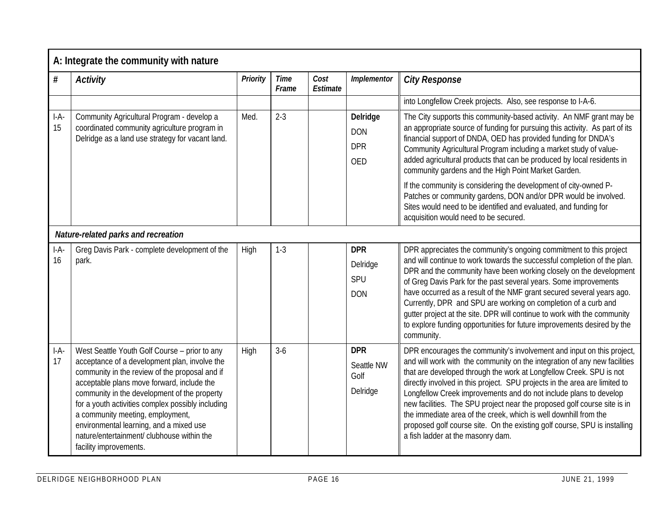|              | A: Integrate the community with nature                                                                                                                                                                                                                                                                                                                                                                                                                     |          |                      |                  |                                                    |                                                                                                                                                                                                                                                                                                                                                                                                                                                                                                                                                                                                                                                |  |  |  |
|--------------|------------------------------------------------------------------------------------------------------------------------------------------------------------------------------------------------------------------------------------------------------------------------------------------------------------------------------------------------------------------------------------------------------------------------------------------------------------|----------|----------------------|------------------|----------------------------------------------------|------------------------------------------------------------------------------------------------------------------------------------------------------------------------------------------------------------------------------------------------------------------------------------------------------------------------------------------------------------------------------------------------------------------------------------------------------------------------------------------------------------------------------------------------------------------------------------------------------------------------------------------------|--|--|--|
| $\#$         | <b>Activity</b>                                                                                                                                                                                                                                                                                                                                                                                                                                            | Priority | <b>Time</b><br>Frame | Cost<br>Estimate | Implementor                                        | <b>City Response</b>                                                                                                                                                                                                                                                                                                                                                                                                                                                                                                                                                                                                                           |  |  |  |
|              |                                                                                                                                                                                                                                                                                                                                                                                                                                                            |          |                      |                  |                                                    | into Longfellow Creek projects. Also, see response to I-A-6.                                                                                                                                                                                                                                                                                                                                                                                                                                                                                                                                                                                   |  |  |  |
| $I-A-$<br>15 | Community Agricultural Program - develop a<br>coordinated community agriculture program in<br>Delridge as a land use strategy for vacant land.                                                                                                                                                                                                                                                                                                             | Med.     | $2 - 3$              |                  | Delridge<br><b>DON</b><br><b>DPR</b><br><b>OED</b> | The City supports this community-based activity. An NMF grant may be<br>an appropriate source of funding for pursuing this activity. As part of its<br>financial support of DNDA, OED has provided funding for DNDA's<br>Community Agricultural Program including a market study of value-<br>added agricultural products that can be produced by local residents in<br>community gardens and the High Point Market Garden.                                                                                                                                                                                                                    |  |  |  |
|              |                                                                                                                                                                                                                                                                                                                                                                                                                                                            |          |                      |                  |                                                    | If the community is considering the development of city-owned P-<br>Patches or community gardens, DON and/or DPR would be involved.<br>Sites would need to be identified and evaluated, and funding for<br>acquisition would need to be secured.                                                                                                                                                                                                                                                                                                                                                                                               |  |  |  |
|              | Nature-related parks and recreation                                                                                                                                                                                                                                                                                                                                                                                                                        |          |                      |                  |                                                    |                                                                                                                                                                                                                                                                                                                                                                                                                                                                                                                                                                                                                                                |  |  |  |
| $I-A-$<br>16 | Greg Davis Park - complete development of the<br>park.                                                                                                                                                                                                                                                                                                                                                                                                     | High     | $1 - 3$              |                  | <b>DPR</b><br>Delridge<br>SPU<br><b>DON</b>        | DPR appreciates the community's ongoing commitment to this project<br>and will continue to work towards the successful completion of the plan.<br>DPR and the community have been working closely on the development<br>of Greg Davis Park for the past several years. Some improvements<br>have occurred as a result of the NMF grant secured several years ago.<br>Currently, DPR and SPU are working on completion of a curb and<br>gutter project at the site. DPR will continue to work with the community<br>to explore funding opportunities for future improvements desired by the<br>community.                                       |  |  |  |
| $I-A-$<br>17 | West Seattle Youth Golf Course - prior to any<br>acceptance of a development plan, involve the<br>community in the review of the proposal and if<br>acceptable plans move forward, include the<br>community in the development of the property<br>for a youth activities complex possibly including<br>a community meeting, employment,<br>environmental learning, and a mixed use<br>nature/entertainment/ clubhouse within the<br>facility improvements. | High     | $3-6$                |                  | <b>DPR</b><br>Seattle NW<br>Golf<br>Delridge       | DPR encourages the community's involvement and input on this project,<br>and will work with the community on the integration of any new facilities<br>that are developed through the work at Longfellow Creek. SPU is not<br>directly involved in this project. SPU projects in the area are limited to<br>Longfellow Creek improvements and do not include plans to develop<br>new facilities. The SPU project near the proposed golf course site is in<br>the immediate area of the creek, which is well downhill from the<br>proposed golf course site. On the existing golf course, SPU is installing<br>a fish ladder at the masonry dam. |  |  |  |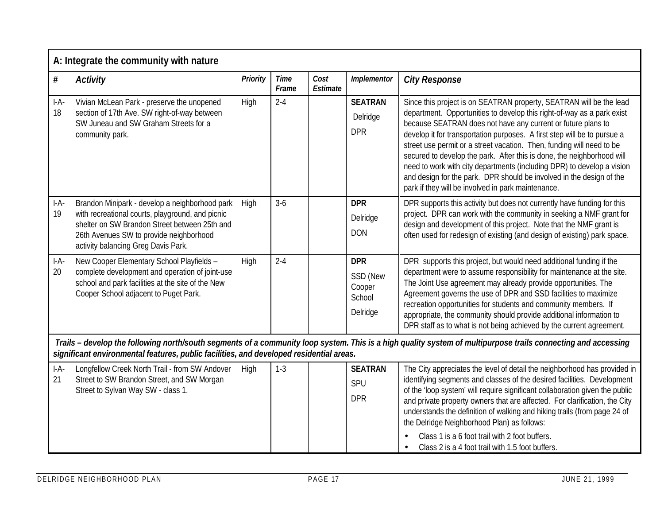|              | A: Integrate the community with nature                                                                                                                                                                                                |          |                      |                  |                                                        |                                                                                                                                                                                                                                                                                                                                                                                                                                                                                                                                                                                                                                                      |
|--------------|---------------------------------------------------------------------------------------------------------------------------------------------------------------------------------------------------------------------------------------|----------|----------------------|------------------|--------------------------------------------------------|------------------------------------------------------------------------------------------------------------------------------------------------------------------------------------------------------------------------------------------------------------------------------------------------------------------------------------------------------------------------------------------------------------------------------------------------------------------------------------------------------------------------------------------------------------------------------------------------------------------------------------------------------|
| $\#$         | <b>Activity</b>                                                                                                                                                                                                                       | Priority | <b>Time</b><br>Frame | Cost<br>Estimate | Implementor                                            | <b>City Response</b>                                                                                                                                                                                                                                                                                                                                                                                                                                                                                                                                                                                                                                 |
| $I-A-$<br>18 | Vivian McLean Park - preserve the unopened<br>section of 17th Ave. SW right-of-way between<br>SW Juneau and SW Graham Streets for a<br>community park.                                                                                | High     | $2 - 4$              |                  | <b>SEATRAN</b><br>Delridge<br><b>DPR</b>               | Since this project is on SEATRAN property, SEATRAN will be the lead<br>department. Opportunities to develop this right-of-way as a park exist<br>because SEATRAN does not have any current or future plans to<br>develop it for transportation purposes. A first step will be to pursue a<br>street use permit or a street vacation. Then, funding will need to be<br>secured to develop the park. After this is done, the neighborhood will<br>need to work with city departments (including DPR) to develop a vision<br>and design for the park. DPR should be involved in the design of the<br>park if they will be involved in park maintenance. |
| $I-A-$<br>19 | Brandon Minipark - develop a neighborhood park<br>with recreational courts, playground, and picnic<br>shelter on SW Brandon Street between 25th and<br>26th Avenues SW to provide neighborhood<br>activity balancing Greg Davis Park. | High     | $3-6$                |                  | <b>DPR</b><br>Delridge<br><b>DON</b>                   | DPR supports this activity but does not currently have funding for this<br>project. DPR can work with the community in seeking a NMF grant for<br>design and development of this project. Note that the NMF grant is<br>often used for redesign of existing (and design of existing) park space.                                                                                                                                                                                                                                                                                                                                                     |
| $I-A-$<br>20 | New Cooper Elementary School Playfields -<br>complete development and operation of joint-use<br>school and park facilities at the site of the New<br>Cooper School adjacent to Puget Park.                                            | High     | $2 - 4$              |                  | <b>DPR</b><br>SSD (New<br>Cooper<br>School<br>Delridge | DPR supports this project, but would need additional funding if the<br>department were to assume responsibility for maintenance at the site.<br>The Joint Use agreement may already provide opportunities. The<br>Agreement governs the use of DPR and SSD facilities to maximize<br>recreation opportunities for students and community members. If<br>appropriate, the community should provide additional information to<br>DPR staff as to what is not being achieved by the current agreement.                                                                                                                                                  |
|              | significant environmental features, public facilities, and developed residential areas.                                                                                                                                               |          |                      |                  |                                                        | Trails - develop the following north/south segments of a community loop system. This is a high quality system of multipurpose trails connecting and accessing                                                                                                                                                                                                                                                                                                                                                                                                                                                                                        |
| $I-A-$<br>21 | Longfellow Creek North Trail - from SW Andover<br>Street to SW Brandon Street, and SW Morgan<br>Street to Sylvan Way SW - class 1.                                                                                                    | High     | $1 - 3$              |                  | <b>SEATRAN</b><br>SPU<br><b>DPR</b>                    | The City appreciates the level of detail the neighborhood has provided in<br>identifying segments and classes of the desired facilities. Development<br>of the 'loop system' will require significant collaboration given the public<br>and private property owners that are affected. For clarification, the City<br>understands the definition of walking and hiking trails (from page 24 of<br>the Delridge Neighborhood Plan) as follows:<br>Class 1 is a 6 foot trail with 2 foot buffers.<br>Class 2 is a 4 foot trail with 1.5 foot buffers.                                                                                                  |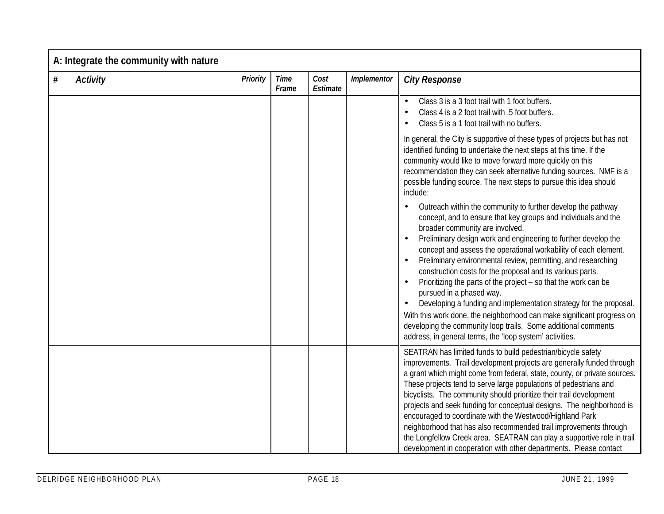| # | <b>Activity</b> | Priority | <b>Time</b><br>Frame | Cost<br>Estimate | Implementor | <b>City Response</b>                                                                                                                                                                                                                                                                                                                                                                                                                                                                                                                                                                                                                                                                                                                                                                                               |
|---|-----------------|----------|----------------------|------------------|-------------|--------------------------------------------------------------------------------------------------------------------------------------------------------------------------------------------------------------------------------------------------------------------------------------------------------------------------------------------------------------------------------------------------------------------------------------------------------------------------------------------------------------------------------------------------------------------------------------------------------------------------------------------------------------------------------------------------------------------------------------------------------------------------------------------------------------------|
|   |                 |          |                      |                  |             | Class 3 is a 3 foot trail with 1 foot buffers.<br>Class 4 is a 2 foot trail with .5 foot buffers.<br>Class 5 is a 1 foot trail with no buffers.                                                                                                                                                                                                                                                                                                                                                                                                                                                                                                                                                                                                                                                                    |
|   |                 |          |                      |                  |             | In general, the City is supportive of these types of projects but has not<br>identified funding to undertake the next steps at this time. If the<br>community would like to move forward more quickly on this<br>recommendation they can seek alternative funding sources. NMF is a<br>possible funding source. The next steps to pursue this idea should<br>include:                                                                                                                                                                                                                                                                                                                                                                                                                                              |
|   |                 |          |                      |                  |             | Outreach within the community to further develop the pathway<br>concept, and to ensure that key groups and individuals and the<br>broader community are involved.<br>Preliminary design work and engineering to further develop the<br>concept and assess the operational workability of each element.<br>Preliminary environmental review, permitting, and researching<br>construction costs for the proposal and its various parts.<br>Prioritizing the parts of the project - so that the work can be<br>pursued in a phased way.<br>Developing a funding and implementation strategy for the proposal.<br>With this work done, the neighborhood can make significant progress on<br>developing the community loop trails. Some additional comments<br>address, in general terms, the 'loop system' activities. |
|   |                 |          |                      |                  |             | SEATRAN has limited funds to build pedestrian/bicycle safety<br>improvements. Trail development projects are generally funded through<br>a grant which might come from federal, state, county, or private sources.<br>These projects tend to serve large populations of pedestrians and<br>bicyclists. The community should prioritize their trail development<br>projects and seek funding for conceptual designs. The neighborhood is<br>encouraged to coordinate with the Westwood/Highland Park<br>neighborhood that has also recommended trail improvements through<br>the Longfellow Creek area. SEATRAN can play a supportive role in trail<br>development in cooperation with other departments. Please contact                                                                                            |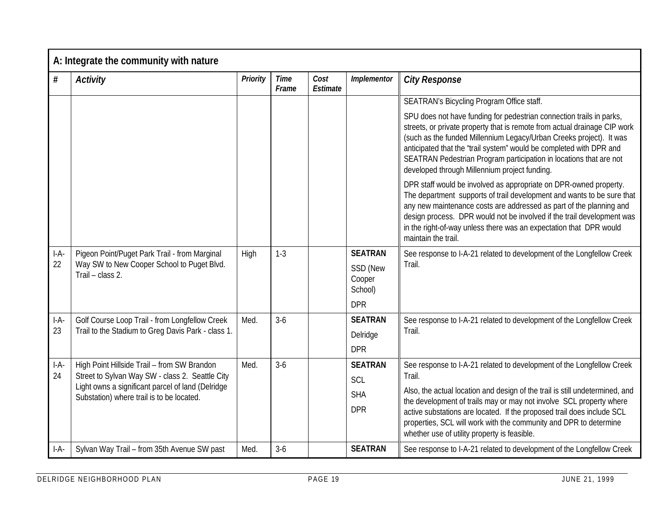|              | A: Integrate the community with nature                                                                                                                                                           |          |                      |                  |                                                               |                                                                                                                                                                                                                                                                                                                                                                                                                                       |  |  |  |  |
|--------------|--------------------------------------------------------------------------------------------------------------------------------------------------------------------------------------------------|----------|----------------------|------------------|---------------------------------------------------------------|---------------------------------------------------------------------------------------------------------------------------------------------------------------------------------------------------------------------------------------------------------------------------------------------------------------------------------------------------------------------------------------------------------------------------------------|--|--|--|--|
| #            | <b>Activity</b>                                                                                                                                                                                  | Priority | <b>Time</b><br>Frame | Cost<br>Estimate | Implementor                                                   | <b>City Response</b>                                                                                                                                                                                                                                                                                                                                                                                                                  |  |  |  |  |
|              |                                                                                                                                                                                                  |          |                      |                  |                                                               | SEATRAN's Bicycling Program Office staff.                                                                                                                                                                                                                                                                                                                                                                                             |  |  |  |  |
|              |                                                                                                                                                                                                  |          |                      |                  |                                                               | SPU does not have funding for pedestrian connection trails in parks,<br>streets, or private property that is remote from actual drainage CIP work<br>(such as the funded Millennium Legacy/Urban Creeks project). It was<br>anticipated that the "trail system" would be completed with DPR and<br>SEATRAN Pedestrian Program participation in locations that are not<br>developed through Millennium project funding.                |  |  |  |  |
|              |                                                                                                                                                                                                  |          |                      |                  |                                                               | DPR staff would be involved as appropriate on DPR-owned property.<br>The department supports of trail development and wants to be sure that<br>any new maintenance costs are addressed as part of the planning and<br>design process. DPR would not be involved if the trail development was<br>in the right-of-way unless there was an expectation that DPR would<br>maintain the trail.                                             |  |  |  |  |
| $I-A-$<br>22 | Pigeon Point/Puget Park Trail - from Marginal<br>Way SW to New Cooper School to Puget Blvd.<br>Trail - class 2.                                                                                  | High     | $1 - 3$              |                  | <b>SEATRAN</b><br>SSD (New<br>Cooper<br>School)<br><b>DPR</b> | See response to I-A-21 related to development of the Longfellow Creek<br>Trail.                                                                                                                                                                                                                                                                                                                                                       |  |  |  |  |
| $I-A-$<br>23 | Golf Course Loop Trail - from Longfellow Creek<br>Trail to the Stadium to Greg Davis Park - class 1.                                                                                             | Med.     | $3-6$                |                  | <b>SEATRAN</b><br>Delridge<br><b>DPR</b>                      | See response to I-A-21 related to development of the Longfellow Creek<br>Trail.                                                                                                                                                                                                                                                                                                                                                       |  |  |  |  |
| $I-A-$<br>24 | High Point Hillside Trail - from SW Brandon<br>Street to Sylvan Way SW - class 2. Seattle City<br>Light owns a significant parcel of land (Delridge<br>Substation) where trail is to be located. | Med.     | $3-6$                |                  | <b>SEATRAN</b><br>SCL<br><b>SHA</b><br><b>DPR</b>             | See response to I-A-21 related to development of the Longfellow Creek<br>Trail.<br>Also, the actual location and design of the trail is still undetermined, and<br>the development of trails may or may not involve SCL property where<br>active substations are located. If the proposed trail does include SCL<br>properties, SCL will work with the community and DPR to determine<br>whether use of utility property is feasible. |  |  |  |  |
| $I-A-$       | Sylvan Way Trail - from 35th Avenue SW past                                                                                                                                                      | Med.     | $3-6$                |                  | <b>SEATRAN</b>                                                | See response to I-A-21 related to development of the Longfellow Creek                                                                                                                                                                                                                                                                                                                                                                 |  |  |  |  |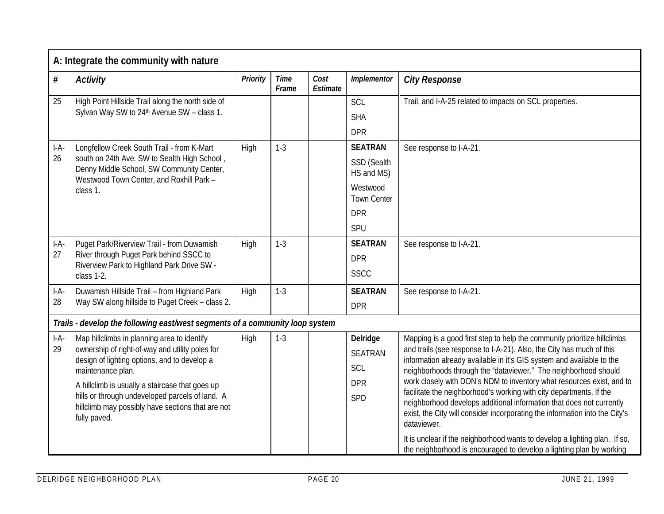|        | A: Integrate the community with nature                                                                                                |          |                      |                  |                                |                                                                                                                                                    |  |  |  |  |
|--------|---------------------------------------------------------------------------------------------------------------------------------------|----------|----------------------|------------------|--------------------------------|----------------------------------------------------------------------------------------------------------------------------------------------------|--|--|--|--|
| $\#$   | <b>Activity</b>                                                                                                                       | Priority | <b>Time</b><br>Frame | Cost<br>Estimate | Implementor                    | <b>City Response</b>                                                                                                                               |  |  |  |  |
| 25     | High Point Hillside Trail along the north side of                                                                                     |          |                      |                  | SCL                            | Trail, and I-A-25 related to impacts on SCL properties.                                                                                            |  |  |  |  |
|        | Sylvan Way SW to 24th Avenue SW - class 1.                                                                                            |          |                      |                  | <b>SHA</b>                     |                                                                                                                                                    |  |  |  |  |
|        |                                                                                                                                       |          |                      |                  | <b>DPR</b>                     |                                                                                                                                                    |  |  |  |  |
| $I-A-$ | Longfellow Creek South Trail - from K-Mart                                                                                            | High     | $1-3$                |                  | <b>SEATRAN</b>                 | See response to I-A-21.                                                                                                                            |  |  |  |  |
| 26     | south on 24th Ave. SW to Sealth High School,<br>Denny Middle School, SW Community Center,<br>Westwood Town Center, and Roxhill Park - |          |                      |                  | SSD (Sealth<br>HS and MS)      |                                                                                                                                                    |  |  |  |  |
|        | class 1.                                                                                                                              |          |                      |                  | Westwood<br><b>Town Center</b> |                                                                                                                                                    |  |  |  |  |
|        |                                                                                                                                       |          |                      |                  | <b>DPR</b>                     |                                                                                                                                                    |  |  |  |  |
|        |                                                                                                                                       |          |                      |                  | SPU                            |                                                                                                                                                    |  |  |  |  |
| $I-A-$ | Puget Park/Riverview Trail - from Duwamish                                                                                            | High     | $1-3$                |                  | <b>SEATRAN</b>                 | See response to I-A-21.                                                                                                                            |  |  |  |  |
| 27     | River through Puget Park behind SSCC to<br>Riverview Park to Highland Park Drive SW -                                                 |          |                      |                  | <b>DPR</b>                     |                                                                                                                                                    |  |  |  |  |
|        | class 1-2.                                                                                                                            |          |                      |                  | <b>SSCC</b>                    |                                                                                                                                                    |  |  |  |  |
| $I-A-$ | Duwamish Hillside Trail - from Highland Park                                                                                          | High     | $1-3$                |                  | <b>SEATRAN</b>                 | See response to I-A-21.                                                                                                                            |  |  |  |  |
| 28     | Way SW along hillside to Puget Creek - class 2.                                                                                       |          |                      |                  | <b>DPR</b>                     |                                                                                                                                                    |  |  |  |  |
|        | Trails - develop the following east/west segments of a community loop system                                                          |          |                      |                  |                                |                                                                                                                                                    |  |  |  |  |
| $I-A-$ | Map hillclimbs in planning area to identify                                                                                           | High     | $1-3$                |                  | <b>Delridge</b>                | Mapping is a good first step to help the community prioritize hillclimbs                                                                           |  |  |  |  |
| 29     | ownership of right-of-way and utility poles for<br>design of lighting options, and to develop a                                       |          |                      |                  | <b>SEATRAN</b>                 | and trails (see response to I-A-21). Also, the City has much of this<br>information already available in it's GIS system and available to the      |  |  |  |  |
|        | maintenance plan.                                                                                                                     |          |                      |                  | SCL                            | neighborhoods through the "dataviewer." The neighborhood should                                                                                    |  |  |  |  |
|        | A hillclimb is usually a staircase that goes up                                                                                       |          |                      |                  | <b>DPR</b>                     | work closely with DON's NDM to inventory what resources exist, and to                                                                              |  |  |  |  |
|        | hills or through undeveloped parcels of land. A                                                                                       |          |                      |                  | SPD                            | facilitate the neighborhood's working with city departments. If the<br>neighborhood develops additional information that does not currently        |  |  |  |  |
|        | hillclimb may possibly have sections that are not<br>fully paved.                                                                     |          |                      |                  |                                | exist, the City will consider incorporating the information into the City's<br>dataviewer.                                                         |  |  |  |  |
|        |                                                                                                                                       |          |                      |                  |                                | It is unclear if the neighborhood wants to develop a lighting plan. If so,<br>the neighborhood is encouraged to develop a lighting plan by working |  |  |  |  |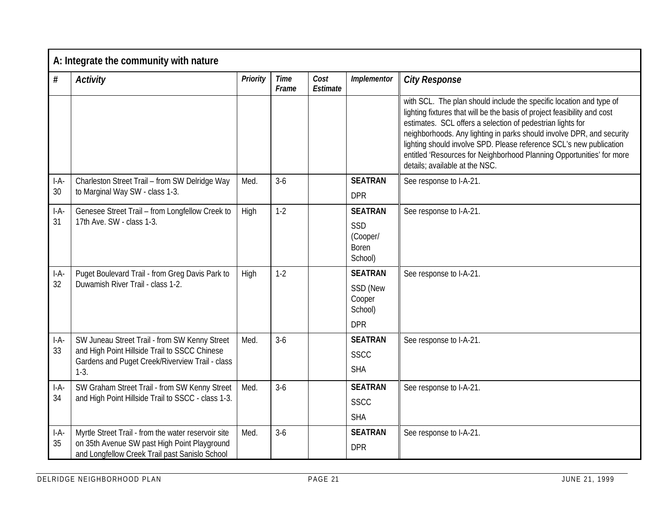|              | A: Integrate the community with nature                                                                                                                      |          |                      |                  |                                                               |                                                                                                                                                                                                                                                                                                                                                                                                                                                                          |  |  |  |  |
|--------------|-------------------------------------------------------------------------------------------------------------------------------------------------------------|----------|----------------------|------------------|---------------------------------------------------------------|--------------------------------------------------------------------------------------------------------------------------------------------------------------------------------------------------------------------------------------------------------------------------------------------------------------------------------------------------------------------------------------------------------------------------------------------------------------------------|--|--|--|--|
| $\#$         | <b>Activity</b>                                                                                                                                             | Priority | <b>Time</b><br>Frame | Cost<br>Estimate | Implementor                                                   | <b>City Response</b>                                                                                                                                                                                                                                                                                                                                                                                                                                                     |  |  |  |  |
|              |                                                                                                                                                             |          |                      |                  |                                                               | with SCL. The plan should include the specific location and type of<br>lighting fixtures that will be the basis of project feasibility and cost<br>estimates. SCL offers a selection of pedestrian lights for<br>neighborhoods. Any lighting in parks should involve DPR, and security<br>lighting should involve SPD. Please reference SCL's new publication<br>entitled 'Resources for Neighborhood Planning Opportunities' for more<br>details; available at the NSC. |  |  |  |  |
| $I-A-$<br>30 | Charleston Street Trail - from SW Delridge Way<br>to Marginal Way SW - class 1-3.                                                                           | Med.     | $3-6$                |                  | <b>SEATRAN</b><br><b>DPR</b>                                  | See response to I-A-21.                                                                                                                                                                                                                                                                                                                                                                                                                                                  |  |  |  |  |
| $I-A-$<br>31 | Genesee Street Trail - from Longfellow Creek to<br>17th Ave. SW - class 1-3.                                                                                | High     | $1-2$                |                  | <b>SEATRAN</b><br>SSD<br>(Cooper/<br><b>Boren</b><br>School)  | See response to I-A-21.                                                                                                                                                                                                                                                                                                                                                                                                                                                  |  |  |  |  |
| $I-A$<br>32  | Puget Boulevard Trail - from Greg Davis Park to<br>Duwamish River Trail - class 1-2.                                                                        | High     | $1 - 2$              |                  | <b>SEATRAN</b><br>SSD (New<br>Cooper<br>School)<br><b>DPR</b> | See response to I-A-21.                                                                                                                                                                                                                                                                                                                                                                                                                                                  |  |  |  |  |
| $I-A-$<br>33 | SW Juneau Street Trail - from SW Kenny Street<br>and High Point Hillside Trail to SSCC Chinese<br>Gardens and Puget Creek/Riverview Trail - class<br>$1-3.$ | Med.     | $3-6$                |                  | <b>SEATRAN</b><br><b>SSCC</b><br><b>SHA</b>                   | See response to I-A-21.                                                                                                                                                                                                                                                                                                                                                                                                                                                  |  |  |  |  |
| $I-A-$<br>34 | SW Graham Street Trail - from SW Kenny Street<br>and High Point Hillside Trail to SSCC - class 1-3.                                                         | Med.     | $3-6$                |                  | <b>SEATRAN</b><br><b>SSCC</b><br><b>SHA</b>                   | See response to I-A-21.                                                                                                                                                                                                                                                                                                                                                                                                                                                  |  |  |  |  |
| $I-A-$<br>35 | Myrtle Street Trail - from the water reservoir site<br>on 35th Avenue SW past High Point Playground<br>and Longfellow Creek Trail past Sanislo School       | Med.     | $3-6$                |                  | <b>SEATRAN</b><br><b>DPR</b>                                  | See response to I-A-21.                                                                                                                                                                                                                                                                                                                                                                                                                                                  |  |  |  |  |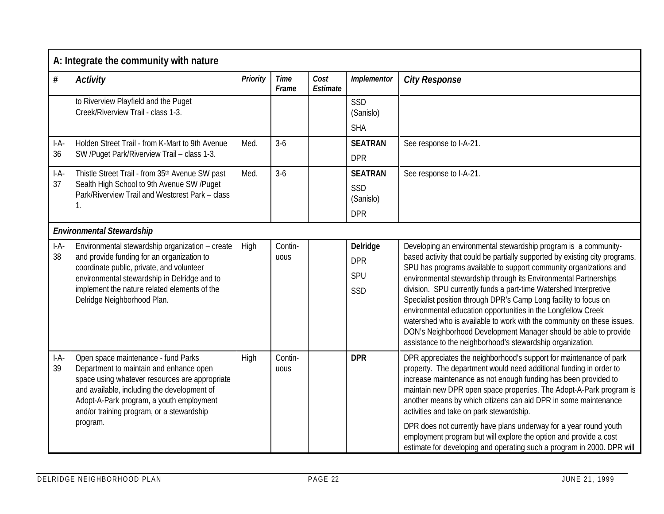|              | A: Integrate the community with nature                                                                                                                                                                                                                                               |             |                      |                  |                                                  |                                                                                                                                                                                                                                                                                                                                                                                                                                                                                                                                                                                                                                                                                                              |  |  |  |  |
|--------------|--------------------------------------------------------------------------------------------------------------------------------------------------------------------------------------------------------------------------------------------------------------------------------------|-------------|----------------------|------------------|--------------------------------------------------|--------------------------------------------------------------------------------------------------------------------------------------------------------------------------------------------------------------------------------------------------------------------------------------------------------------------------------------------------------------------------------------------------------------------------------------------------------------------------------------------------------------------------------------------------------------------------------------------------------------------------------------------------------------------------------------------------------------|--|--|--|--|
| $\#$         | <b>Activity</b>                                                                                                                                                                                                                                                                      | Priority    | <b>Time</b><br>Frame | Cost<br>Estimate | Implementor                                      | <b>City Response</b>                                                                                                                                                                                                                                                                                                                                                                                                                                                                                                                                                                                                                                                                                         |  |  |  |  |
|              | to Riverview Playfield and the Puget<br>Creek/Riverview Trail - class 1-3.                                                                                                                                                                                                           |             |                      |                  | SSD<br>(Sanislo)                                 |                                                                                                                                                                                                                                                                                                                                                                                                                                                                                                                                                                                                                                                                                                              |  |  |  |  |
|              |                                                                                                                                                                                                                                                                                      |             |                      |                  | <b>SHA</b>                                       |                                                                                                                                                                                                                                                                                                                                                                                                                                                                                                                                                                                                                                                                                                              |  |  |  |  |
| $I-A-$<br>36 | Holden Street Trail - from K-Mart to 9th Avenue<br>SW /Puget Park/Riverview Trail - class 1-3.                                                                                                                                                                                       | Med.        | $3-6$                |                  | <b>SEATRAN</b><br><b>DPR</b>                     | See response to I-A-21.                                                                                                                                                                                                                                                                                                                                                                                                                                                                                                                                                                                                                                                                                      |  |  |  |  |
| $I-A-$<br>37 | Thistle Street Trail - from 35th Avenue SW past<br>Sealth High School to 9th Avenue SW /Puget<br>Park/Riverview Trail and Westcrest Park - class<br>1.                                                                                                                               | Med.        | $3-6$                |                  | <b>SEATRAN</b><br>SSD<br>(Sanislo)<br><b>DPR</b> | See response to I-A-21.                                                                                                                                                                                                                                                                                                                                                                                                                                                                                                                                                                                                                                                                                      |  |  |  |  |
|              | <b>Environmental Stewardship</b>                                                                                                                                                                                                                                                     |             |                      |                  |                                                  |                                                                                                                                                                                                                                                                                                                                                                                                                                                                                                                                                                                                                                                                                                              |  |  |  |  |
| $I-A-$<br>38 | Environmental stewardship organization - create<br>and provide funding for an organization to<br>coordinate public, private, and volunteer<br>environmental stewardship in Delridge and to<br>implement the nature related elements of the<br>Delridge Neighborhood Plan.            | High        | Contin-<br>uous      |                  | Delridge<br><b>DPR</b><br>SPU<br>SSD             | Developing an environmental stewardship program is a community-<br>based activity that could be partially supported by existing city programs.<br>SPU has programs available to support community organizations and<br>environmental stewardship through its Environmental Partnerships<br>division. SPU currently funds a part-time Watershed Interpretive<br>Specialist position through DPR's Camp Long facility to focus on<br>environmental education opportunities in the Longfellow Creek<br>watershed who is available to work with the community on these issues.<br>DON's Neighborhood Development Manager should be able to provide<br>assistance to the neighborhood's stewardship organization. |  |  |  |  |
| $I-A-$<br>39 | Open space maintenance - fund Parks<br>Department to maintain and enhance open<br>space using whatever resources are appropriate<br>and available, including the development of<br>Adopt-A-Park program, a youth employment<br>and/or training program, or a stewardship<br>program. | <b>High</b> | Contin-<br>uous      |                  | <b>DPR</b>                                       | DPR appreciates the neighborhood's support for maintenance of park<br>property. The department would need additional funding in order to<br>increase maintenance as not enough funding has been provided to<br>maintain new DPR open space properties. The Adopt-A-Park program is<br>another means by which citizens can aid DPR in some maintenance<br>activities and take on park stewardship.<br>DPR does not currently have plans underway for a year round youth<br>employment program but will explore the option and provide a cost<br>estimate for developing and operating such a program in 2000. DPR will                                                                                        |  |  |  |  |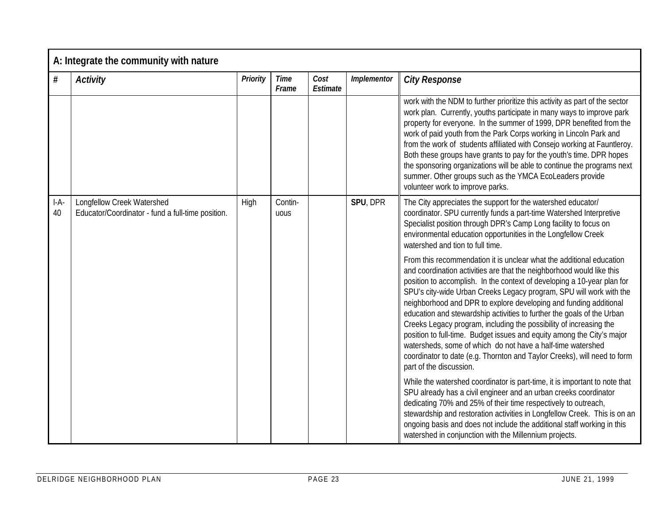|              | A: Integrate the community with nature                                          |          |                      |                  |             |                                                                                                                                                                                                                                                                                                                                                                                                                                                                                                                                                                                                                                                                                                                                                                      |  |  |  |
|--------------|---------------------------------------------------------------------------------|----------|----------------------|------------------|-------------|----------------------------------------------------------------------------------------------------------------------------------------------------------------------------------------------------------------------------------------------------------------------------------------------------------------------------------------------------------------------------------------------------------------------------------------------------------------------------------------------------------------------------------------------------------------------------------------------------------------------------------------------------------------------------------------------------------------------------------------------------------------------|--|--|--|
| #            | <b>Activity</b>                                                                 | Priority | <b>Time</b><br>Frame | Cost<br>Estimate | Implementor | <b>City Response</b>                                                                                                                                                                                                                                                                                                                                                                                                                                                                                                                                                                                                                                                                                                                                                 |  |  |  |
|              |                                                                                 |          |                      |                  |             | work with the NDM to further prioritize this activity as part of the sector<br>work plan. Currently, youths participate in many ways to improve park<br>property for everyone. In the summer of 1999, DPR benefited from the<br>work of paid youth from the Park Corps working in Lincoln Park and<br>from the work of students affiliated with Consejo working at Fauntleroy.<br>Both these groups have grants to pay for the youth's time. DPR hopes<br>the sponsoring organizations will be able to continue the programs next<br>summer. Other groups such as the YMCA EcoLeaders provide<br>volunteer work to improve parks.                                                                                                                                    |  |  |  |
| $I-A-$<br>40 | Longfellow Creek Watershed<br>Educator/Coordinator - fund a full-time position. | High     | Contin-<br>uous      |                  | SPU, DPR    | The City appreciates the support for the watershed educator/<br>coordinator. SPU currently funds a part-time Watershed Interpretive<br>Specialist position through DPR's Camp Long facility to focus on<br>environmental education opportunities in the Longfellow Creek<br>watershed and tion to full time.                                                                                                                                                                                                                                                                                                                                                                                                                                                         |  |  |  |
|              |                                                                                 |          |                      |                  |             | From this recommendation it is unclear what the additional education<br>and coordination activities are that the neighborhood would like this<br>position to accomplish. In the context of developing a 10-year plan for<br>SPU's city-wide Urban Creeks Legacy program, SPU will work with the<br>neighborhood and DPR to explore developing and funding additional<br>education and stewardship activities to further the goals of the Urban<br>Creeks Legacy program, including the possibility of increasing the<br>position to full-time. Budget issues and equity among the City's major<br>watersheds, some of which do not have a half-time watershed<br>coordinator to date (e.g. Thornton and Taylor Creeks), will need to form<br>part of the discussion. |  |  |  |
|              |                                                                                 |          |                      |                  |             | While the watershed coordinator is part-time, it is important to note that<br>SPU already has a civil engineer and an urban creeks coordinator<br>dedicating 70% and 25% of their time respectively to outreach,<br>stewardship and restoration activities in Longfellow Creek. This is on an<br>ongoing basis and does not include the additional staff working in this<br>watershed in conjunction with the Millennium projects.                                                                                                                                                                                                                                                                                                                                   |  |  |  |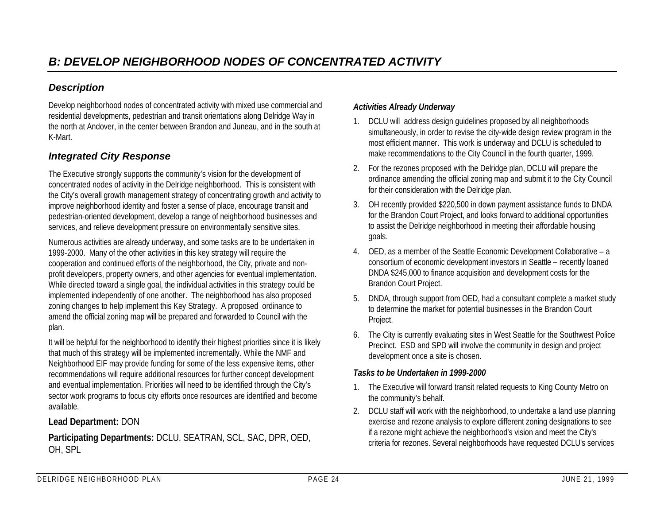#### *Description*

Develop neighborhood nodes of concentrated activity with mixed use commercial and residential developments, pedestrian and transit orientations along Delridge Way in the north at Andover, in the center between Brandon and Juneau, and in the south at K-Mart.

#### *Integrated City Response*

The Executive strongly supports the community's vision for the development of concentrated nodes of activity in the Delridge neighborhood. This is consistent with the City's overall growth management strategy of concentrating growth and activity to improve neighborhood identity and foster a sense of place, encourage transit and pedestrian-oriented development, develop a range of neighborhood businesses and services, and relieve development pressure on environmentally sensitive sites.

Numerous activities are already underway, and some tasks are to be undertaken in 1999-2000. Many of the other activities in this key strategy will require the cooperation and continued efforts of the neighborhood, the City, private and nonprofit developers, property owners, and other agencies for eventual implementation. While directed toward a single goal, the individual activities in this strategy could be implemented independently of one another. The neighborhood has also proposed zoning changes to help implement this Key Strategy. A proposed ordinance to amend the official zoning map will be prepared and forwarded to Council with the plan.

It will be helpful for the neighborhood to identify their highest priorities since it is likely that much of this strategy will be implemented incrementally. While the NMF and Neighborhood EIF may provide funding for some of the less expensive items, other recommendations will require additional resources for further concept development and eventual implementation. Priorities will need to be identified through the City's sector work programs to focus city efforts once resources are identified and become available.

#### **Lead Department:** DON

**Participating Departments:** DCLU, SEATRAN, SCL, SAC, DPR, OED, OH, SPL

#### *Activities Already Underway*

- 1. DCLU will address design guidelines proposed by all neighborhoods simultaneously, in order to revise the city-wide design review program in the most efficient manner. This work is underway and DCLU is scheduled to make recommendations to the City Council in the fourth quarter, 1999.
- 2. For the rezones proposed with the Delridge plan, DCLU will prepare the ordinance amending the official zoning map and submit it to the City Council for their consideration with the Delridge plan.
- 3. OH recently provided \$220,500 in down payment assistance funds to DNDA for the Brandon Court Project, and looks forward to additional opportunities to assist the Delridge neighborhood in meeting their affordable housing goals.
- 4. OED, as a member of the Seattle Economic Development Collaborative a consortium of economic development investors in Seattle – recently loaned DNDA \$245,000 to finance acquisition and development costs for the Brandon Court Project.
- 5. DNDA, through support from OED, had a consultant complete a market study to determine the market for potential businesses in the Brandon Court Project.
- 6. The City is currently evaluating sites in West Seattle for the Southwest Police Precinct. ESD and SPD will involve the community in design and project development once a site is chosen.

#### *Tasks to be Undertaken in 1999-2000*

- 1. The Executive will forward transit related requests to King County Metro on the community's behalf.
- 2. DCLU staff will work with the neighborhood, to undertake a land use planning exercise and rezone analysis to explore different zoning designations to see if a rezone might achieve the neighborhood's vision and meet the City's criteria for rezones. Several neighborhoods have requested DCLU's services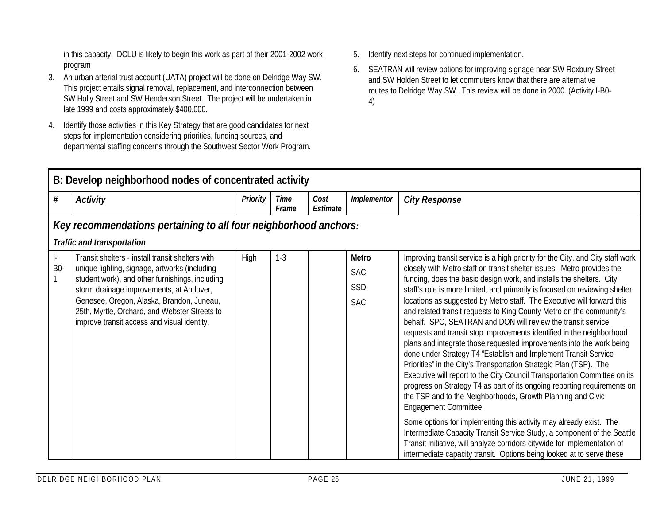in this capacity. DCLU is likely to begin this work as part of their 2001-2002 work program

- 3. An urban arterial trust account (UATA) project will be done on Delridge Way SW. This project entails signal removal, replacement, and interconnection between SW Holly Street and SW Henderson Street. The project will be undertaken in late 1999 and costs approximately \$400,000.
- 4. Identify those activities in this Key Strategy that are good candidates for next steps for implementation considering priorities, funding sources, and departmental staffing concerns through the Southwest Sector Work Program.
- 5. Identify next steps for continued implementation.
- 6. SEATRAN will review options for improving signage near SW Roxbury Street and SW Holden Street to let commuters know that there are alternative routes to Delridge Way SW. This review will be done in 2000. (Activity I-B0- 4)

|                                                   | B: Develop neighborhood nodes of concentrated activity                                                                                                                                                                                                                                                                                        |                 |               |                  |                                          |                                                                                                                                                                                                                                                                                                                                                                                                                                                                                                                                                                                                                                                                                                                                                                                                                                                                                                                                                                                                                                                                                                                                                                                                                                                                                                                                                                                     |  |  |  |  |
|---------------------------------------------------|-----------------------------------------------------------------------------------------------------------------------------------------------------------------------------------------------------------------------------------------------------------------------------------------------------------------------------------------------|-----------------|---------------|------------------|------------------------------------------|-------------------------------------------------------------------------------------------------------------------------------------------------------------------------------------------------------------------------------------------------------------------------------------------------------------------------------------------------------------------------------------------------------------------------------------------------------------------------------------------------------------------------------------------------------------------------------------------------------------------------------------------------------------------------------------------------------------------------------------------------------------------------------------------------------------------------------------------------------------------------------------------------------------------------------------------------------------------------------------------------------------------------------------------------------------------------------------------------------------------------------------------------------------------------------------------------------------------------------------------------------------------------------------------------------------------------------------------------------------------------------------|--|--|--|--|
| #                                                 | <b>Activity</b>                                                                                                                                                                                                                                                                                                                               | <b>Priority</b> | Time<br>Frame | Cost<br>Estimate | Implementor                              | <b>City Response</b>                                                                                                                                                                                                                                                                                                                                                                                                                                                                                                                                                                                                                                                                                                                                                                                                                                                                                                                                                                                                                                                                                                                                                                                                                                                                                                                                                                |  |  |  |  |
|                                                   | Key recommendations pertaining to all four neighborhood anchors:                                                                                                                                                                                                                                                                              |                 |               |                  |                                          |                                                                                                                                                                                                                                                                                                                                                                                                                                                                                                                                                                                                                                                                                                                                                                                                                                                                                                                                                                                                                                                                                                                                                                                                                                                                                                                                                                                     |  |  |  |  |
|                                                   | <b>Traffic and transportation</b>                                                                                                                                                                                                                                                                                                             |                 |               |                  |                                          |                                                                                                                                                                                                                                                                                                                                                                                                                                                                                                                                                                                                                                                                                                                                                                                                                                                                                                                                                                                                                                                                                                                                                                                                                                                                                                                                                                                     |  |  |  |  |
| $\vert \cdot \vert$<br><b>B0-</b><br>$\mathbf{1}$ | Transit shelters - install transit shelters with<br>unique lighting, signage, artworks (including<br>student work), and other furnishings, including<br>storm drainage improvements, at Andover,<br>Genesee, Oregon, Alaska, Brandon, Juneau,<br>25th, Myrtle, Orchard, and Webster Streets to<br>improve transit access and visual identity. | High            | $1 - 3$       |                  | Metro<br><b>SAC</b><br>SSD<br><b>SAC</b> | Improving transit service is a high priority for the City, and City staff work<br>closely with Metro staff on transit shelter issues. Metro provides the<br>funding, does the basic design work, and installs the shelters. City<br>staff's role is more limited, and primarily is focused on reviewing shelter<br>locations as suggested by Metro staff. The Executive will forward this<br>and related transit requests to King County Metro on the community's<br>behalf. SPO, SEATRAN and DON will review the transit service<br>requests and transit stop improvements identified in the neighborhood<br>plans and integrate those requested improvements into the work being<br>done under Strategy T4 "Establish and Implement Transit Service<br>Priorities" in the City's Transportation Strategic Plan (TSP). The<br>Executive will report to the City Council Transportation Committee on its<br>progress on Strategy T4 as part of its ongoing reporting requirements on<br>the TSP and to the Neighborhoods, Growth Planning and Civic<br>Engagement Committee.<br>Some options for implementing this activity may already exist. The<br>Intermediate Capacity Transit Service Study, a component of the Seattle<br>Transit Initiative, will analyze corridors citywide for implementation of<br>intermediate capacity transit. Options being looked at to serve these |  |  |  |  |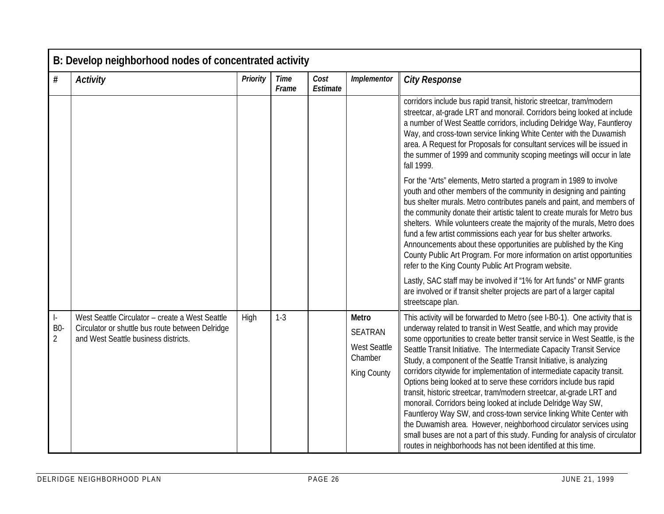|                                           | B: Develop neighborhood nodes of concentrated activity                                                                                      |          |                      |                  |                                                                          |                                                                                                                                                                                                                                                                                                                                                                                                                                                                                                                                                                                                                                                                                                                                                                                                                                                                                                                                                                        |  |  |  |  |
|-------------------------------------------|---------------------------------------------------------------------------------------------------------------------------------------------|----------|----------------------|------------------|--------------------------------------------------------------------------|------------------------------------------------------------------------------------------------------------------------------------------------------------------------------------------------------------------------------------------------------------------------------------------------------------------------------------------------------------------------------------------------------------------------------------------------------------------------------------------------------------------------------------------------------------------------------------------------------------------------------------------------------------------------------------------------------------------------------------------------------------------------------------------------------------------------------------------------------------------------------------------------------------------------------------------------------------------------|--|--|--|--|
| $\#$                                      | <b>Activity</b>                                                                                                                             | Priority | <b>Time</b><br>Frame | Cost<br>Estimate | Implementor                                                              | <b>City Response</b>                                                                                                                                                                                                                                                                                                                                                                                                                                                                                                                                                                                                                                                                                                                                                                                                                                                                                                                                                   |  |  |  |  |
|                                           |                                                                                                                                             |          |                      |                  |                                                                          | corridors include bus rapid transit, historic streetcar, tram/modern<br>streetcar, at-grade LRT and monorail. Corridors being looked at include<br>a number of West Seattle corridors, including Delridge Way, Fauntleroy<br>Way, and cross-town service linking White Center with the Duwamish<br>area. A Request for Proposals for consultant services will be issued in<br>the summer of 1999 and community scoping meetings will occur in late<br>fall 1999.                                                                                                                                                                                                                                                                                                                                                                                                                                                                                                       |  |  |  |  |
|                                           |                                                                                                                                             |          |                      |                  |                                                                          | For the "Arts" elements, Metro started a program in 1989 to involve<br>youth and other members of the community in designing and painting<br>bus shelter murals. Metro contributes panels and paint, and members of<br>the community donate their artistic talent to create murals for Metro bus<br>shelters. While volunteers create the majority of the murals, Metro does<br>fund a few artist commissions each year for bus shelter artworks.<br>Announcements about these opportunities are published by the King<br>County Public Art Program. For more information on artist opportunities<br>refer to the King County Public Art Program website.                                                                                                                                                                                                                                                                                                              |  |  |  |  |
|                                           |                                                                                                                                             |          |                      |                  |                                                                          | Lastly, SAC staff may be involved if "1% for Art funds" or NMF grants<br>are involved or if transit shelter projects are part of a larger capital<br>streetscape plan.                                                                                                                                                                                                                                                                                                                                                                                                                                                                                                                                                                                                                                                                                                                                                                                                 |  |  |  |  |
| $\vert$ -<br><b>B0-</b><br>$\overline{2}$ | West Seattle Circulator - create a West Seattle<br>Circulator or shuttle bus route between Delridge<br>and West Seattle business districts. | High     | $1 - 3$              |                  | Metro<br><b>SEATRAN</b><br><b>West Seattle</b><br>Chamber<br>King County | This activity will be forwarded to Metro (see I-B0-1). One activity that is<br>underway related to transit in West Seattle, and which may provide<br>some opportunities to create better transit service in West Seattle, is the<br>Seattle Transit Initiative. The Intermediate Capacity Transit Service<br>Study, a component of the Seattle Transit Initiative, is analyzing<br>corridors citywide for implementation of intermediate capacity transit.<br>Options being looked at to serve these corridors include bus rapid<br>transit, historic streetcar, tram/modern streetcar, at-grade LRT and<br>monorail. Corridors being looked at include Delridge Way SW,<br>Fauntleroy Way SW, and cross-town service linking White Center with<br>the Duwamish area. However, neighborhood circulator services using<br>small buses are not a part of this study. Funding for analysis of circulator<br>routes in neighborhoods has not been identified at this time. |  |  |  |  |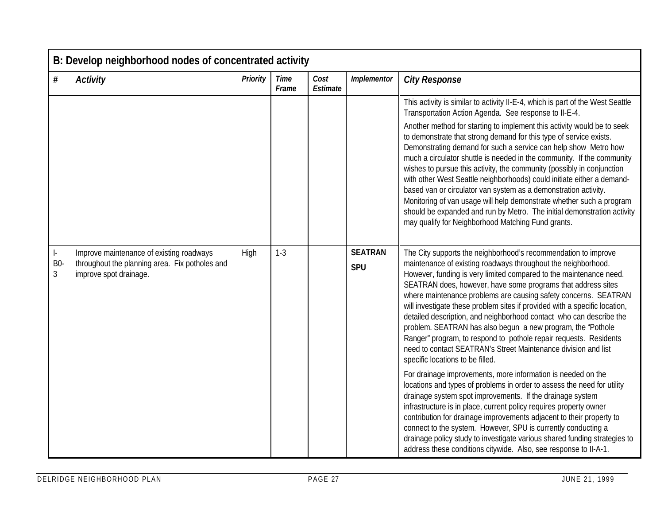|                       | B: Develop neighborhood nodes of concentrated activity                                                               |          |                      |                  |                              |                                                                                                                                                                                                                                                                                                                                                                                                                                                                                                                                                                                                                                                                                                                                                                                                                                                                                                                                                                                                                                                                                                                                                                                                                                                                                                                 |  |  |  |  |
|-----------------------|----------------------------------------------------------------------------------------------------------------------|----------|----------------------|------------------|------------------------------|-----------------------------------------------------------------------------------------------------------------------------------------------------------------------------------------------------------------------------------------------------------------------------------------------------------------------------------------------------------------------------------------------------------------------------------------------------------------------------------------------------------------------------------------------------------------------------------------------------------------------------------------------------------------------------------------------------------------------------------------------------------------------------------------------------------------------------------------------------------------------------------------------------------------------------------------------------------------------------------------------------------------------------------------------------------------------------------------------------------------------------------------------------------------------------------------------------------------------------------------------------------------------------------------------------------------|--|--|--|--|
| $\#$                  | <b>Activity</b>                                                                                                      | Priority | <b>Time</b><br>Frame | Cost<br>Estimate | Implementor                  | <b>City Response</b>                                                                                                                                                                                                                                                                                                                                                                                                                                                                                                                                                                                                                                                                                                                                                                                                                                                                                                                                                                                                                                                                                                                                                                                                                                                                                            |  |  |  |  |
|                       |                                                                                                                      |          |                      |                  |                              | This activity is similar to activity II-E-4, which is part of the West Seattle<br>Transportation Action Agenda. See response to II-E-4.<br>Another method for starting to implement this activity would be to seek<br>to demonstrate that strong demand for this type of service exists.<br>Demonstrating demand for such a service can help show Metro how<br>much a circulator shuttle is needed in the community. If the community<br>wishes to pursue this activity, the community (possibly in conjunction<br>with other West Seattle neighborhoods) could initiate either a demand-<br>based van or circulator van system as a demonstration activity.<br>Monitoring of van usage will help demonstrate whether such a program<br>should be expanded and run by Metro. The initial demonstration activity<br>may qualify for Neighborhood Matching Fund grants.                                                                                                                                                                                                                                                                                                                                                                                                                                           |  |  |  |  |
| ŀ.<br><b>B0-</b><br>3 | Improve maintenance of existing roadways<br>throughout the planning area. Fix potholes and<br>improve spot drainage. | High     | $1 - 3$              |                  | <b>SEATRAN</b><br><b>SPU</b> | The City supports the neighborhood's recommendation to improve<br>maintenance of existing roadways throughout the neighborhood.<br>However, funding is very limited compared to the maintenance need.<br>SEATRAN does, however, have some programs that address sites<br>where maintenance problems are causing safety concerns. SEATRAN<br>will investigate these problem sites if provided with a specific location,<br>detailed description, and neighborhood contact who can describe the<br>problem. SEATRAN has also begun a new program, the "Pothole<br>Ranger" program, to respond to pothole repair requests. Residents<br>need to contact SEATRAN's Street Maintenance division and list<br>specific locations to be filled.<br>For drainage improvements, more information is needed on the<br>locations and types of problems in order to assess the need for utility<br>drainage system spot improvements. If the drainage system<br>infrastructure is in place, current policy requires property owner<br>contribution for drainage improvements adjacent to their property to<br>connect to the system. However, SPU is currently conducting a<br>drainage policy study to investigate various shared funding strategies to<br>address these conditions citywide. Also, see response to II-A-1. |  |  |  |  |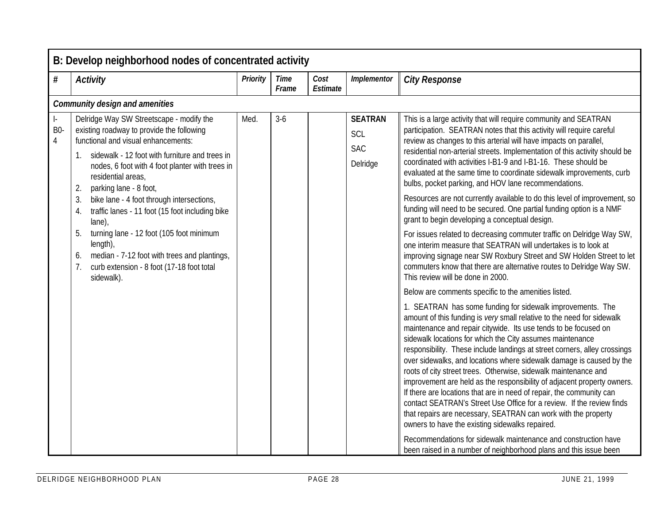|                       | B: Develop neighborhood nodes of concentrated activity                                                                                                                                                                                                                                                                                                                                                                                                                                                                                                                                                   |                 |                      |                  |                                                 |                                                                                                                                                                                                                                                                                                                                                                                                                                                                                                                                                                                                                                                                                                                                                                                                                                                                                                                                                                                                                                                                                                                                                                                                                                                                                                                                                                                                                                                                                                                                                                                                                                                                                                                                                                                                                                                                                                                                                                                                                                                                                        |  |  |  |  |  |
|-----------------------|----------------------------------------------------------------------------------------------------------------------------------------------------------------------------------------------------------------------------------------------------------------------------------------------------------------------------------------------------------------------------------------------------------------------------------------------------------------------------------------------------------------------------------------------------------------------------------------------------------|-----------------|----------------------|------------------|-------------------------------------------------|----------------------------------------------------------------------------------------------------------------------------------------------------------------------------------------------------------------------------------------------------------------------------------------------------------------------------------------------------------------------------------------------------------------------------------------------------------------------------------------------------------------------------------------------------------------------------------------------------------------------------------------------------------------------------------------------------------------------------------------------------------------------------------------------------------------------------------------------------------------------------------------------------------------------------------------------------------------------------------------------------------------------------------------------------------------------------------------------------------------------------------------------------------------------------------------------------------------------------------------------------------------------------------------------------------------------------------------------------------------------------------------------------------------------------------------------------------------------------------------------------------------------------------------------------------------------------------------------------------------------------------------------------------------------------------------------------------------------------------------------------------------------------------------------------------------------------------------------------------------------------------------------------------------------------------------------------------------------------------------------------------------------------------------------------------------------------------------|--|--|--|--|--|
| $\#$                  | <b>Activity</b>                                                                                                                                                                                                                                                                                                                                                                                                                                                                                                                                                                                          | <b>Priority</b> | <b>Time</b><br>Frame | Cost<br>Estimate | Implementor                                     | <b>City Response</b>                                                                                                                                                                                                                                                                                                                                                                                                                                                                                                                                                                                                                                                                                                                                                                                                                                                                                                                                                                                                                                                                                                                                                                                                                                                                                                                                                                                                                                                                                                                                                                                                                                                                                                                                                                                                                                                                                                                                                                                                                                                                   |  |  |  |  |  |
|                       | <b>Community design and amenities</b>                                                                                                                                                                                                                                                                                                                                                                                                                                                                                                                                                                    |                 |                      |                  |                                                 |                                                                                                                                                                                                                                                                                                                                                                                                                                                                                                                                                                                                                                                                                                                                                                                                                                                                                                                                                                                                                                                                                                                                                                                                                                                                                                                                                                                                                                                                                                                                                                                                                                                                                                                                                                                                                                                                                                                                                                                                                                                                                        |  |  |  |  |  |
| ŀ.<br><b>B0-</b><br>4 | Delridge Way SW Streetscape - modify the<br>existing roadway to provide the following<br>functional and visual enhancements:<br>1. sidewalk - 12 foot with furniture and trees in<br>nodes, 6 foot with 4 foot planter with trees in<br>residential areas,<br>parking lane - 8 foot,<br>2.<br>3.<br>bike lane - 4 foot through intersections,<br>traffic lanes - 11 foot (15 foot including bike<br>4.<br>$lane)$ ,<br>5.<br>turning lane - 12 foot (105 foot minimum<br>length),<br>median - 7-12 foot with trees and plantings,<br>6.<br>7.<br>curb extension - 8 foot (17-18 foot total<br>sidewalk). | Med.            | $3-6$                |                  | <b>SEATRAN</b><br>SCL<br><b>SAC</b><br>Delridge | This is a large activity that will require community and SEATRAN<br>participation. SEATRAN notes that this activity will require careful<br>review as changes to this arterial will have impacts on parallel,<br>residential non-arterial streets. Implementation of this activity should be<br>coordinated with activities I-B1-9 and I-B1-16. These should be<br>evaluated at the same time to coordinate sidewalk improvements, curb<br>bulbs, pocket parking, and HOV lane recommendations.<br>Resources are not currently available to do this level of improvement, so<br>funding will need to be secured. One partial funding option is a NMF<br>grant to begin developing a conceptual design.<br>For issues related to decreasing commuter traffic on Delridge Way SW,<br>one interim measure that SEATRAN will undertakes is to look at<br>improving signage near SW Roxbury Street and SW Holden Street to let<br>commuters know that there are alternative routes to Delridge Way SW.<br>This review will be done in 2000.<br>Below are comments specific to the amenities listed.<br>1. SEATRAN has some funding for sidewalk improvements. The<br>amount of this funding is very small relative to the need for sidewalk<br>maintenance and repair citywide. Its use tends to be focused on<br>sidewalk locations for which the City assumes maintenance<br>responsibility. These include landings at street corners, alley crossings<br>over sidewalks, and locations where sidewalk damage is caused by the<br>roots of city street trees. Otherwise, sidewalk maintenance and<br>improvement are held as the responsibility of adjacent property owners.<br>If there are locations that are in need of repair, the community can<br>contact SEATRAN's Street Use Office for a review. If the review finds<br>that repairs are necessary, SEATRAN can work with the property<br>owners to have the existing sidewalks repaired.<br>Recommendations for sidewalk maintenance and construction have<br>been raised in a number of neighborhood plans and this issue been |  |  |  |  |  |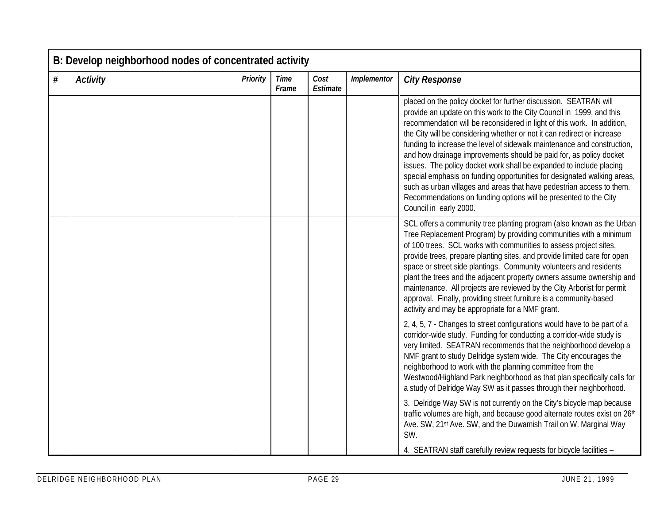|   | B: Develop neighborhood nodes of concentrated activity |          |                      |                  |             |                                                                                                                                                                                                                                                                                                                                                                                                                                                                                                                                                                                                                                                                                                                                                                          |  |  |  |  |
|---|--------------------------------------------------------|----------|----------------------|------------------|-------------|--------------------------------------------------------------------------------------------------------------------------------------------------------------------------------------------------------------------------------------------------------------------------------------------------------------------------------------------------------------------------------------------------------------------------------------------------------------------------------------------------------------------------------------------------------------------------------------------------------------------------------------------------------------------------------------------------------------------------------------------------------------------------|--|--|--|--|
| # | <b>Activity</b>                                        | Priority | <b>Time</b><br>Frame | Cost<br>Estimate | Implementor | <b>City Response</b>                                                                                                                                                                                                                                                                                                                                                                                                                                                                                                                                                                                                                                                                                                                                                     |  |  |  |  |
|   |                                                        |          |                      |                  |             | placed on the policy docket for further discussion. SEATRAN will<br>provide an update on this work to the City Council in 1999, and this<br>recommendation will be reconsidered in light of this work. In addition,<br>the City will be considering whether or not it can redirect or increase<br>funding to increase the level of sidewalk maintenance and construction,<br>and how drainage improvements should be paid for, as policy docket<br>issues. The policy docket work shall be expanded to include placing<br>special emphasis on funding opportunities for designated walking areas,<br>such as urban villages and areas that have pedestrian access to them.<br>Recommendations on funding options will be presented to the City<br>Council in early 2000. |  |  |  |  |
|   |                                                        |          |                      |                  |             | SCL offers a community tree planting program (also known as the Urban<br>Tree Replacement Program) by providing communities with a minimum<br>of 100 trees. SCL works with communities to assess project sites,<br>provide trees, prepare planting sites, and provide limited care for open<br>space or street side plantings. Community volunteers and residents<br>plant the trees and the adjacent property owners assume ownership and<br>maintenance. All projects are reviewed by the City Arborist for permit<br>approval. Finally, providing street furniture is a community-based<br>activity and may be appropriate for a NMF grant.                                                                                                                           |  |  |  |  |
|   |                                                        |          |                      |                  |             | 2, 4, 5, 7 - Changes to street configurations would have to be part of a<br>corridor-wide study. Funding for conducting a corridor-wide study is<br>very limited. SEATRAN recommends that the neighborhood develop a<br>NMF grant to study Delridge system wide. The City encourages the<br>neighborhood to work with the planning committee from the<br>Westwood/Highland Park neighborhood as that plan specifically calls for<br>a study of Delridge Way SW as it passes through their neighborhood.                                                                                                                                                                                                                                                                  |  |  |  |  |
|   |                                                        |          |                      |                  |             | 3. Delridge Way SW is not currently on the City's bicycle map because<br>traffic volumes are high, and because good alternate routes exist on 26th<br>Ave. SW, 21st Ave. SW, and the Duwamish Trail on W. Marginal Way<br>SW.<br>4. SEATRAN staff carefully review requests for bicycle facilities -                                                                                                                                                                                                                                                                                                                                                                                                                                                                     |  |  |  |  |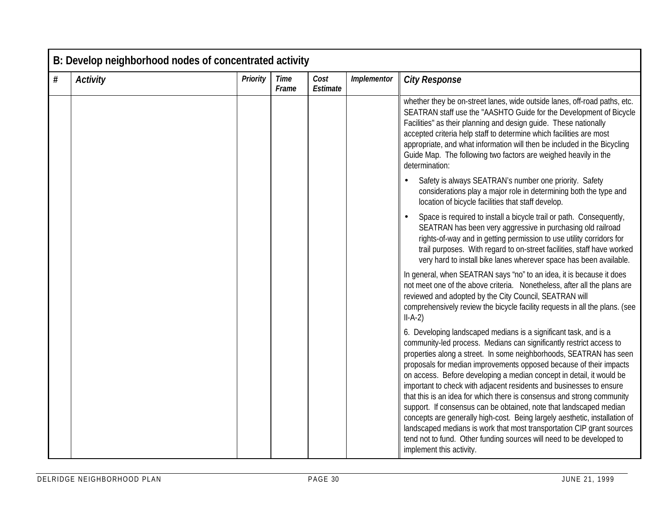|   | B: Develop neighborhood nodes of concentrated activity |                 |                      |                  |             |                                                                                                                                                                                                                                                                                                                                                                                                                                                                                                                                                                                                                                                                                                                                                                                                                                               |  |  |  |
|---|--------------------------------------------------------|-----------------|----------------------|------------------|-------------|-----------------------------------------------------------------------------------------------------------------------------------------------------------------------------------------------------------------------------------------------------------------------------------------------------------------------------------------------------------------------------------------------------------------------------------------------------------------------------------------------------------------------------------------------------------------------------------------------------------------------------------------------------------------------------------------------------------------------------------------------------------------------------------------------------------------------------------------------|--|--|--|
| # | <b>Activity</b>                                        | <b>Priority</b> | <b>Time</b><br>Frame | Cost<br>Estimate | Implementor | <b>City Response</b>                                                                                                                                                                                                                                                                                                                                                                                                                                                                                                                                                                                                                                                                                                                                                                                                                          |  |  |  |
|   |                                                        |                 |                      |                  |             | whether they be on-street lanes, wide outside lanes, off-road paths, etc.<br>SEATRAN staff use the "AASHTO Guide for the Development of Bicycle<br>Facilities" as their planning and design guide. These nationally<br>accepted criteria help staff to determine which facilities are most<br>appropriate, and what information will then be included in the Bicycling<br>Guide Map. The following two factors are weighed heavily in the<br>determination:                                                                                                                                                                                                                                                                                                                                                                                   |  |  |  |
|   |                                                        |                 |                      |                  |             | Safety is always SEATRAN's number one priority. Safety<br>considerations play a major role in determining both the type and<br>location of bicycle facilities that staff develop.                                                                                                                                                                                                                                                                                                                                                                                                                                                                                                                                                                                                                                                             |  |  |  |
|   |                                                        |                 |                      |                  |             | Space is required to install a bicycle trail or path. Consequently,<br>SEATRAN has been very aggressive in purchasing old railroad<br>rights-of-way and in getting permission to use utility corridors for<br>trail purposes. With regard to on-street facilities, staff have worked<br>very hard to install bike lanes wherever space has been available.                                                                                                                                                                                                                                                                                                                                                                                                                                                                                    |  |  |  |
|   |                                                        |                 |                      |                  |             | In general, when SEATRAN says 'ho" to an idea, it is because it does<br>not meet one of the above criteria. Nonetheless, after all the plans are<br>reviewed and adopted by the City Council, SEATRAN will<br>comprehensively review the bicycle facility requests in all the plans. (see<br>$II-A-2)$                                                                                                                                                                                                                                                                                                                                                                                                                                                                                                                                        |  |  |  |
|   |                                                        |                 |                      |                  |             | 6. Developing landscaped medians is a significant task, and is a<br>community-led process. Medians can significantly restrict access to<br>properties along a street. In some neighborhoods, SEATRAN has seen<br>proposals for median improvements opposed because of their impacts<br>on access. Before developing a median concept in detail, it would be<br>important to check with adjacent residents and businesses to ensure<br>that this is an idea for which there is consensus and strong community<br>support. If consensus can be obtained, note that landscaped median<br>concepts are generally high-cost. Being largely aesthetic, installation of<br>landscaped medians is work that most transportation CIP grant sources<br>tend not to fund. Other funding sources will need to be developed to<br>implement this activity. |  |  |  |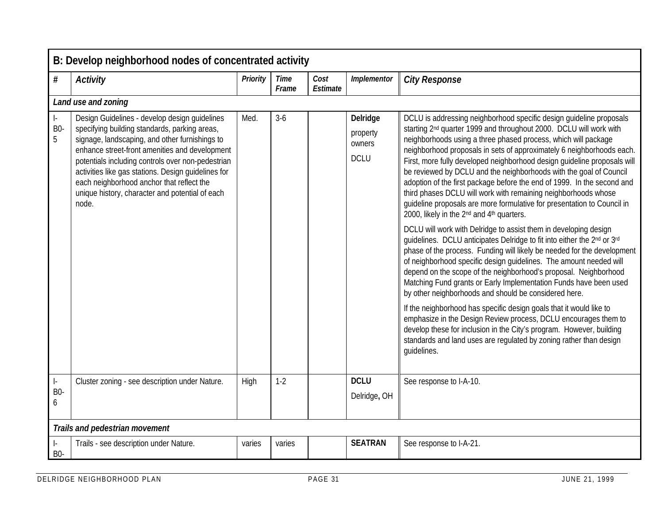|                                                  | B: Develop neighborhood nodes of concentrated activity                                                                                                                                                                                                                                                                                                                                                                  |                 |                      |                  |                                               |                                                                                                                                                                                                                                                                                                                                                                                                                                                                                                                                                                                                                                                                                                                                                                                                                                                                                                                                                                                                                                                                                                                                                                                                                                                                                                                                                                                                                                                                                                                                                          |  |  |  |  |  |  |
|--------------------------------------------------|-------------------------------------------------------------------------------------------------------------------------------------------------------------------------------------------------------------------------------------------------------------------------------------------------------------------------------------------------------------------------------------------------------------------------|-----------------|----------------------|------------------|-----------------------------------------------|----------------------------------------------------------------------------------------------------------------------------------------------------------------------------------------------------------------------------------------------------------------------------------------------------------------------------------------------------------------------------------------------------------------------------------------------------------------------------------------------------------------------------------------------------------------------------------------------------------------------------------------------------------------------------------------------------------------------------------------------------------------------------------------------------------------------------------------------------------------------------------------------------------------------------------------------------------------------------------------------------------------------------------------------------------------------------------------------------------------------------------------------------------------------------------------------------------------------------------------------------------------------------------------------------------------------------------------------------------------------------------------------------------------------------------------------------------------------------------------------------------------------------------------------------------|--|--|--|--|--|--|
| $\#$                                             | <b>Activity</b>                                                                                                                                                                                                                                                                                                                                                                                                         | <b>Priority</b> | <b>Time</b><br>Frame | Cost<br>Estimate | Implementor                                   | <b>City Response</b>                                                                                                                                                                                                                                                                                                                                                                                                                                                                                                                                                                                                                                                                                                                                                                                                                                                                                                                                                                                                                                                                                                                                                                                                                                                                                                                                                                                                                                                                                                                                     |  |  |  |  |  |  |
|                                                  | Land use and zoning                                                                                                                                                                                                                                                                                                                                                                                                     |                 |                      |                  |                                               |                                                                                                                                                                                                                                                                                                                                                                                                                                                                                                                                                                                                                                                                                                                                                                                                                                                                                                                                                                                                                                                                                                                                                                                                                                                                                                                                                                                                                                                                                                                                                          |  |  |  |  |  |  |
| $\vert$ -<br><b>B0-</b><br>5                     | Design Guidelines - develop design guidelines<br>specifying building standards, parking areas,<br>signage, landscaping, and other furnishings to<br>enhance street-front amenities and development<br>potentials including controls over non-pedestrian<br>activities like gas stations. Design quidelines for<br>each neighborhood anchor that reflect the<br>unique history, character and potential of each<br>node. | Med.            | $3-6$                |                  | Delridge<br>property<br>owners<br><b>DCLU</b> | DCLU is addressing neighborhood specific design guideline proposals<br>starting 2 <sup>nd</sup> quarter 1999 and throughout 2000. DCLU will work with<br>neighborhoods using a three phased process, which will package<br>neighborhood proposals in sets of approximately 6 neighborhoods each.<br>First, more fully developed neighborhood design guideline proposals will<br>be reviewed by DCLU and the neighborhoods with the goal of Council<br>adoption of the first package before the end of 1999. In the second and<br>third phases DCLU will work with remaining neighborhoods whose<br>guideline proposals are more formulative for presentation to Council in<br>2000, likely in the 2 <sup>nd</sup> and 4 <sup>th</sup> quarters.<br>DCLU will work with Delridge to assist them in developing design<br>guidelines. DCLU anticipates Delridge to fit into either the 2nd or 3rd<br>phase of the process. Funding will likely be needed for the development<br>of neighborhood specific design quidelines. The amount needed will<br>depend on the scope of the neighborhood's proposal. Neighborhood<br>Matching Fund grants or Early Implementation Funds have been used<br>by other neighborhoods and should be considered here.<br>If the neighborhood has specific design goals that it would like to<br>emphasize in the Design Review process, DCLU encourages them to<br>develop these for inclusion in the City's program. However, building<br>standards and land uses are regulated by zoning rather than design<br>guidelines. |  |  |  |  |  |  |
| $\left\vert \cdot\right\vert$<br><b>B0-</b><br>6 | Cluster zoning - see description under Nature.                                                                                                                                                                                                                                                                                                                                                                          | High            | $1 - 2$              |                  | <b>DCLU</b><br>Delridge, OH                   | See response to I-A-10.                                                                                                                                                                                                                                                                                                                                                                                                                                                                                                                                                                                                                                                                                                                                                                                                                                                                                                                                                                                                                                                                                                                                                                                                                                                                                                                                                                                                                                                                                                                                  |  |  |  |  |  |  |
|                                                  | Trails and pedestrian movement                                                                                                                                                                                                                                                                                                                                                                                          |                 |                      |                  |                                               |                                                                                                                                                                                                                                                                                                                                                                                                                                                                                                                                                                                                                                                                                                                                                                                                                                                                                                                                                                                                                                                                                                                                                                                                                                                                                                                                                                                                                                                                                                                                                          |  |  |  |  |  |  |
| $\vert$ -<br><b>B0-</b>                          | Trails - see description under Nature.                                                                                                                                                                                                                                                                                                                                                                                  | varies          | varies               |                  | <b>SEATRAN</b>                                | See response to I-A-21.                                                                                                                                                                                                                                                                                                                                                                                                                                                                                                                                                                                                                                                                                                                                                                                                                                                                                                                                                                                                                                                                                                                                                                                                                                                                                                                                                                                                                                                                                                                                  |  |  |  |  |  |  |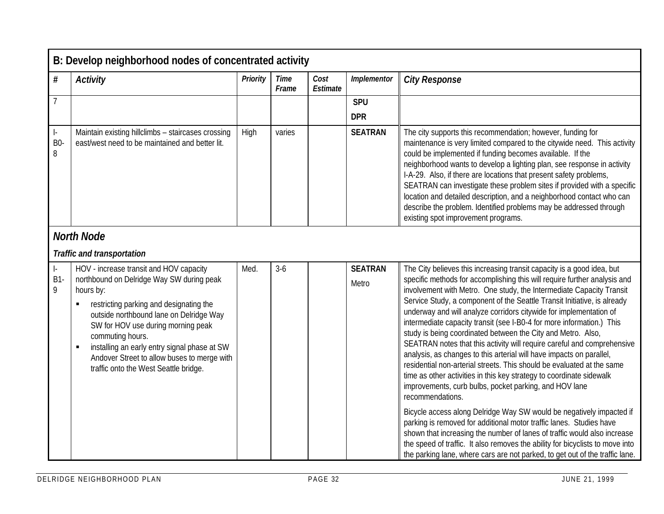|                                  | B: Develop neighborhood nodes of concentrated activity                                                                                                                                                                                                                                                                                                                                         |                 |                      |                  |                          |                                                                                                                                                                                                                                                                                                                                                                                                                                                                                                                                                                                                                                                                                                                                                                                                                                                                                                           |  |  |  |
|----------------------------------|------------------------------------------------------------------------------------------------------------------------------------------------------------------------------------------------------------------------------------------------------------------------------------------------------------------------------------------------------------------------------------------------|-----------------|----------------------|------------------|--------------------------|-----------------------------------------------------------------------------------------------------------------------------------------------------------------------------------------------------------------------------------------------------------------------------------------------------------------------------------------------------------------------------------------------------------------------------------------------------------------------------------------------------------------------------------------------------------------------------------------------------------------------------------------------------------------------------------------------------------------------------------------------------------------------------------------------------------------------------------------------------------------------------------------------------------|--|--|--|
| $\#$                             | <b>Activity</b>                                                                                                                                                                                                                                                                                                                                                                                | <b>Priority</b> | <b>Time</b><br>Frame | Cost<br>Estimate | Implementor              | <b>City Response</b>                                                                                                                                                                                                                                                                                                                                                                                                                                                                                                                                                                                                                                                                                                                                                                                                                                                                                      |  |  |  |
| $\overline{7}$                   |                                                                                                                                                                                                                                                                                                                                                                                                |                 |                      |                  | <b>SPU</b><br><b>DPR</b> |                                                                                                                                                                                                                                                                                                                                                                                                                                                                                                                                                                                                                                                                                                                                                                                                                                                                                                           |  |  |  |
| $\vert$ -<br>B <sub>0</sub><br>8 | Maintain existing hillclimbs - staircases crossing<br>east/west need to be maintained and better lit.                                                                                                                                                                                                                                                                                          | High            | varies               |                  | <b>SEATRAN</b>           | The city supports this recommendation; however, funding for<br>maintenance is very limited compared to the citywide need. This activity<br>could be implemented if funding becomes available. If the<br>neighborhood wants to develop a lighting plan, see response in activity<br>I-A-29. Also, if there are locations that present safety problems,<br>SEATRAN can investigate these problem sites if provided with a specific<br>location and detailed description, and a neighborhood contact who can<br>describe the problem. Identified problems may be addressed through<br>existing spot improvement programs.                                                                                                                                                                                                                                                                                    |  |  |  |
|                                  | <b>North Node</b>                                                                                                                                                                                                                                                                                                                                                                              |                 |                      |                  |                          |                                                                                                                                                                                                                                                                                                                                                                                                                                                                                                                                                                                                                                                                                                                                                                                                                                                                                                           |  |  |  |
|                                  | <b>Traffic and transportation</b>                                                                                                                                                                                                                                                                                                                                                              |                 |                      |                  |                          |                                                                                                                                                                                                                                                                                                                                                                                                                                                                                                                                                                                                                                                                                                                                                                                                                                                                                                           |  |  |  |
| $\vert$ -<br>B1-<br>9            | HOV - increase transit and HOV capacity<br>northbound on Delridge Way SW during peak<br>hours by:<br>restricting parking and designating the<br>outside northbound lane on Delridge Way<br>SW for HOV use during morning peak<br>commuting hours.<br>installing an early entry signal phase at SW<br>٠<br>Andover Street to allow buses to merge with<br>traffic onto the West Seattle bridge. | Med.            | $3 - 6$              |                  | <b>SEATRAN</b><br>Metro  | The City believes this increasing transit capacity is a good idea, but<br>specific methods for accomplishing this will require further analysis and<br>involvement with Metro. One study, the Intermediate Capacity Transit<br>Service Study, a component of the Seattle Transit Initiative, is already<br>underway and will analyze corridors citywide for implementation of<br>intermediate capacity transit (see I-B0-4 for more information.) This<br>study is being coordinated between the City and Metro. Also,<br>SEATRAN notes that this activity will require careful and comprehensive<br>analysis, as changes to this arterial will have impacts on parallel,<br>residential non-arterial streets. This should be evaluated at the same<br>time as other activities in this key strategy to coordinate sidewalk<br>improvements, curb bulbs, pocket parking, and HOV lane<br>recommendations. |  |  |  |
|                                  |                                                                                                                                                                                                                                                                                                                                                                                                |                 |                      |                  |                          | Bicycle access along Delridge Way SW would be negatively impacted if<br>parking is removed for additional motor traffic lanes. Studies have<br>shown that increasing the number of lanes of traffic would also increase<br>the speed of traffic. It also removes the ability for bicyclists to move into<br>the parking lane, where cars are not parked, to get out of the traffic lane.                                                                                                                                                                                                                                                                                                                                                                                                                                                                                                                  |  |  |  |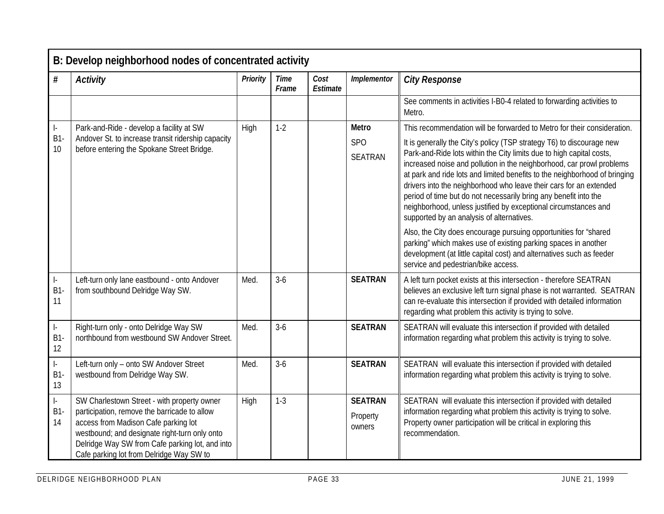|                                                               | B: Develop neighborhood nodes of concentrated activity                                                                                                                                                                                                                              |          |                      |                  |                                      |                                                                                                                                                                                                                                                                                                                                                                                                                                                                                                                                                                |  |
|---------------------------------------------------------------|-------------------------------------------------------------------------------------------------------------------------------------------------------------------------------------------------------------------------------------------------------------------------------------|----------|----------------------|------------------|--------------------------------------|----------------------------------------------------------------------------------------------------------------------------------------------------------------------------------------------------------------------------------------------------------------------------------------------------------------------------------------------------------------------------------------------------------------------------------------------------------------------------------------------------------------------------------------------------------------|--|
| $\#$                                                          | <b>Activity</b>                                                                                                                                                                                                                                                                     | Priority | <b>Time</b><br>Frame | Cost<br>Estimate | Implementor                          | <b>City Response</b>                                                                                                                                                                                                                                                                                                                                                                                                                                                                                                                                           |  |
|                                                               |                                                                                                                                                                                                                                                                                     |          |                      |                  |                                      | See comments in activities I-B0-4 related to forwarding activities to<br>Metro.                                                                                                                                                                                                                                                                                                                                                                                                                                                                                |  |
| ŀ.                                                            | Park-and-Ride - develop a facility at SW                                                                                                                                                                                                                                            | High     | $1-2$                |                  | <b>Metro</b>                         | This recommendation will be forwarded to Metro for their consideration.                                                                                                                                                                                                                                                                                                                                                                                                                                                                                        |  |
| <b>B1</b><br>10                                               | Andover St. to increase transit ridership capacity<br>before entering the Spokane Street Bridge.                                                                                                                                                                                    |          |                      |                  | SP <sub>O</sub><br><b>SEATRAN</b>    | It is generally the City's policy (TSP strategy T6) to discourage new<br>Park-and-Ride lots within the City limits due to high capital costs,<br>increased noise and pollution in the neighborhood, car prowl problems<br>at park and ride lots and limited benefits to the neighborhood of bringing<br>drivers into the neighborhood who leave their cars for an extended<br>period of time but do not necessarily bring any benefit into the<br>neighborhood, unless justified by exceptional circumstances and<br>supported by an analysis of alternatives. |  |
|                                                               |                                                                                                                                                                                                                                                                                     |          |                      |                  |                                      | Also, the City does encourage pursuing opportunities for "shared<br>parking" which makes use of existing parking spaces in another<br>development (at little capital cost) and alternatives such as feeder<br>service and pedestrian/bike access.                                                                                                                                                                                                                                                                                                              |  |
| $\vert$ -<br>B1<br>11                                         | Left-turn only lane eastbound - onto Andover<br>from southbound Delridge Way SW.                                                                                                                                                                                                    | Med.     | $3-6$                |                  | <b>SEATRAN</b>                       | A left turn pocket exists at this intersection - therefore SEATRAN<br>believes an exclusive left turn signal phase is not warranted. SEATRAN<br>can re-evaluate this intersection if provided with detailed information<br>regarding what problem this activity is trying to solve.                                                                                                                                                                                                                                                                            |  |
| $\begin{bmatrix} 1 & 1 \\ 1 & 1 \end{bmatrix}$<br>$B1-$<br>12 | Right-turn only - onto Delridge Way SW<br>northbound from westbound SW Andover Street.                                                                                                                                                                                              | Med.     | $3-6$                |                  | <b>SEATRAN</b>                       | SEATRAN will evaluate this intersection if provided with detailed<br>information regarding what problem this activity is trying to solve.                                                                                                                                                                                                                                                                                                                                                                                                                      |  |
| $\left\vert \cdot\right\vert$<br><b>B1</b><br>13              | Left-turn only - onto SW Andover Street<br>westbound from Delridge Way SW.                                                                                                                                                                                                          | Med.     | $3-6$                |                  | <b>SEATRAN</b>                       | SEATRAN will evaluate this intersection if provided with detailed<br>information regarding what problem this activity is trying to solve.                                                                                                                                                                                                                                                                                                                                                                                                                      |  |
| $\begin{bmatrix} 1 & 1 \\ 1 & 1 \end{bmatrix}$<br>B1<br>14    | SW Charlestown Street - with property owner<br>participation, remove the barricade to allow<br>access from Madison Cafe parking lot<br>westbound; and designate right-turn only onto<br>Delridge Way SW from Cafe parking lot, and into<br>Cafe parking lot from Delridge Way SW to | High     | $1 - 3$              |                  | <b>SEATRAN</b><br>Property<br>owners | SEATRAN will evaluate this intersection if provided with detailed<br>information regarding what problem this activity is trying to solve.<br>Property owner participation will be critical in exploring this<br>recommendation.                                                                                                                                                                                                                                                                                                                                |  |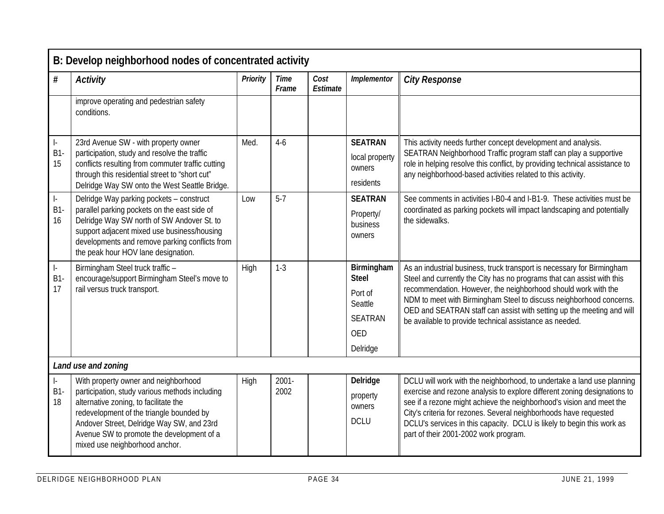| B: Develop neighborhood nodes of concentrated activity |                                                                                                                                                                                                                                                                                                         |          |                      |                  |                                                                                              |                                                                                                                                                                                                                                                                                                                                                                                                                               |  |  |
|--------------------------------------------------------|---------------------------------------------------------------------------------------------------------------------------------------------------------------------------------------------------------------------------------------------------------------------------------------------------------|----------|----------------------|------------------|----------------------------------------------------------------------------------------------|-------------------------------------------------------------------------------------------------------------------------------------------------------------------------------------------------------------------------------------------------------------------------------------------------------------------------------------------------------------------------------------------------------------------------------|--|--|
| #                                                      | <b>Activity</b>                                                                                                                                                                                                                                                                                         | Priority | <b>Time</b><br>Frame | Cost<br>Estimate | Implementor                                                                                  | <b>City Response</b>                                                                                                                                                                                                                                                                                                                                                                                                          |  |  |
|                                                        | improve operating and pedestrian safety<br>conditions.                                                                                                                                                                                                                                                  |          |                      |                  |                                                                                              |                                                                                                                                                                                                                                                                                                                                                                                                                               |  |  |
| $\vert$ -<br>B1<br>15                                  | 23rd Avenue SW - with property owner<br>participation, study and resolve the traffic<br>conflicts resulting from commuter traffic cutting<br>through this residential street to "short cut"<br>Delridge Way SW onto the West Seattle Bridge.                                                            | Med.     | $4-6$                |                  | <b>SEATRAN</b><br>local property<br>owners<br>residents                                      | This activity needs further concept development and analysis.<br>SEATRAN Neighborhood Traffic program staff can play a supportive<br>role in helping resolve this conflict, by providing technical assistance to<br>any neighborhood-based activities related to this activity.                                                                                                                                               |  |  |
| $\vert$ -<br>$B1-$<br>16                               | Delridge Way parking pockets - construct<br>parallel parking pockets on the east side of<br>Delridge Way SW north of SW Andover St. to<br>support adjacent mixed use business/housing<br>developments and remove parking conflicts from<br>the peak hour HOV lane designation.                          | Low      | $5 - 7$              |                  | <b>SEATRAN</b><br>Property/<br>business<br>owners                                            | See comments in activities I-B0-4 and I-B1-9. These activities must be<br>coordinated as parking pockets will impact landscaping and potentially<br>the sidewalks.                                                                                                                                                                                                                                                            |  |  |
| $\left\vert -\right\rangle$<br>B1<br>17                | Birmingham Steel truck traffic -<br>encourage/support Birmingham Steel's move to<br>rail versus truck transport.                                                                                                                                                                                        | High     | $1 - 3$              |                  | Birmingham<br><b>Steel</b><br>Port of<br>Seattle<br><b>SEATRAN</b><br><b>OED</b><br>Delridge | As an industrial business, truck transport is necessary for Birmingham<br>Steel and currently the City has no programs that can assist with this<br>recommendation. However, the neighborhood should work with the<br>NDM to meet with Birmingham Steel to discuss neighborhood concerns.<br>OED and SEATRAN staff can assist with setting up the meeting and will<br>be available to provide technical assistance as needed. |  |  |
| Land use and zoning                                    |                                                                                                                                                                                                                                                                                                         |          |                      |                  |                                                                                              |                                                                                                                                                                                                                                                                                                                                                                                                                               |  |  |
| $\left\vert -\right\rangle$<br>$B1-$<br>18             | With property owner and neighborhood<br>participation, study various methods including<br>alternative zoning, to facilitate the<br>redevelopment of the triangle bounded by<br>Andover Street, Delridge Way SW, and 23rd<br>Avenue SW to promote the development of a<br>mixed use neighborhood anchor. | High     | $2001 -$<br>2002     |                  | Delridge<br>property<br>owners<br><b>DCLU</b>                                                | DCLU will work with the neighborhood, to undertake a land use planning<br>exercise and rezone analysis to explore different zoning designations to<br>see if a rezone might achieve the neighborhood's vision and meet the<br>City's criteria for rezones. Several neighborhoods have requested<br>DCLU's services in this capacity. DCLU is likely to begin this work as<br>part of their 2001-2002 work program.            |  |  |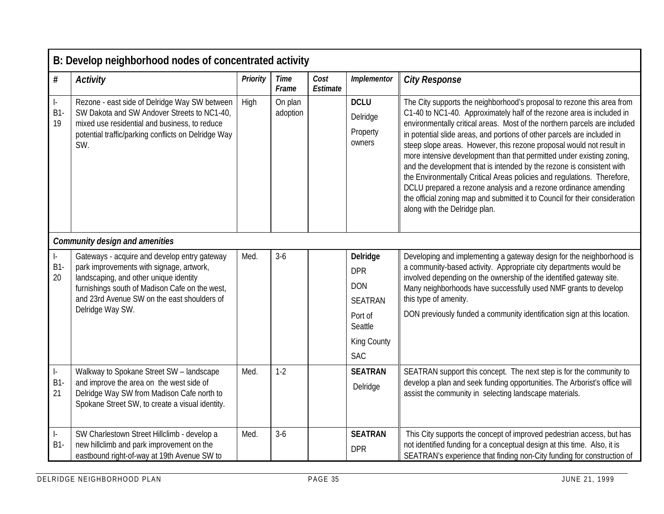|                                                | B: Develop neighborhood nodes of concentrated activity                                                                                                                                                                                                  |          |                      |                  |                                                                                                           |                                                                                                                                                                                                                                                                                                                                                                                                                                                                                                                                                                                                                                                                                                                                                                                                 |  |  |  |
|------------------------------------------------|---------------------------------------------------------------------------------------------------------------------------------------------------------------------------------------------------------------------------------------------------------|----------|----------------------|------------------|-----------------------------------------------------------------------------------------------------------|-------------------------------------------------------------------------------------------------------------------------------------------------------------------------------------------------------------------------------------------------------------------------------------------------------------------------------------------------------------------------------------------------------------------------------------------------------------------------------------------------------------------------------------------------------------------------------------------------------------------------------------------------------------------------------------------------------------------------------------------------------------------------------------------------|--|--|--|
| $\#$                                           | <b>Activity</b>                                                                                                                                                                                                                                         | Priority | <b>Time</b><br>Frame | Cost<br>Estimate | Implementor                                                                                               | <b>City Response</b>                                                                                                                                                                                                                                                                                                                                                                                                                                                                                                                                                                                                                                                                                                                                                                            |  |  |  |
| $\left\vert \cdot\right\rangle$<br>$B1-$<br>19 | Rezone - east side of Delridge Way SW between<br>SW Dakota and SW Andover Streets to NC1-40,<br>mixed use residential and business, to reduce<br>potential traffic/parking conflicts on Delridge Way<br>SW.                                             | High     | On plan<br>adoption  |                  | <b>DCLU</b><br>Delridge<br>Property<br>owners                                                             | The City supports the neighborhood's proposal to rezone this area from<br>C1-40 to NC1-40. Approximately half of the rezone area is included in<br>environmentally critical areas. Most of the northern parcels are included<br>in potential slide areas, and portions of other parcels are included in<br>steep slope areas. However, this rezone proposal would not result in<br>more intensive development than that permitted under existing zoning,<br>and the development that is intended by the rezone is consistent with<br>the Environmentally Critical Areas policies and regulations. Therefore,<br>DCLU prepared a rezone analysis and a rezone ordinance amending<br>the official zoning map and submitted it to Council for their consideration<br>along with the Delridge plan. |  |  |  |
|                                                | <b>Community design and amenities</b>                                                                                                                                                                                                                   |          |                      |                  |                                                                                                           |                                                                                                                                                                                                                                                                                                                                                                                                                                                                                                                                                                                                                                                                                                                                                                                                 |  |  |  |
| $\vert$ -<br>B1<br>20                          | Gateways - acquire and develop entry gateway<br>park improvements with signage, artwork,<br>landscaping, and other unique identity<br>furnishings south of Madison Cafe on the west,<br>and 23rd Avenue SW on the east shoulders of<br>Delridge Way SW. | Med.     | $3-6$                |                  | Delridge<br><b>DPR</b><br><b>DON</b><br><b>SEATRAN</b><br>Port of<br>Seattle<br>King County<br><b>SAC</b> | Developing and implementing a gateway design for the neighborhood is<br>a community-based activity. Appropriate city departments would be<br>involved depending on the ownership of the identified gateway site.<br>Many neighborhoods have successfully used NMF grants to develop<br>this type of amenity.<br>DON previously funded a community identification sign at this location.                                                                                                                                                                                                                                                                                                                                                                                                         |  |  |  |
| $\Big\vert \, .$<br>B1<br>21                   | Walkway to Spokane Street SW - landscape<br>and improve the area on the west side of<br>Delridge Way SW from Madison Cafe north to<br>Spokane Street SW, to create a visual identity.                                                                   | Med.     | $1-2$                |                  | <b>SEATRAN</b><br>Delridge                                                                                | SEATRAN support this concept. The next step is for the community to<br>develop a plan and seek funding opportunities. The Arborist's office will<br>assist the community in selecting landscape materials.                                                                                                                                                                                                                                                                                                                                                                                                                                                                                                                                                                                      |  |  |  |
| ŀ.<br>$B1-$                                    | SW Charlestown Street Hillclimb - develop a<br>new hillclimb and park improvement on the<br>eastbound right-of-way at 19th Avenue SW to                                                                                                                 | Med.     | $3-6$                |                  | <b>SEATRAN</b><br><b>DPR</b>                                                                              | This City supports the concept of improved pedestrian access, but has<br>not identified funding for a conceptual design at this time. Also, it is<br>SEATRAN's experience that finding non-City funding for construction of                                                                                                                                                                                                                                                                                                                                                                                                                                                                                                                                                                     |  |  |  |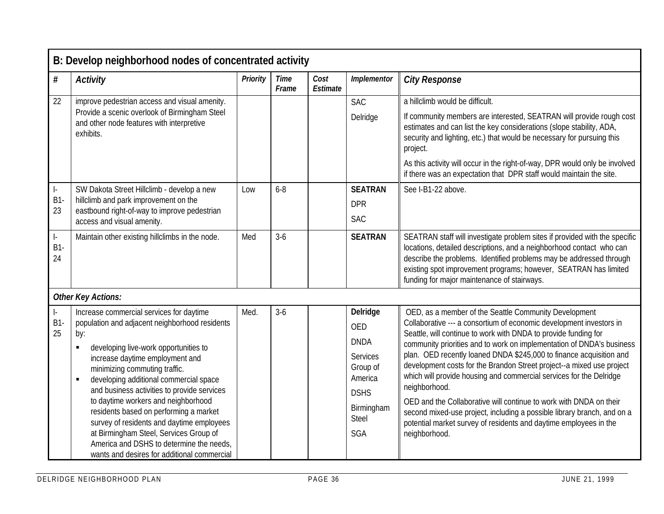| B: Develop neighborhood nodes of concentrated activity |                                                                                                                                                                                                                                                                                                                                                                                                                                                                                                                                                                                              |                 |                      |                  |                                                                                                                                     |                                                                                                                                                                                                                                                                                                                                                                                                                                                                                                                                                                                                                                                                                                                                                         |
|--------------------------------------------------------|----------------------------------------------------------------------------------------------------------------------------------------------------------------------------------------------------------------------------------------------------------------------------------------------------------------------------------------------------------------------------------------------------------------------------------------------------------------------------------------------------------------------------------------------------------------------------------------------|-----------------|----------------------|------------------|-------------------------------------------------------------------------------------------------------------------------------------|---------------------------------------------------------------------------------------------------------------------------------------------------------------------------------------------------------------------------------------------------------------------------------------------------------------------------------------------------------------------------------------------------------------------------------------------------------------------------------------------------------------------------------------------------------------------------------------------------------------------------------------------------------------------------------------------------------------------------------------------------------|
| $\#$                                                   | <b>Activity</b>                                                                                                                                                                                                                                                                                                                                                                                                                                                                                                                                                                              | <b>Priority</b> | <b>Time</b><br>Frame | Cost<br>Estimate | Implementor                                                                                                                         | <b>City Response</b>                                                                                                                                                                                                                                                                                                                                                                                                                                                                                                                                                                                                                                                                                                                                    |
| 22                                                     | improve pedestrian access and visual amenity.                                                                                                                                                                                                                                                                                                                                                                                                                                                                                                                                                |                 |                      |                  | <b>SAC</b>                                                                                                                          | a hillclimb would be difficult.                                                                                                                                                                                                                                                                                                                                                                                                                                                                                                                                                                                                                                                                                                                         |
|                                                        | Provide a scenic overlook of Birmingham Steel<br>and other node features with interpretive<br>exhibits.                                                                                                                                                                                                                                                                                                                                                                                                                                                                                      |                 |                      |                  | Delridge                                                                                                                            | If community members are interested, SEATRAN will provide rough cost<br>estimates and can list the key considerations (slope stability, ADA,<br>security and lighting, etc.) that would be necessary for pursuing this<br>project.                                                                                                                                                                                                                                                                                                                                                                                                                                                                                                                      |
|                                                        |                                                                                                                                                                                                                                                                                                                                                                                                                                                                                                                                                                                              |                 |                      |                  |                                                                                                                                     | As this activity will occur in the right-of-way, DPR would only be involved<br>if there was an expectation that DPR staff would maintain the site.                                                                                                                                                                                                                                                                                                                                                                                                                                                                                                                                                                                                      |
| $\vert$ -                                              | SW Dakota Street Hillclimb - develop a new                                                                                                                                                                                                                                                                                                                                                                                                                                                                                                                                                   | Low             | $6 - 8$              |                  | <b>SEATRAN</b>                                                                                                                      | See I-B1-22 above.                                                                                                                                                                                                                                                                                                                                                                                                                                                                                                                                                                                                                                                                                                                                      |
| $B1-$                                                  | hillclimb and park improvement on the                                                                                                                                                                                                                                                                                                                                                                                                                                                                                                                                                        |                 |                      |                  | <b>DPR</b>                                                                                                                          |                                                                                                                                                                                                                                                                                                                                                                                                                                                                                                                                                                                                                                                                                                                                                         |
| 23                                                     | eastbound right-of-way to improve pedestrian<br>access and visual amenity.                                                                                                                                                                                                                                                                                                                                                                                                                                                                                                                   |                 |                      |                  | <b>SAC</b>                                                                                                                          |                                                                                                                                                                                                                                                                                                                                                                                                                                                                                                                                                                                                                                                                                                                                                         |
| $\vert$ -<br>$B1-$<br>24                               | Maintain other existing hillclimbs in the node.                                                                                                                                                                                                                                                                                                                                                                                                                                                                                                                                              | Med             | $3-6$                |                  | <b>SEATRAN</b>                                                                                                                      | SEATRAN staff will investigate problem sites if provided with the specific<br>locations, detailed descriptions, and a neighborhood contact who can<br>describe the problems. Identified problems may be addressed through<br>existing spot improvement programs; however, SEATRAN has limited<br>funding for major maintenance of stairways.                                                                                                                                                                                                                                                                                                                                                                                                            |
|                                                        | <b>Other Key Actions:</b>                                                                                                                                                                                                                                                                                                                                                                                                                                                                                                                                                                    |                 |                      |                  |                                                                                                                                     |                                                                                                                                                                                                                                                                                                                                                                                                                                                                                                                                                                                                                                                                                                                                                         |
| $\vert$ -<br><b>B1-</b><br>25                          | Increase commercial services for daytime<br>population and adjacent neighborhood residents<br>by:<br>developing live-work opportunities to<br>increase daytime employment and<br>minimizing commuting traffic.<br>developing additional commercial space<br>$\blacksquare$<br>and business activities to provide services<br>to daytime workers and neighborhood<br>residents based on performing a market<br>survey of residents and daytime employees<br>at Birmingham Steel, Services Group of<br>America and DSHS to determine the needs,<br>wants and desires for additional commercial | Med.            | $3-6$                |                  | Delridge<br><b>OED</b><br><b>DNDA</b><br><b>Services</b><br>Group of<br>America<br><b>DSHS</b><br>Birmingham<br>Steel<br><b>SGA</b> | OED, as a member of the Seattle Community Development<br>Collaborative --- a consortium of economic development investors in<br>Seattle, will continue to work with DNDA to provide funding for<br>community priorities and to work on implementation of DNDA's business<br>plan. OED recently loaned DNDA \$245,000 to finance acquisition and<br>development costs for the Brandon Street project--a mixed use project<br>which will provide housing and commercial services for the Delridge<br>neighborhood.<br>OED and the Collaborative will continue to work with DNDA on their<br>second mixed-use project, including a possible library branch, and on a<br>potential market survey of residents and daytime employees in the<br>neighborhood. |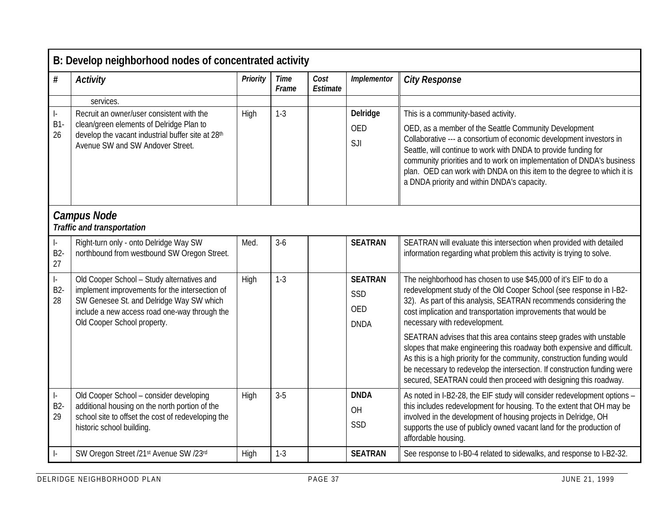|                              | B: Develop neighborhood nodes of concentrated activity                                                                                                                                                                   |                 |                      |                  |                                                    |                                                                                                                                                                                                                                                                                                                                                                                                   |  |  |  |  |
|------------------------------|--------------------------------------------------------------------------------------------------------------------------------------------------------------------------------------------------------------------------|-----------------|----------------------|------------------|----------------------------------------------------|---------------------------------------------------------------------------------------------------------------------------------------------------------------------------------------------------------------------------------------------------------------------------------------------------------------------------------------------------------------------------------------------------|--|--|--|--|
| #                            | <b>Activity</b>                                                                                                                                                                                                          | <b>Priority</b> | <b>Time</b><br>Frame | Cost<br>Estimate | Implementor                                        | <b>City Response</b>                                                                                                                                                                                                                                                                                                                                                                              |  |  |  |  |
|                              | services.                                                                                                                                                                                                                |                 |                      |                  |                                                    |                                                                                                                                                                                                                                                                                                                                                                                                   |  |  |  |  |
| ŀ.                           | Recruit an owner/user consistent with the                                                                                                                                                                                | High            | $1 - 3$              |                  | Delridge                                           | This is a community-based activity.                                                                                                                                                                                                                                                                                                                                                               |  |  |  |  |
| $B1-$<br>26                  | clean/green elements of Delridge Plan to<br>develop the vacant industrial buffer site at 28th<br>Avenue SW and SW Andover Street.                                                                                        |                 |                      |                  | <b>OED</b><br>SJI                                  | OED, as a member of the Seattle Community Development<br>Collaborative --- a consortium of economic development investors in<br>Seattle, will continue to work with DNDA to provide funding for<br>community priorities and to work on implementation of DNDA's business<br>plan. OED can work with DNDA on this item to the degree to which it is<br>a DNDA priority and within DNDA's capacity. |  |  |  |  |
|                              | <b>Campus Node</b><br><b>Traffic and transportation</b>                                                                                                                                                                  |                 |                      |                  |                                                    |                                                                                                                                                                                                                                                                                                                                                                                                   |  |  |  |  |
| ŀ.<br>B <sub>2</sub> -<br>27 | Right-turn only - onto Delridge Way SW<br>northbound from westbound SW Oregon Street.                                                                                                                                    | Med.            | $3-6$                |                  | <b>SEATRAN</b>                                     | SEATRAN will evaluate this intersection when provided with detailed<br>information regarding what problem this activity is trying to solve.                                                                                                                                                                                                                                                       |  |  |  |  |
| $\vert$ -<br>$B2-$<br>28     | Old Cooper School - Study alternatives and<br>implement improvements for the intersection of<br>SW Genesee St. and Delridge Way SW which<br>include a new access road one-way through the<br>Old Cooper School property. | High            | $1-3$                |                  | <b>SEATRAN</b><br>SSD<br><b>OED</b><br><b>DNDA</b> | The neighborhood has chosen to use \$45,000 of it's EIF to do a<br>redevelopment study of the Old Cooper School (see response in I-B2-<br>32). As part of this analysis, SEATRAN recommends considering the<br>cost implication and transportation improvements that would be<br>necessary with redevelopment.                                                                                    |  |  |  |  |
|                              |                                                                                                                                                                                                                          |                 |                      |                  |                                                    | SEATRAN advises that this area contains steep grades with unstable<br>slopes that make engineering this roadway both expensive and difficult.<br>As this is a high priority for the community, construction funding would<br>be necessary to redevelop the intersection. If construction funding were<br>secured, SEATRAN could then proceed with designing this roadway.                         |  |  |  |  |
| $\vert$ -<br>$B2-$<br>29     | Old Cooper School - consider developing<br>additional housing on the north portion of the<br>school site to offset the cost of redeveloping the<br>historic school building.                                             | High            | $3-5$                |                  | <b>DNDA</b><br>OH<br>SSD                           | As noted in I-B2-28, the EIF study will consider redevelopment options -<br>this includes redevelopment for housing. To the extent that OH may be<br>involved in the development of housing projects in Delridge, OH<br>supports the use of publicly owned vacant land for the production of<br>affordable housing.                                                                               |  |  |  |  |
|                              | SW Oregon Street /21st Avenue SW /23rd                                                                                                                                                                                   | High            | $1 - 3$              |                  | <b>SEATRAN</b>                                     | See response to I-B0-4 related to sidewalks, and response to I-B2-32.                                                                                                                                                                                                                                                                                                                             |  |  |  |  |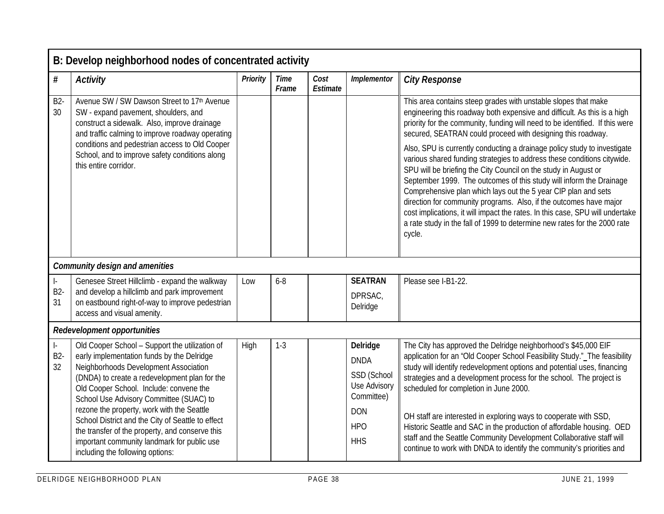|                              | B: Develop neighborhood nodes of concentrated activity                                                                                                                                                                                                                                                                                                                                                                                                                                                                |          |                      |                  |                                                                                                                |                                                                                                                                                                                                                                                                                                                                                                                                                                                                                                                                                                                                                                       |  |  |  |  |
|------------------------------|-----------------------------------------------------------------------------------------------------------------------------------------------------------------------------------------------------------------------------------------------------------------------------------------------------------------------------------------------------------------------------------------------------------------------------------------------------------------------------------------------------------------------|----------|----------------------|------------------|----------------------------------------------------------------------------------------------------------------|---------------------------------------------------------------------------------------------------------------------------------------------------------------------------------------------------------------------------------------------------------------------------------------------------------------------------------------------------------------------------------------------------------------------------------------------------------------------------------------------------------------------------------------------------------------------------------------------------------------------------------------|--|--|--|--|
| $\#$                         | <b>Activity</b>                                                                                                                                                                                                                                                                                                                                                                                                                                                                                                       | Priority | <b>Time</b><br>Frame | Cost<br>Estimate | Implementor                                                                                                    | <b>City Response</b>                                                                                                                                                                                                                                                                                                                                                                                                                                                                                                                                                                                                                  |  |  |  |  |
| <b>B2-</b><br>30             | Avenue SW / SW Dawson Street to 17th Avenue<br>SW - expand pavement, shoulders, and<br>construct a sidewalk. Also, improve drainage<br>and traffic calming to improve roadway operating                                                                                                                                                                                                                                                                                                                               |          |                      |                  |                                                                                                                | This area contains steep grades with unstable slopes that make<br>engineering this roadway both expensive and difficult. As this is a high<br>priority for the community, funding will need to be identified. If this were<br>secured, SEATRAN could proceed with designing this roadway.                                                                                                                                                                                                                                                                                                                                             |  |  |  |  |
|                              | conditions and pedestrian access to Old Cooper<br>School, and to improve safety conditions along<br>this entire corridor.<br><b>Community design and amenities</b>                                                                                                                                                                                                                                                                                                                                                    |          |                      |                  |                                                                                                                | Also, SPU is currently conducting a drainage policy study to investigate<br>various shared funding strategies to address these conditions citywide.<br>SPU will be briefing the City Council on the study in August or<br>September 1999. The outcomes of this study will inform the Drainage<br>Comprehensive plan which lays out the 5 year CIP plan and sets<br>direction for community programs. Also, if the outcomes have major<br>cost implications, it will impact the rates. In this case, SPU will undertake<br>a rate study in the fall of 1999 to determine new rates for the 2000 rate<br>cycle.                         |  |  |  |  |
| ŀ.<br>B <sub>2</sub> -<br>31 | Genesee Street Hillclimb - expand the walkway<br>and develop a hillclimb and park improvement<br>on eastbound right-of-way to improve pedestrian<br>access and visual amenity.                                                                                                                                                                                                                                                                                                                                        | Low      | $6 - 8$              |                  | <b>SEATRAN</b><br>DPRSAC,<br>Delridge                                                                          | Please see I-B1-22.                                                                                                                                                                                                                                                                                                                                                                                                                                                                                                                                                                                                                   |  |  |  |  |
|                              | <b>Redevelopment opportunities</b>                                                                                                                                                                                                                                                                                                                                                                                                                                                                                    |          |                      |                  |                                                                                                                |                                                                                                                                                                                                                                                                                                                                                                                                                                                                                                                                                                                                                                       |  |  |  |  |
| $\vert$ -<br>$B2-$<br>32     | Old Cooper School - Support the utilization of<br>early implementation funds by the Delridge<br>Neighborhoods Development Association<br>(DNDA) to create a redevelopment plan for the<br>Old Cooper School. Include: convene the<br>School Use Advisory Committee (SUAC) to<br>rezone the property, work with the Seattle<br>School District and the City of Seattle to effect<br>the transfer of the property, and conserve this<br>important community landmark for public use<br>including the following options: | High     | $1-3$                |                  | Delridge<br><b>DNDA</b><br>SSD (School<br>Use Advisory<br>Committee)<br><b>DON</b><br><b>HPO</b><br><b>HHS</b> | The City has approved the Delridge neighborhood's \$45,000 EIF<br>application for an "Old Cooper School Feasibility Study." The feasibility<br>study will identify redevelopment options and potential uses, financing<br>strategies and a development process for the school. The project is<br>scheduled for completion in June 2000.<br>OH staff are interested in exploring ways to cooperate with SSD,<br>Historic Seattle and SAC in the production of affordable housing. OED<br>staff and the Seattle Community Development Collaborative staff will<br>continue to work with DNDA to identify the community's priorities and |  |  |  |  |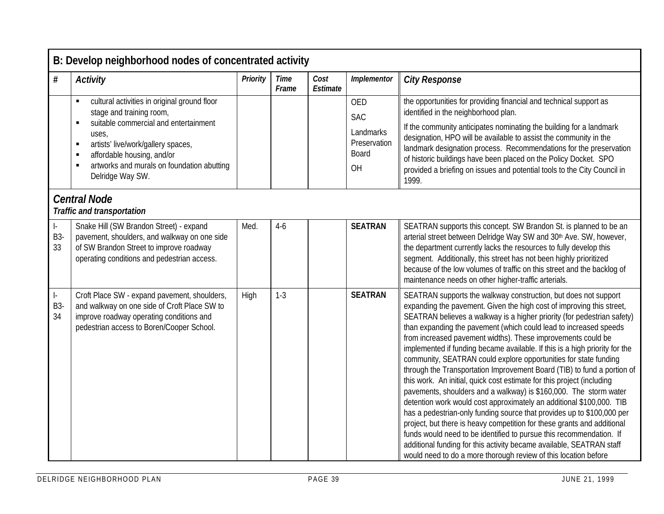|                               | B: Develop neighborhood nodes of concentrated activity                                                                                                                                                                                                                     |          |                      |                  |                                                                      |                                                                                                                                                                                                                                                                                                                                                                                                                                                                                                                                                                                                                                                                                                                                                                                                                                                                                                                                                                                                                                                                                                                                                                                      |  |  |  |  |
|-------------------------------|----------------------------------------------------------------------------------------------------------------------------------------------------------------------------------------------------------------------------------------------------------------------------|----------|----------------------|------------------|----------------------------------------------------------------------|--------------------------------------------------------------------------------------------------------------------------------------------------------------------------------------------------------------------------------------------------------------------------------------------------------------------------------------------------------------------------------------------------------------------------------------------------------------------------------------------------------------------------------------------------------------------------------------------------------------------------------------------------------------------------------------------------------------------------------------------------------------------------------------------------------------------------------------------------------------------------------------------------------------------------------------------------------------------------------------------------------------------------------------------------------------------------------------------------------------------------------------------------------------------------------------|--|--|--|--|
| #                             | <b>Activity</b>                                                                                                                                                                                                                                                            | Priority | <b>Time</b><br>Frame | Cost<br>Estimate | Implementor                                                          | <b>City Response</b>                                                                                                                                                                                                                                                                                                                                                                                                                                                                                                                                                                                                                                                                                                                                                                                                                                                                                                                                                                                                                                                                                                                                                                 |  |  |  |  |
|                               | cultural activities in original ground floor<br>stage and training room,<br>suitable commercial and entertainment<br>٠<br>uses,<br>artists' live/work/gallery spaces,<br>٠<br>affordable housing, and/or<br>artworks and murals on foundation abutting<br>Delridge Way SW. |          |                      |                  | <b>OED</b><br><b>SAC</b><br>Landmarks<br>Preservation<br>Board<br>OH | the opportunities for providing financial and technical support as<br>identified in the neighborhood plan.<br>If the community anticipates nominating the building for a landmark<br>designation, HPO will be available to assist the community in the<br>landmark designation process. Recommendations for the preservation<br>of historic buildings have been placed on the Policy Docket. SPO<br>provided a briefing on issues and potential tools to the City Council in<br>1999.                                                                                                                                                                                                                                                                                                                                                                                                                                                                                                                                                                                                                                                                                                |  |  |  |  |
|                               | <b>Central Node</b><br><b>Traffic and transportation</b>                                                                                                                                                                                                                   |          |                      |                  |                                                                      |                                                                                                                                                                                                                                                                                                                                                                                                                                                                                                                                                                                                                                                                                                                                                                                                                                                                                                                                                                                                                                                                                                                                                                                      |  |  |  |  |
| $\vert$ -<br>B3-<br>33        | Snake Hill (SW Brandon Street) - expand<br>pavement, shoulders, and walkway on one side<br>of SW Brandon Street to improve roadway<br>operating conditions and pedestrian access.                                                                                          | Med.     | $4-6$                |                  | <b>SEATRAN</b>                                                       | SEATRAN supports this concept. SW Brandon St. is planned to be an<br>arterial street between Delridge Way SW and 30th Ave. SW, however,<br>the department currently lacks the resources to fully develop this<br>segment. Additionally, this street has not been highly prioritized<br>because of the low volumes of traffic on this street and the backlog of<br>maintenance needs on other higher-traffic arterials.                                                                                                                                                                                                                                                                                                                                                                                                                                                                                                                                                                                                                                                                                                                                                               |  |  |  |  |
| $\vert$ -<br><b>B3-</b><br>34 | Croft Place SW - expand pavement, shoulders,<br>and walkway on one side of Croft Place SW to<br>improve roadway operating conditions and<br>pedestrian access to Boren/Cooper School.                                                                                      | High     | $1 - 3$              |                  | <b>SEATRAN</b>                                                       | SEATRAN supports the walkway construction, but does not support<br>expanding the pavement. Given the high cost of improving this street,<br>SEATRAN believes a walkway is a higher priority (for pedestrian safety)<br>than expanding the pavement (which could lead to increased speeds<br>from increased pavement widths). These improvements could be<br>implemented if funding became available. If this is a high priority for the<br>community, SEATRAN could explore opportunities for state funding<br>through the Transportation Improvement Board (TIB) to fund a portion of<br>this work. An initial, quick cost estimate for this project (including<br>pavements, shoulders and a walkway) is \$160,000. The storm water<br>detention work would cost approximately an additional \$100,000. TIB<br>has a pedestrian-only funding source that provides up to \$100,000 per<br>project, but there is heavy competition for these grants and additional<br>funds would need to be identified to pursue this recommendation. If<br>additional funding for this activity became available, SEATRAN staff<br>would need to do a more thorough review of this location before |  |  |  |  |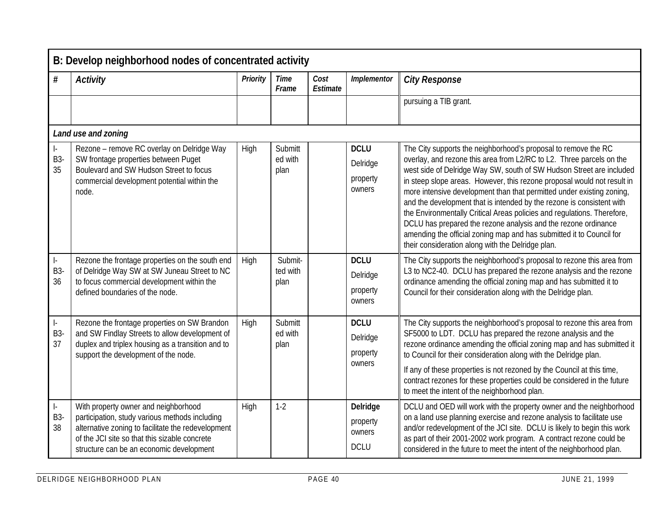|                                                     | B: Develop neighborhood nodes of concentrated activity                                                                                                                                                                                    |          |                             |                  |                                               |                                                                                                                                                                                                                                                                                                                                                                                                                                                                                                                                                                                                                                                                                                                       |  |  |  |  |
|-----------------------------------------------------|-------------------------------------------------------------------------------------------------------------------------------------------------------------------------------------------------------------------------------------------|----------|-----------------------------|------------------|-----------------------------------------------|-----------------------------------------------------------------------------------------------------------------------------------------------------------------------------------------------------------------------------------------------------------------------------------------------------------------------------------------------------------------------------------------------------------------------------------------------------------------------------------------------------------------------------------------------------------------------------------------------------------------------------------------------------------------------------------------------------------------------|--|--|--|--|
| #                                                   | <b>Activity</b>                                                                                                                                                                                                                           | Priority | <b>Time</b><br>Frame        | Cost<br>Estimate | Implementor                                   | <b>City Response</b>                                                                                                                                                                                                                                                                                                                                                                                                                                                                                                                                                                                                                                                                                                  |  |  |  |  |
|                                                     |                                                                                                                                                                                                                                           |          |                             |                  |                                               | pursuing a TIB grant.                                                                                                                                                                                                                                                                                                                                                                                                                                                                                                                                                                                                                                                                                                 |  |  |  |  |
|                                                     | Land use and zoning                                                                                                                                                                                                                       |          |                             |                  |                                               |                                                                                                                                                                                                                                                                                                                                                                                                                                                                                                                                                                                                                                                                                                                       |  |  |  |  |
| ŀ.<br>B3-<br>35                                     | Rezone - remove RC overlay on Delridge Way<br>SW frontage properties between Puget<br>Boulevard and SW Hudson Street to focus<br>commercial development potential within the<br>node.                                                     | High     | Submitt<br>ed with<br>plan  |                  | <b>DCLU</b><br>Delridge<br>property<br>owners | The City supports the neighborhood's proposal to remove the RC<br>overlay, and rezone this area from L2/RC to L2. Three parcels on the<br>west side of Delridge Way SW, south of SW Hudson Street are included<br>in steep slope areas. However, this rezone proposal would not result in<br>more intensive development than that permitted under existing zoning,<br>and the development that is intended by the rezone is consistent with<br>the Environmentally Critical Areas policies and regulations. Therefore,<br>DCLU has prepared the rezone analysis and the rezone ordinance<br>amending the official zoning map and has submitted it to Council for<br>their consideration along with the Delridge plan. |  |  |  |  |
| $\left\vert \cdot\right\rangle$<br><b>B3-</b><br>36 | Rezone the frontage properties on the south end<br>of Delridge Way SW at SW Juneau Street to NC<br>to focus commercial development within the<br>defined boundaries of the node.                                                          | High     | Submit-<br>ted with<br>plan |                  | <b>DCLU</b><br>Delridge<br>property<br>owners | The City supports the neighborhood's proposal to rezone this area from<br>L3 to NC2-40. DCLU has prepared the rezone analysis and the rezone<br>ordinance amending the official zoning map and has submitted it to<br>Council for their consideration along with the Delridge plan.                                                                                                                                                                                                                                                                                                                                                                                                                                   |  |  |  |  |
| $\Big\vert \, .$<br>B3-<br>37                       | Rezone the frontage properties on SW Brandon<br>and SW Findlay Streets to allow development of<br>duplex and triplex housing as a transition and to<br>support the development of the node.                                               | High     | Submitt<br>ed with<br>plan  |                  | <b>DCLU</b><br>Delridge<br>property<br>owners | The City supports the neighborhood's proposal to rezone this area from<br>SF5000 to LDT. DCLU has prepared the rezone analysis and the<br>rezone ordinance amending the official zoning map and has submitted it<br>to Council for their consideration along with the Delridge plan.<br>If any of these properties is not rezoned by the Council at this time,<br>contract rezones for these properties could be considered in the future<br>to meet the intent of the neighborhood plan.                                                                                                                                                                                                                             |  |  |  |  |
| $\left\vert \cdot\right\rangle$<br><b>B3-</b><br>38 | With property owner and neighborhood<br>participation, study various methods including<br>alternative zoning to facilitate the redevelopment<br>of the JCI site so that this sizable concrete<br>structure can be an economic development | High     | $1-2$                       |                  | Delridge<br>property<br>owners<br><b>DCLU</b> | DCLU and OED will work with the property owner and the neighborhood<br>on a land use planning exercise and rezone analysis to facilitate use<br>and/or redevelopment of the JCI site. DCLU is likely to begin this work<br>as part of their 2001-2002 work program. A contract rezone could be<br>considered in the future to meet the intent of the neighborhood plan.                                                                                                                                                                                                                                                                                                                                               |  |  |  |  |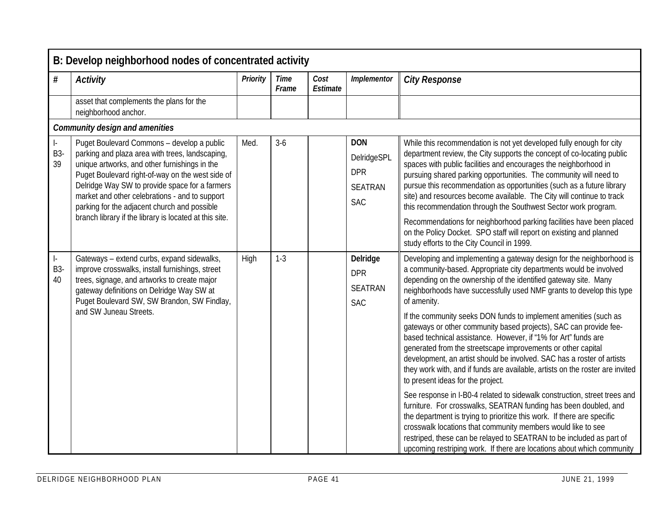|                               | B: Develop neighborhood nodes of concentrated activity                                                                                                                                                                                                                                                                                                                                                           |          |                      |                  |                                                                         |                                                                                                                                                                                                                                                                                                                                                                                                                                                                                                                                                                                                                                                                                                                                                                                                                                                                                                                                                                                                                                                                                                                                                    |  |  |  |  |
|-------------------------------|------------------------------------------------------------------------------------------------------------------------------------------------------------------------------------------------------------------------------------------------------------------------------------------------------------------------------------------------------------------------------------------------------------------|----------|----------------------|------------------|-------------------------------------------------------------------------|----------------------------------------------------------------------------------------------------------------------------------------------------------------------------------------------------------------------------------------------------------------------------------------------------------------------------------------------------------------------------------------------------------------------------------------------------------------------------------------------------------------------------------------------------------------------------------------------------------------------------------------------------------------------------------------------------------------------------------------------------------------------------------------------------------------------------------------------------------------------------------------------------------------------------------------------------------------------------------------------------------------------------------------------------------------------------------------------------------------------------------------------------|--|--|--|--|
| #                             | <b>Activity</b>                                                                                                                                                                                                                                                                                                                                                                                                  | Priority | <b>Time</b><br>Frame | Cost<br>Estimate | Implementor                                                             | <b>City Response</b>                                                                                                                                                                                                                                                                                                                                                                                                                                                                                                                                                                                                                                                                                                                                                                                                                                                                                                                                                                                                                                                                                                                               |  |  |  |  |
|                               | asset that complements the plans for the<br>neighborhood anchor.                                                                                                                                                                                                                                                                                                                                                 |          |                      |                  |                                                                         |                                                                                                                                                                                                                                                                                                                                                                                                                                                                                                                                                                                                                                                                                                                                                                                                                                                                                                                                                                                                                                                                                                                                                    |  |  |  |  |
|                               | <b>Community design and amenities</b>                                                                                                                                                                                                                                                                                                                                                                            |          |                      |                  |                                                                         |                                                                                                                                                                                                                                                                                                                                                                                                                                                                                                                                                                                                                                                                                                                                                                                                                                                                                                                                                                                                                                                                                                                                                    |  |  |  |  |
| $\vert$ -<br>B3-<br>39        | Puget Boulevard Commons - develop a public<br>parking and plaza area with trees, landscaping,<br>unique artworks, and other furnishings in the<br>Puget Boulevard right-of-way on the west side of<br>Delridge Way SW to provide space for a farmers<br>market and other celebrations - and to support<br>parking for the adjacent church and possible<br>branch library if the library is located at this site. | Med.     | $3-6$                |                  | <b>DON</b><br>DelridgeSPL<br><b>DPR</b><br><b>SEATRAN</b><br><b>SAC</b> | While this recommendation is not yet developed fully enough for city<br>department review, the City supports the concept of co-locating public<br>spaces with public facilities and encourages the neighborhood in<br>pursuing shared parking opportunities. The community will need to<br>pursue this recommendation as opportunities (such as a future library<br>site) and resources become available. The City will continue to track<br>this recommendation through the Southwest Sector work program.<br>Recommendations for neighborhood parking facilities have been placed<br>on the Policy Docket. SPO staff will report on existing and planned<br>study efforts to the City Council in 1999.                                                                                                                                                                                                                                                                                                                                                                                                                                           |  |  |  |  |
| $\vert$ -<br><b>B3-</b><br>40 | Gateways - extend curbs, expand sidewalks,<br>improve crosswalks, install furnishings, street<br>trees, signage, and artworks to create major<br>gateway definitions on Delridge Way SW at<br>Puget Boulevard SW, SW Brandon, SW Findlay,<br>and SW Juneau Streets.                                                                                                                                              | High     | $1-3$                |                  | Delridge<br><b>DPR</b><br><b>SEATRAN</b><br><b>SAC</b>                  | Developing and implementing a gateway design for the neighborhood is<br>a community-based. Appropriate city departments would be involved<br>depending on the ownership of the identified gateway site. Many<br>neighborhoods have successfully used NMF grants to develop this type<br>of amenity.<br>If the community seeks DON funds to implement amenities (such as<br>gateways or other community based projects), SAC can provide fee-<br>based technical assistance. However, if "1% for Art" funds are<br>generated from the streetscape improvements or other capital<br>development, an artist should be involved. SAC has a roster of artists<br>they work with, and if funds are available, artists on the roster are invited<br>to present ideas for the project.<br>See response in I-B0-4 related to sidewalk construction, street trees and<br>furniture. For crosswalks, SEATRAN funding has been doubled, and<br>the department is trying to prioritize this work. If there are specific<br>crosswalk locations that community members would like to see<br>restriped, these can be relayed to SEATRAN to be included as part of |  |  |  |  |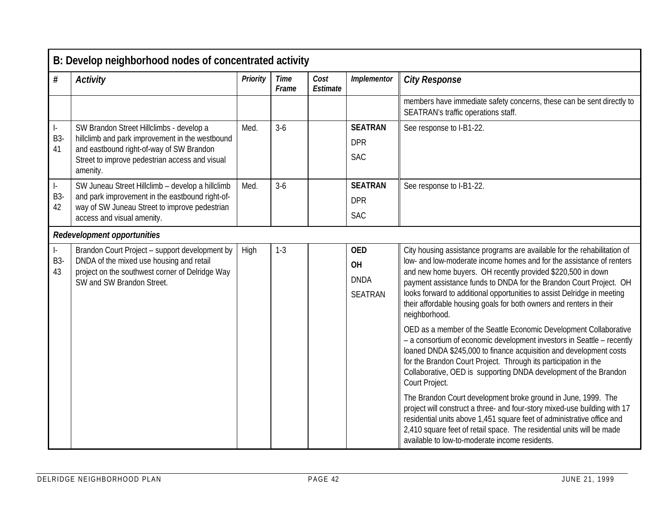|                               | B: Develop neighborhood nodes of concentrated activity                                                                                                                                                |          |                      |                  |                                                          |                                                                                                                                                                                                                                                                                                                                                                                                                                                                                                                               |  |  |  |  |
|-------------------------------|-------------------------------------------------------------------------------------------------------------------------------------------------------------------------------------------------------|----------|----------------------|------------------|----------------------------------------------------------|-------------------------------------------------------------------------------------------------------------------------------------------------------------------------------------------------------------------------------------------------------------------------------------------------------------------------------------------------------------------------------------------------------------------------------------------------------------------------------------------------------------------------------|--|--|--|--|
| #                             | <b>Activity</b>                                                                                                                                                                                       | Priority | <b>Time</b><br>Frame | Cost<br>Estimate | Implementor                                              | <b>City Response</b>                                                                                                                                                                                                                                                                                                                                                                                                                                                                                                          |  |  |  |  |
|                               |                                                                                                                                                                                                       |          |                      |                  |                                                          | members have immediate safety concerns, these can be sent directly to<br>SEATRAN's traffic operations staff.                                                                                                                                                                                                                                                                                                                                                                                                                  |  |  |  |  |
| $\vert$ -<br><b>B3-</b><br>41 | SW Brandon Street Hillclimbs - develop a<br>hillclimb and park improvement in the westbound<br>and eastbound right-of-way of SW Brandon<br>Street to improve pedestrian access and visual<br>amenity. | Med.     | $3-6$                |                  | <b>SEATRAN</b><br><b>DPR</b><br><b>SAC</b>               | See response to I-B1-22.                                                                                                                                                                                                                                                                                                                                                                                                                                                                                                      |  |  |  |  |
| $\vert$ -<br>B3-<br>42        | SW Juneau Street Hillclimb - develop a hillclimb<br>and park improvement in the eastbound right-of-<br>way of SW Juneau Street to improve pedestrian<br>access and visual amenity.                    | Med.     | $3-6$                |                  | <b>SEATRAN</b><br><b>DPR</b><br><b>SAC</b>               | See response to I-B1-22.                                                                                                                                                                                                                                                                                                                                                                                                                                                                                                      |  |  |  |  |
|                               | <b>Redevelopment opportunities</b>                                                                                                                                                                    |          |                      |                  |                                                          |                                                                                                                                                                                                                                                                                                                                                                                                                                                                                                                               |  |  |  |  |
| $\vert$ -<br><b>B3-</b><br>43 | Brandon Court Project - support development by<br>DNDA of the mixed use housing and retail<br>project on the southwest corner of Delridge Way<br>SW and SW Brandon Street.                            | High     | $1 - 3$              |                  | <b>OED</b><br><b>OH</b><br><b>DNDA</b><br><b>SEATRAN</b> | City housing assistance programs are available for the rehabilitation of<br>low- and low-moderate income homes and for the assistance of renters<br>and new home buyers. OH recently provided \$220,500 in down<br>payment assistance funds to DNDA for the Brandon Court Project. OH<br>looks forward to additional opportunities to assist Delridge in meeting<br>their affordable housing goals for both owners and renters in their<br>neighborhood.<br>OED as a member of the Seattle Economic Development Collaborative |  |  |  |  |
|                               |                                                                                                                                                                                                       |          |                      |                  |                                                          | - a consortium of economic development investors in Seattle - recently<br>loaned DNDA \$245,000 to finance acquisition and development costs<br>for the Brandon Court Project. Through its participation in the<br>Collaborative, OED is supporting DNDA development of the Brandon<br>Court Project.                                                                                                                                                                                                                         |  |  |  |  |
|                               |                                                                                                                                                                                                       |          |                      |                  |                                                          | The Brandon Court development broke ground in June, 1999. The<br>project will construct a three- and four-story mixed-use building with 17<br>residential units above 1,451 square feet of administrative office and<br>2,410 square feet of retail space. The residential units will be made<br>available to low-to-moderate income residents.                                                                                                                                                                               |  |  |  |  |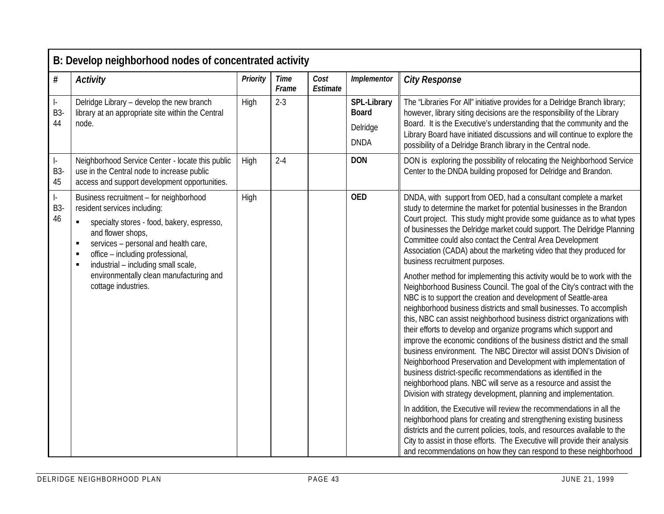|                               | B: Develop neighborhood nodes of concentrated activity                                                                                                                                                                                                                                                      |          |                      |                  |                                                        |                                                                                                                                                                                                                                                                                                                                                                                                                                                                                                                                                                                                                                                                                                                                                                                                                                                                           |  |  |  |  |
|-------------------------------|-------------------------------------------------------------------------------------------------------------------------------------------------------------------------------------------------------------------------------------------------------------------------------------------------------------|----------|----------------------|------------------|--------------------------------------------------------|---------------------------------------------------------------------------------------------------------------------------------------------------------------------------------------------------------------------------------------------------------------------------------------------------------------------------------------------------------------------------------------------------------------------------------------------------------------------------------------------------------------------------------------------------------------------------------------------------------------------------------------------------------------------------------------------------------------------------------------------------------------------------------------------------------------------------------------------------------------------------|--|--|--|--|
| $\#$                          | <b>Activity</b>                                                                                                                                                                                                                                                                                             | Priority | <b>Time</b><br>Frame | Cost<br>Estimate | Implementor                                            | <b>City Response</b>                                                                                                                                                                                                                                                                                                                                                                                                                                                                                                                                                                                                                                                                                                                                                                                                                                                      |  |  |  |  |
| $\vert$ -<br><b>B3-</b><br>44 | Delridge Library - develop the new branch<br>library at an appropriate site within the Central<br>node.                                                                                                                                                                                                     | High     | $2 - 3$              |                  | SPL-Library<br><b>Board</b><br>Delridge<br><b>DNDA</b> | The "Libraries For All" initiative provides for a Delridge Branch library;<br>however, library siting decisions are the responsibility of the Library<br>Board. It is the Executive's understanding that the community and the<br>Library Board have initiated discussions and will continue to explore the<br>possibility of a Delridge Branch library in the Central node.                                                                                                                                                                                                                                                                                                                                                                                                                                                                                              |  |  |  |  |
| $\vert$ -<br>B3-<br>45        | Neighborhood Service Center - locate this public<br>use in the Central node to increase public<br>access and support development opportunities.                                                                                                                                                             | High     | $2 - 4$              |                  | <b>DON</b>                                             | DON is exploring the possibility of relocating the Neighborhood Service<br>Center to the DNDA building proposed for Delridge and Brandon.                                                                                                                                                                                                                                                                                                                                                                                                                                                                                                                                                                                                                                                                                                                                 |  |  |  |  |
| $\vert$ -<br>B3-<br>46        | Business recruitment - for neighborhood<br>resident services including:<br>specialty stores - food, bakery, espresso,<br>$\blacksquare$<br>and flower shops,<br>services - personal and health care,<br>$\blacksquare$<br>office - including professional,<br>в<br>industrial - including small scale,<br>п | High     |                      |                  | <b>OED</b>                                             | DNDA, with support from OED, had a consultant complete a market<br>study to determine the market for potential businesses in the Brandon<br>Court project. This study might provide some guidance as to what types<br>of businesses the Delridge market could support. The Delridge Planning<br>Committee could also contact the Central Area Development<br>Association (CADA) about the marketing video that they produced for<br>business recruitment purposes.                                                                                                                                                                                                                                                                                                                                                                                                        |  |  |  |  |
|                               | environmentally clean manufacturing and<br>cottage industries.                                                                                                                                                                                                                                              |          |                      |                  |                                                        | Another method for implementing this activity would be to work with the<br>Neighborhood Business Council. The goal of the City's contract with the<br>NBC is to support the creation and development of Seattle-area<br>neighborhood business districts and small businesses. To accomplish<br>this, NBC can assist neighborhood business district organizations with<br>their efforts to develop and organize programs which support and<br>improve the economic conditions of the business district and the small<br>business environment. The NBC Director will assist DON's Division of<br>Neighborhood Preservation and Development with implementation of<br>business district-specific recommendations as identified in the<br>neighborhood plans. NBC will serve as a resource and assist the<br>Division with strategy development, planning and implementation. |  |  |  |  |
|                               |                                                                                                                                                                                                                                                                                                             |          |                      |                  |                                                        | In addition, the Executive will review the recommendations in all the<br>neighborhood plans for creating and strengthening existing business<br>districts and the current policies, tools, and resources available to the<br>City to assist in those efforts. The Executive will provide their analysis<br>and recommendations on how they can respond to these neighborhood                                                                                                                                                                                                                                                                                                                                                                                                                                                                                              |  |  |  |  |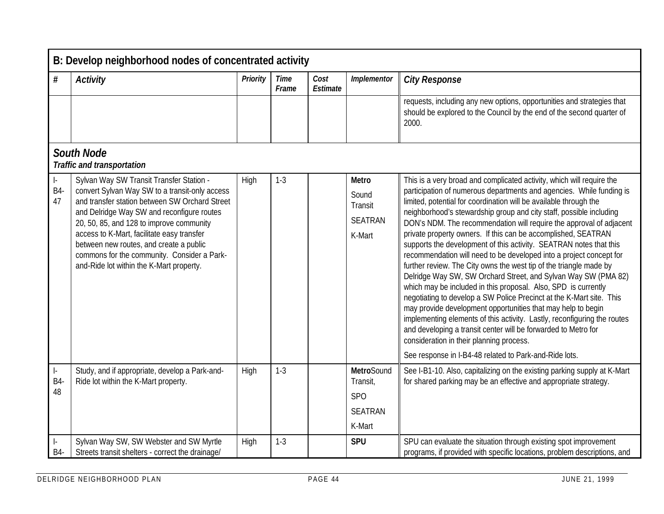|                        | B: Develop neighborhood nodes of concentrated activity                                                                                                                                                                                                                                                                                                                                                                     |          |                      |                  |                                                                  |                                                                                                                                                                                                                                                                                                                                                                                                                                                                                                                                                                                                                                                                                                                                                                                                                                                                                                                                                                                                                                                                                                                                                                                      |  |  |  |  |
|------------------------|----------------------------------------------------------------------------------------------------------------------------------------------------------------------------------------------------------------------------------------------------------------------------------------------------------------------------------------------------------------------------------------------------------------------------|----------|----------------------|------------------|------------------------------------------------------------------|--------------------------------------------------------------------------------------------------------------------------------------------------------------------------------------------------------------------------------------------------------------------------------------------------------------------------------------------------------------------------------------------------------------------------------------------------------------------------------------------------------------------------------------------------------------------------------------------------------------------------------------------------------------------------------------------------------------------------------------------------------------------------------------------------------------------------------------------------------------------------------------------------------------------------------------------------------------------------------------------------------------------------------------------------------------------------------------------------------------------------------------------------------------------------------------|--|--|--|--|
| $\#$                   | <b>Activity</b>                                                                                                                                                                                                                                                                                                                                                                                                            | Priority | <b>Time</b><br>Frame | Cost<br>Estimate | Implementor                                                      | <b>City Response</b>                                                                                                                                                                                                                                                                                                                                                                                                                                                                                                                                                                                                                                                                                                                                                                                                                                                                                                                                                                                                                                                                                                                                                                 |  |  |  |  |
|                        |                                                                                                                                                                                                                                                                                                                                                                                                                            |          |                      |                  |                                                                  | requests, including any new options, opportunities and strategies that<br>should be explored to the Council by the end of the second quarter of<br>2000.                                                                                                                                                                                                                                                                                                                                                                                                                                                                                                                                                                                                                                                                                                                                                                                                                                                                                                                                                                                                                             |  |  |  |  |
|                        | <b>South Node</b><br><b>Traffic and transportation</b>                                                                                                                                                                                                                                                                                                                                                                     |          |                      |                  |                                                                  |                                                                                                                                                                                                                                                                                                                                                                                                                                                                                                                                                                                                                                                                                                                                                                                                                                                                                                                                                                                                                                                                                                                                                                                      |  |  |  |  |
| ŀ.<br><b>B4-</b><br>47 | Sylvan Way SW Transit Transfer Station -<br>convert Sylvan Way SW to a transit-only access<br>and transfer station between SW Orchard Street<br>and Delridge Way SW and reconfigure routes<br>20, 50, 85, and 128 to improve community<br>access to K-Mart, facilitate easy transfer<br>between new routes, and create a public<br>commons for the community. Consider a Park-<br>and-Ride lot within the K-Mart property. | High     | $1-3$                |                  | <b>Metro</b><br>Sound<br>Transit<br><b>SEATRAN</b><br>K-Mart     | This is a very broad and complicated activity, which will require the<br>participation of numerous departments and agencies. While funding is<br>limited, potential for coordination will be available through the<br>neighborhood's stewardship group and city staff, possible including<br>DON's NDM. The recommendation will require the approval of adjacent<br>private property owners. If this can be accomplished, SEATRAN<br>supports the development of this activity. SEATRAN notes that this<br>recommendation will need to be developed into a project concept for<br>further review. The City owns the west tip of the triangle made by<br>Delridge Way SW, SW Orchard Street, and Sylvan Way SW (PMA 82)<br>which may be included in this proposal. Also, SPD is currently<br>negotiating to develop a SW Police Precinct at the K-Mart site. This<br>may provide development opportunities that may help to begin<br>implementing elements of this activity. Lastly, reconfiguring the routes<br>and developing a transit center will be forwarded to Metro for<br>consideration in their planning process.<br>See response in I-B4-48 related to Park-and-Ride lots. |  |  |  |  |
| ŀ.<br><b>B4</b><br>48  | Study, and if appropriate, develop a Park-and-<br>Ride lot within the K-Mart property.                                                                                                                                                                                                                                                                                                                                     | High     | $1 - 3$              |                  | MetroSound<br>Transit,<br><b>SPO</b><br><b>SEATRAN</b><br>K-Mart | See I-B1-10. Also, capitalizing on the existing parking supply at K-Mart<br>for shared parking may be an effective and appropriate strategy.                                                                                                                                                                                                                                                                                                                                                                                                                                                                                                                                                                                                                                                                                                                                                                                                                                                                                                                                                                                                                                         |  |  |  |  |
| Ŀ<br><b>B4-</b>        | Sylvan Way SW, SW Webster and SW Myrtle<br>Streets transit shelters - correct the drainage/                                                                                                                                                                                                                                                                                                                                | High     | $1 - 3$              |                  | <b>SPU</b>                                                       | SPU can evaluate the situation through existing spot improvement<br>programs, if provided with specific locations, problem descriptions, and                                                                                                                                                                                                                                                                                                                                                                                                                                                                                                                                                                                                                                                                                                                                                                                                                                                                                                                                                                                                                                         |  |  |  |  |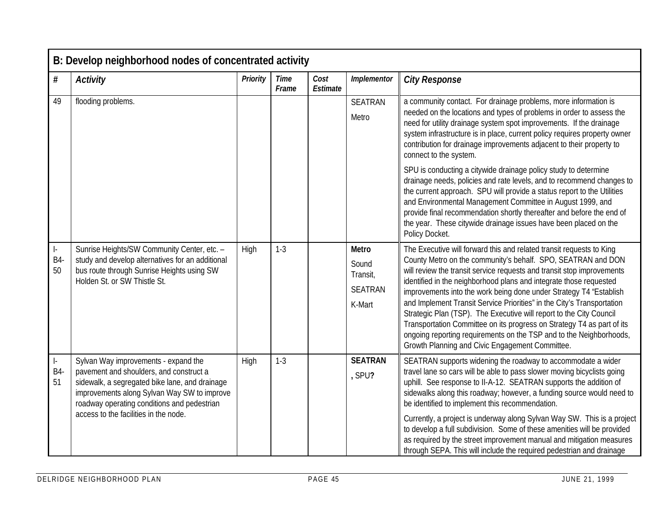|                        | B: Develop neighborhood nodes of concentrated activity                                                                                                                                                                                                                   |          |                      |                  |                                                        |                                                                                                                                                                                                                                                                                                                                                                                                                                                                                                                                                                                                                                                                                                                 |  |  |  |  |
|------------------------|--------------------------------------------------------------------------------------------------------------------------------------------------------------------------------------------------------------------------------------------------------------------------|----------|----------------------|------------------|--------------------------------------------------------|-----------------------------------------------------------------------------------------------------------------------------------------------------------------------------------------------------------------------------------------------------------------------------------------------------------------------------------------------------------------------------------------------------------------------------------------------------------------------------------------------------------------------------------------------------------------------------------------------------------------------------------------------------------------------------------------------------------------|--|--|--|--|
| $\#$                   | <b>Activity</b>                                                                                                                                                                                                                                                          | Priority | <b>Time</b><br>Frame | Cost<br>Estimate | Implementor                                            | <b>City Response</b>                                                                                                                                                                                                                                                                                                                                                                                                                                                                                                                                                                                                                                                                                            |  |  |  |  |
| 49                     | flooding problems.                                                                                                                                                                                                                                                       |          |                      |                  | <b>SEATRAN</b><br>Metro                                | a community contact. For drainage problems, more information is<br>needed on the locations and types of problems in order to assess the<br>need for utility drainage system spot improvements. If the drainage<br>system infrastructure is in place, current policy requires property owner<br>contribution for drainage improvements adjacent to their property to<br>connect to the system.                                                                                                                                                                                                                                                                                                                   |  |  |  |  |
|                        |                                                                                                                                                                                                                                                                          |          |                      |                  |                                                        | SPU is conducting a citywide drainage policy study to determine<br>drainage needs, policies and rate levels, and to recommend changes to<br>the current approach. SPU will provide a status report to the Utilities<br>and Environmental Management Committee in August 1999, and<br>provide final recommendation shortly thereafter and before the end of<br>the year. These citywide drainage issues have been placed on the<br>Policy Docket.                                                                                                                                                                                                                                                                |  |  |  |  |
| ŀ.<br><b>B4-</b><br>50 | Sunrise Heights/SW Community Center, etc. -<br>study and develop alternatives for an additional<br>bus route through Sunrise Heights using SW<br>Holden St. or SW Thistle St.                                                                                            | High     | $1 - 3$              |                  | Metro<br>Sound<br>Transit,<br><b>SEATRAN</b><br>K-Mart | The Executive will forward this and related transit requests to King<br>County Metro on the community's behalf. SPO, SEATRAN and DON<br>will review the transit service requests and transit stop improvements<br>identified in the neighborhood plans and integrate those requested<br>improvements into the work being done under Strategy T4 "Establish<br>and Implement Transit Service Priorities" in the City's Transportation<br>Strategic Plan (TSP). The Executive will report to the City Council<br>Transportation Committee on its progress on Strategy T4 as part of its<br>ongoing reporting requirements on the TSP and to the Neighborhoods,<br>Growth Planning and Civic Engagement Committee. |  |  |  |  |
| ŀ.<br><b>B4-</b><br>51 | Sylvan Way improvements - expand the<br>pavement and shoulders, and construct a<br>sidewalk, a segregated bike lane, and drainage<br>improvements along Sylvan Way SW to improve<br>roadway operating conditions and pedestrian<br>access to the facilities in the node. | High     | $1 - 3$              |                  | <b>SEATRAN</b><br>, SPU?                               | SEATRAN supports widening the roadway to accommodate a wider<br>travel lane so cars will be able to pass slower moving bicyclists going<br>uphill. See response to II-A-12. SEATRAN supports the addition of<br>sidewalks along this roadway; however, a funding source would need to<br>be identified to implement this recommendation.<br>Currently, a project is underway along Sylvan Way SW. This is a project<br>to develop a full subdivision. Some of these amenities will be provided<br>as required by the street improvement manual and mitigation measures<br>through SEPA. This will include the required pedestrian and drainage                                                                  |  |  |  |  |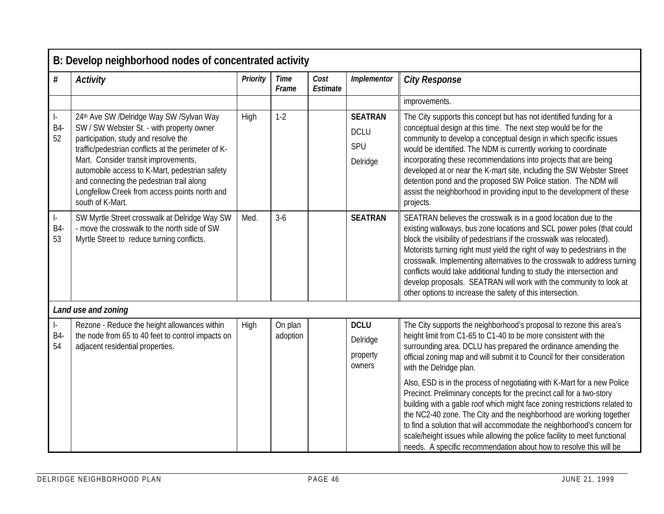|                               | B: Develop neighborhood nodes of concentrated activity                                                                                                                                                                                                                                                                                                                                           |                 |                      |                  |                                                  |                                                                                                                                                                                                                                                                                                                                                                                                                                                                                                                                                                                        |  |  |  |  |
|-------------------------------|--------------------------------------------------------------------------------------------------------------------------------------------------------------------------------------------------------------------------------------------------------------------------------------------------------------------------------------------------------------------------------------------------|-----------------|----------------------|------------------|--------------------------------------------------|----------------------------------------------------------------------------------------------------------------------------------------------------------------------------------------------------------------------------------------------------------------------------------------------------------------------------------------------------------------------------------------------------------------------------------------------------------------------------------------------------------------------------------------------------------------------------------------|--|--|--|--|
| #                             | <b>Activity</b>                                                                                                                                                                                                                                                                                                                                                                                  | <b>Priority</b> | <b>Time</b><br>Frame | Cost<br>Estimate | Implementor                                      | <b>City Response</b>                                                                                                                                                                                                                                                                                                                                                                                                                                                                                                                                                                   |  |  |  |  |
|                               |                                                                                                                                                                                                                                                                                                                                                                                                  |                 |                      |                  |                                                  | improvements.                                                                                                                                                                                                                                                                                                                                                                                                                                                                                                                                                                          |  |  |  |  |
| $\vert$ -<br><b>B4-</b><br>52 | 24th Ave SW /Delridge Way SW /Sylvan Way<br>SW / SW Webster St. - with property owner<br>participation, study and resolve the<br>traffic/pedestrian conflicts at the perimeter of K-<br>Mart. Consider transit improvements,<br>automobile access to K-Mart, pedestrian safety<br>and connecting the pedestrian trail along<br>Longfellow Creek from access points north and<br>south of K-Mart. | High            | $1-2$                |                  | <b>SEATRAN</b><br><b>DCLU</b><br>SPU<br>Delridge | The City supports this concept but has not identified funding for a<br>conceptual design at this time. The next step would be for the<br>community to develop a conceptual design in which specific issues<br>would be identified. The NDM is currently working to coordinate<br>incorporating these recommendations into projects that are being<br>developed at or near the K-mart site, including the SW Webster Street<br>detention pond and the proposed SW Police station. The NDM will<br>assist the neighborhood in providing input to the development of these<br>projects.   |  |  |  |  |
| ŀ.<br>B4-<br>53               | SW Myrtle Street crosswalk at Delridge Way SW<br>- move the crosswalk to the north side of SW<br>Myrtle Street to reduce turning conflicts.                                                                                                                                                                                                                                                      | Med.            | $3-6$                |                  | <b>SEATRAN</b>                                   | SEATRAN believes the crosswalk is in a good location due to the<br>existing walkways, bus zone locations and SCL power poles (that could<br>block the visibility of pedestrians if the crosswalk was relocated).<br>Motorists turning right must yield the right of way to pedestrians in the<br>crosswalk. Implementing alternatives to the crosswalk to address turning<br>conflicts would take additional funding to study the intersection and<br>develop proposals. SEATRAN will work with the community to look at<br>other options to increase the safety of this intersection. |  |  |  |  |
|                               | Land use and zoning                                                                                                                                                                                                                                                                                                                                                                              |                 |                      |                  |                                                  |                                                                                                                                                                                                                                                                                                                                                                                                                                                                                                                                                                                        |  |  |  |  |
| Ŀ.<br><b>B4</b><br>54         | Rezone - Reduce the height allowances within<br>the node from 65 to 40 feet to control impacts on<br>adjacent residential properties.                                                                                                                                                                                                                                                            | High            | On plan<br>adoption  |                  | <b>DCLU</b><br>Delridge<br>property<br>owners    | The City supports the neighborhood's proposal to rezone this area's<br>height limit from C1-65 to C1-40 to be more consistent with the<br>surrounding area. DCLU has prepared the ordinance amending the<br>official zoning map and will submit it to Council for their consideration<br>with the Delridge plan.                                                                                                                                                                                                                                                                       |  |  |  |  |
|                               |                                                                                                                                                                                                                                                                                                                                                                                                  |                 |                      |                  |                                                  | Also, ESD is in the process of negotiating with K-Mart for a new Police<br>Precinct. Preliminary concepts for the precinct call for a two-story<br>building with a gable roof which might face zoning restrictions related to<br>the NC2-40 zone. The City and the neighborhood are working together<br>to find a solution that will accommodate the neighborhood's concern for<br>scale/height issues while allowing the police facility to meet functional<br>needs. A specific recommendation about how to resolve this will be                                                     |  |  |  |  |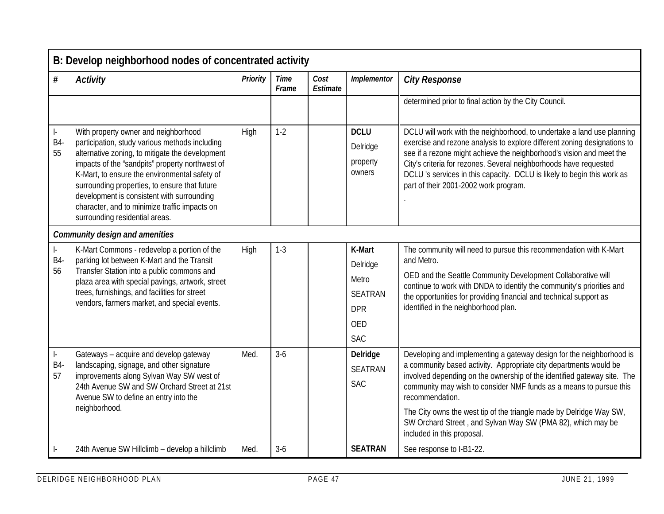|                                                 | B: Develop neighborhood nodes of concentrated activity                                                                                                                                                                                                                                                                                                                                                                          |          |                      |                  |                                                                                  |                                                                                                                                                                                                                                                                                                                                                                                                                                                                                   |  |  |  |  |  |
|-------------------------------------------------|---------------------------------------------------------------------------------------------------------------------------------------------------------------------------------------------------------------------------------------------------------------------------------------------------------------------------------------------------------------------------------------------------------------------------------|----------|----------------------|------------------|----------------------------------------------------------------------------------|-----------------------------------------------------------------------------------------------------------------------------------------------------------------------------------------------------------------------------------------------------------------------------------------------------------------------------------------------------------------------------------------------------------------------------------------------------------------------------------|--|--|--|--|--|
| #                                               | <b>Activity</b>                                                                                                                                                                                                                                                                                                                                                                                                                 | Priority | <b>Time</b><br>Frame | Cost<br>Estimate | Implementor                                                                      | <b>City Response</b>                                                                                                                                                                                                                                                                                                                                                                                                                                                              |  |  |  |  |  |
|                                                 |                                                                                                                                                                                                                                                                                                                                                                                                                                 |          |                      |                  |                                                                                  | determined prior to final action by the City Council.                                                                                                                                                                                                                                                                                                                                                                                                                             |  |  |  |  |  |
| $\vert$ -<br><b>B4-</b><br>55                   | With property owner and neighborhood<br>participation, study various methods including<br>alternative zoning, to mitigate the development<br>impacts of the "sandpits" property northwest of<br>K-Mart, to ensure the environmental safety of<br>surrounding properties, to ensure that future<br>development is consistent with surrounding<br>character, and to minimize traffic impacts on<br>surrounding residential areas. | High     | $1 - 2$              |                  | <b>DCLU</b><br>Delridge<br>property<br>owners                                    | DCLU will work with the neighborhood, to undertake a land use planning<br>exercise and rezone analysis to explore different zoning designations to<br>see if a rezone might achieve the neighborhood's vision and meet the<br>City's criteria for rezones. Several neighborhoods have requested<br>DCLU's services in this capacity. DCLU is likely to begin this work as<br>part of their 2001-2002 work program.                                                                |  |  |  |  |  |
|                                                 | <b>Community design and amenities</b>                                                                                                                                                                                                                                                                                                                                                                                           |          |                      |                  |                                                                                  |                                                                                                                                                                                                                                                                                                                                                                                                                                                                                   |  |  |  |  |  |
| $\vert$ -<br><b>B4-</b><br>56                   | K-Mart Commons - redevelop a portion of the<br>parking lot between K-Mart and the Transit<br>Transfer Station into a public commons and<br>plaza area with special pavings, artwork, street<br>trees, furnishings, and facilities for street<br>vendors, farmers market, and special events.                                                                                                                                    | High     | $1 - 3$              |                  | K-Mart<br>Delridge<br>Metro<br><b>SEATRAN</b><br><b>DPR</b><br>OED<br><b>SAC</b> | The community will need to pursue this recommendation with K-Mart<br>and Metro.<br>OED and the Seattle Community Development Collaborative will<br>continue to work with DNDA to identify the community's priorities and<br>the opportunities for providing financial and technical support as<br>identified in the neighborhood plan.                                                                                                                                            |  |  |  |  |  |
| $\left\vert -\right\rangle$<br><b>B4-</b><br>57 | Gateways - acquire and develop gateway<br>landscaping, signage, and other signature<br>improvements along Sylvan Way SW west of<br>24th Avenue SW and SW Orchard Street at 21st<br>Avenue SW to define an entry into the<br>neighborhood.                                                                                                                                                                                       | Med.     | $3-6$                |                  | Delridge<br><b>SEATRAN</b><br><b>SAC</b>                                         | Developing and implementing a gateway design for the neighborhood is<br>a community based activity. Appropriate city departments would be<br>involved depending on the ownership of the identified gateway site. The<br>community may wish to consider NMF funds as a means to pursue this<br>recommendation.<br>The City owns the west tip of the triangle made by Delridge Way SW,<br>SW Orchard Street, and Sylvan Way SW (PMA 82), which may be<br>included in this proposal. |  |  |  |  |  |
|                                                 | 24th Avenue SW Hillclimb - develop a hillclimb                                                                                                                                                                                                                                                                                                                                                                                  | Med.     | $3-6$                |                  | <b>SEATRAN</b>                                                                   | See response to I-B1-22.                                                                                                                                                                                                                                                                                                                                                                                                                                                          |  |  |  |  |  |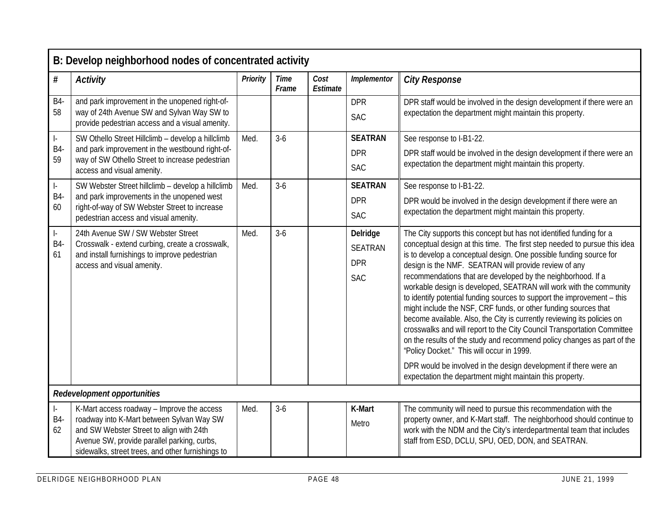|                               | B: Develop neighborhood nodes of concentrated activity                                                                                                                                                                                  |          |                      |                  |                                                        |                                                                                                                                                                                                                                                                                                                                                                                                                                                                                                                                                                                                                                                                                                                                                                                                                                                   |  |  |  |  |
|-------------------------------|-----------------------------------------------------------------------------------------------------------------------------------------------------------------------------------------------------------------------------------------|----------|----------------------|------------------|--------------------------------------------------------|---------------------------------------------------------------------------------------------------------------------------------------------------------------------------------------------------------------------------------------------------------------------------------------------------------------------------------------------------------------------------------------------------------------------------------------------------------------------------------------------------------------------------------------------------------------------------------------------------------------------------------------------------------------------------------------------------------------------------------------------------------------------------------------------------------------------------------------------------|--|--|--|--|
| $\#$                          | <b>Activity</b>                                                                                                                                                                                                                         | Priority | <b>Time</b><br>Frame | Cost<br>Estimate | Implementor                                            | <b>City Response</b>                                                                                                                                                                                                                                                                                                                                                                                                                                                                                                                                                                                                                                                                                                                                                                                                                              |  |  |  |  |
| <b>B4-</b>                    | and park improvement in the unopened right-of-                                                                                                                                                                                          |          |                      |                  | <b>DPR</b>                                             | DPR staff would be involved in the design development if there were an                                                                                                                                                                                                                                                                                                                                                                                                                                                                                                                                                                                                                                                                                                                                                                            |  |  |  |  |
| 58                            | way of 24th Avenue SW and Sylvan Way SW to<br>provide pedestrian access and a visual amenity.                                                                                                                                           |          |                      |                  | <b>SAC</b>                                             | expectation the department might maintain this property.                                                                                                                                                                                                                                                                                                                                                                                                                                                                                                                                                                                                                                                                                                                                                                                          |  |  |  |  |
| $\vert$ -                     | SW Othello Street Hillclimb - develop a hillclimb                                                                                                                                                                                       | Med.     | $3-6$                |                  | <b>SEATRAN</b>                                         | See response to I-B1-22.                                                                                                                                                                                                                                                                                                                                                                                                                                                                                                                                                                                                                                                                                                                                                                                                                          |  |  |  |  |
| B4-<br>59                     | and park improvement in the westbound right-of-<br>way of SW Othello Street to increase pedestrian                                                                                                                                      |          |                      |                  | <b>DPR</b>                                             | DPR staff would be involved in the design development if there were an                                                                                                                                                                                                                                                                                                                                                                                                                                                                                                                                                                                                                                                                                                                                                                            |  |  |  |  |
|                               | access and visual amenity.                                                                                                                                                                                                              |          |                      |                  | <b>SAC</b>                                             | expectation the department might maintain this property.                                                                                                                                                                                                                                                                                                                                                                                                                                                                                                                                                                                                                                                                                                                                                                                          |  |  |  |  |
| $\vert$ -                     | SW Webster Street hillclimb - develop a hillclimb                                                                                                                                                                                       | Med.     | $3-6$                |                  | <b>SEATRAN</b>                                         | See response to I-B1-22.                                                                                                                                                                                                                                                                                                                                                                                                                                                                                                                                                                                                                                                                                                                                                                                                                          |  |  |  |  |
| B4-<br>60                     | and park improvements in the unopened west<br>right-of-way of SW Webster Street to increase                                                                                                                                             |          |                      |                  | <b>DPR</b>                                             | DPR would be involved in the design development if there were an                                                                                                                                                                                                                                                                                                                                                                                                                                                                                                                                                                                                                                                                                                                                                                                  |  |  |  |  |
|                               | pedestrian access and visual amenity.                                                                                                                                                                                                   |          |                      |                  | <b>SAC</b>                                             | expectation the department might maintain this property.                                                                                                                                                                                                                                                                                                                                                                                                                                                                                                                                                                                                                                                                                                                                                                                          |  |  |  |  |
| $\vert$ -<br><b>B4-</b><br>61 | 24th Avenue SW / SW Webster Street<br>Crosswalk - extend curbing, create a crosswalk,<br>and install furnishings to improve pedestrian<br>access and visual amenity.                                                                    | Med.     | $3-6$                |                  | Delridge<br><b>SEATRAN</b><br><b>DPR</b><br><b>SAC</b> | The City supports this concept but has not identified funding for a<br>conceptual design at this time. The first step needed to pursue this idea<br>is to develop a conceptual design. One possible funding source for<br>design is the NMF. SEATRAN will provide review of any<br>recommendations that are developed by the neighborhood. If a<br>workable design is developed, SEATRAN will work with the community<br>to identify potential funding sources to support the improvement - this<br>might include the NSF, CRF funds, or other funding sources that<br>become available. Also, the City is currently reviewing its policies on<br>crosswalks and will report to the City Council Transportation Committee<br>on the results of the study and recommend policy changes as part of the<br>"Policy Docket." This will occur in 1999. |  |  |  |  |
|                               |                                                                                                                                                                                                                                         |          |                      |                  |                                                        | DPR would be involved in the design development if there were an<br>expectation the department might maintain this property.                                                                                                                                                                                                                                                                                                                                                                                                                                                                                                                                                                                                                                                                                                                      |  |  |  |  |
|                               | Redevelopment opportunities                                                                                                                                                                                                             |          |                      |                  |                                                        |                                                                                                                                                                                                                                                                                                                                                                                                                                                                                                                                                                                                                                                                                                                                                                                                                                                   |  |  |  |  |
| ŀ.<br><b>B4-</b><br>62        | K-Mart access roadway - Improve the access<br>roadway into K-Mart between Sylvan Way SW<br>and SW Webster Street to align with 24th<br>Avenue SW, provide parallel parking, curbs,<br>sidewalks, street trees, and other furnishings to | Med.     | $3-6$                |                  | K-Mart<br>Metro                                        | The community will need to pursue this recommendation with the<br>property owner, and K-Mart staff. The neighborhood should continue to<br>work with the NDM and the City's interdepartmental team that includes<br>staff from ESD, DCLU, SPU, OED, DON, and SEATRAN.                                                                                                                                                                                                                                                                                                                                                                                                                                                                                                                                                                             |  |  |  |  |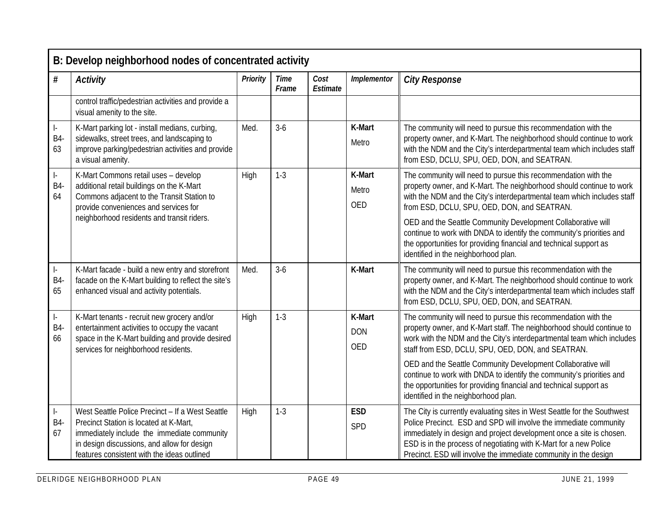|                                                 | B: Develop neighborhood nodes of concentrated activity                                                                                                                                                                                  |                 |                      |                  |                                    |                                                                                                                                                                                                                                                                                                                                                                |  |  |  |  |  |
|-------------------------------------------------|-----------------------------------------------------------------------------------------------------------------------------------------------------------------------------------------------------------------------------------------|-----------------|----------------------|------------------|------------------------------------|----------------------------------------------------------------------------------------------------------------------------------------------------------------------------------------------------------------------------------------------------------------------------------------------------------------------------------------------------------------|--|--|--|--|--|
| $\#$                                            | <b>Activity</b>                                                                                                                                                                                                                         | <b>Priority</b> | <b>Time</b><br>Frame | Cost<br>Estimate | Implementor                        | <b>City Response</b>                                                                                                                                                                                                                                                                                                                                           |  |  |  |  |  |
|                                                 | control traffic/pedestrian activities and provide a<br>visual amenity to the site.                                                                                                                                                      |                 |                      |                  |                                    |                                                                                                                                                                                                                                                                                                                                                                |  |  |  |  |  |
| $\vert$ -<br>B4-<br>63                          | K-Mart parking lot - install medians, curbing,<br>sidewalks, street trees, and landscaping to<br>improve parking/pedestrian activities and provide<br>a visual amenity.                                                                 | Med.            | $3-6$                |                  | K-Mart<br>Metro                    | The community will need to pursue this recommendation with the<br>property owner, and K-Mart. The neighborhood should continue to work<br>with the NDM and the City's interdepartmental team which includes staff<br>from ESD, DCLU, SPU, OED, DON, and SEATRAN.                                                                                               |  |  |  |  |  |
| ŀ.<br>B4-<br>64                                 | K-Mart Commons retail uses - develop<br>additional retail buildings on the K-Mart<br>Commons adjacent to the Transit Station to<br>provide conveniences and services for                                                                | High            | $1-3$                |                  | K-Mart<br>Metro<br><b>OED</b>      | The community will need to pursue this recommendation with the<br>property owner, and K-Mart. The neighborhood should continue to work<br>with the NDM and the City's interdepartmental team which includes staff<br>from ESD, DCLU, SPU, OED, DON, and SEATRAN.                                                                                               |  |  |  |  |  |
|                                                 | neighborhood residents and transit riders.                                                                                                                                                                                              |                 |                      |                  |                                    | OED and the Seattle Community Development Collaborative will<br>continue to work with DNDA to identify the community's priorities and<br>the opportunities for providing financial and technical support as<br>identified in the neighborhood plan.                                                                                                            |  |  |  |  |  |
| ŀ.<br>B4-<br>65                                 | K-Mart facade - build a new entry and storefront<br>facade on the K-Mart building to reflect the site's<br>enhanced visual and activity potentials.                                                                                     | Med.            | $3-6$                |                  | K-Mart                             | The community will need to pursue this recommendation with the<br>property owner, and K-Mart. The neighborhood should continue to work<br>with the NDM and the City's interdepartmental team which includes staff<br>from ESD, DCLU, SPU, OED, DON, and SEATRAN.                                                                                               |  |  |  |  |  |
| $\left\vert -\right\rangle$<br><b>B4-</b><br>66 | K-Mart tenants - recruit new grocery and/or<br>entertainment activities to occupy the vacant<br>space in the K-Mart building and provide desired<br>services for neighborhood residents.                                                | High            | $1 - 3$              |                  | K-Mart<br><b>DON</b><br><b>OED</b> | The community will need to pursue this recommendation with the<br>property owner, and K-Mart staff. The neighborhood should continue to<br>work with the NDM and the City's interdepartmental team which includes<br>staff from ESD, DCLU, SPU, OED, DON, and SEATRAN.                                                                                         |  |  |  |  |  |
|                                                 |                                                                                                                                                                                                                                         |                 |                      |                  |                                    | OED and the Seattle Community Development Collaborative will<br>continue to work with DNDA to identify the community's priorities and<br>the opportunities for providing financial and technical support as<br>identified in the neighborhood plan.                                                                                                            |  |  |  |  |  |
| ŀ.<br><b>B4-</b><br>67                          | West Seattle Police Precinct - If a West Seattle<br>Precinct Station is located at K-Mart,<br>immediately include the immediate community<br>in design discussions, and allow for design<br>features consistent with the ideas outlined | High            | $1 - 3$              |                  | <b>ESD</b><br>SPD                  | The City is currently evaluating sites in West Seattle for the Southwest<br>Police Precinct. ESD and SPD will involve the immediate community<br>immediately in design and project development once a site is chosen.<br>ESD is in the process of negotiating with K-Mart for a new Police<br>Precinct. ESD will involve the immediate community in the design |  |  |  |  |  |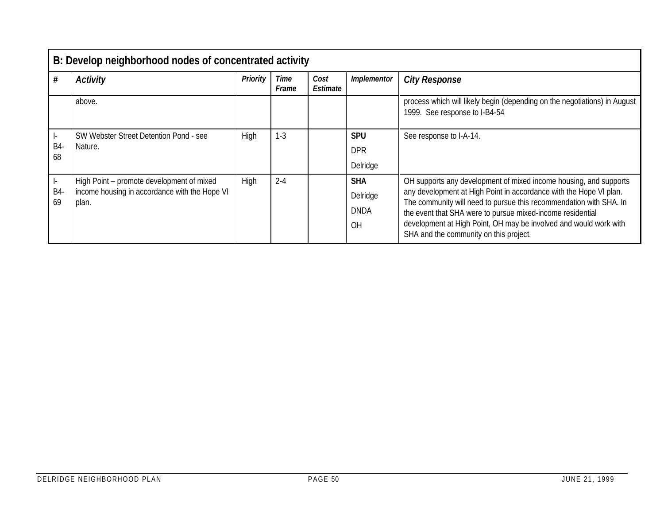|                       | B: Develop neighborhood nodes of concentrated activity                                              |             |               |                  |                                             |                                                                                                                                                                                                                                                                                                                                                                                            |  |  |  |  |  |  |
|-----------------------|-----------------------------------------------------------------------------------------------------|-------------|---------------|------------------|---------------------------------------------|--------------------------------------------------------------------------------------------------------------------------------------------------------------------------------------------------------------------------------------------------------------------------------------------------------------------------------------------------------------------------------------------|--|--|--|--|--|--|
| #                     | <b>Activity</b>                                                                                     | Priority    | Time<br>Frame | Cost<br>Estimate | Implementor                                 | <b>City Response</b>                                                                                                                                                                                                                                                                                                                                                                       |  |  |  |  |  |  |
|                       | above.                                                                                              |             |               |                  |                                             | process which will likely begin (depending on the negotiations) in August<br>1999. See response to I-B4-54                                                                                                                                                                                                                                                                                 |  |  |  |  |  |  |
| $\vdash$<br>B4-<br>68 | SW Webster Street Detention Pond - see<br>Nature.                                                   | <b>High</b> | $1 - 3$       |                  | <b>SPU</b><br><b>DPR</b><br>Delridge        | See response to I-A-14.                                                                                                                                                                                                                                                                                                                                                                    |  |  |  |  |  |  |
| -l-<br>B4-<br>69      | High Point – promote development of mixed<br>income housing in accordance with the Hope VI<br>plan. | High        | $2 - 4$       |                  | <b>SHA</b><br>Delridge<br><b>DNDA</b><br>OH | OH supports any development of mixed income housing, and supports<br>any development at High Point in accordance with the Hope VI plan.<br>The community will need to pursue this recommendation with SHA. In<br>the event that SHA were to pursue mixed-income residential<br>development at High Point, OH may be involved and would work with<br>SHA and the community on this project. |  |  |  |  |  |  |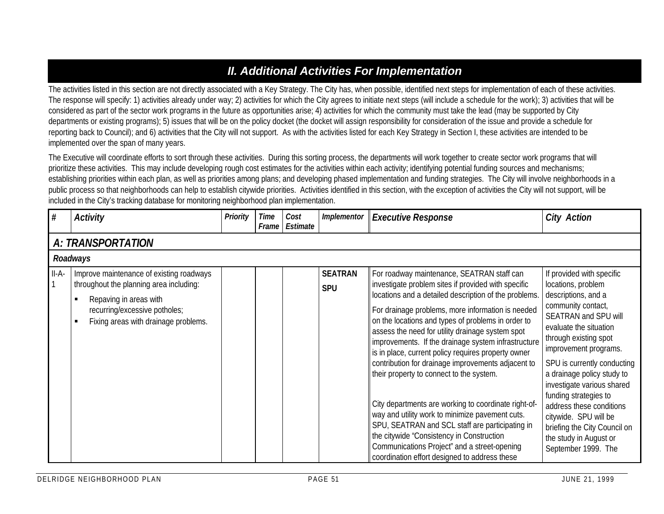## *II. Additional Activities For Implementation*

The activities listed in this section are not directly associated with a Key Strategy. The City has, when possible, identified next steps for implementation of each of these activities. The response will specify: 1) activities already under way; 2) activities for which the City agrees to initiate next steps (will include a schedule for the work); 3) activities that will be considered as part of the sector work programs in the future as opportunities arise; 4) activities for which the community must take the lead (may be supported by City departments or existing programs); 5) issues that will be on the policy docket (the docket will assign responsibility for consideration of the issue and provide a schedule for reporting back to Council); and 6) activities that the City will not support. As with the activities listed for each Key Strategy in Section I, these activities are intended to be implemented over the span of many years.

The Executive will coordinate efforts to sort through these activities. During this sorting process, the departments will work together to create sector work programs that will prioritize these activities. This may include developing rough cost estimates for the activities within each activity; identifying potential funding sources and mechanisms; establishing priorities within each plan, as well as priorities among plans; and developing phased implementation and funding strategies. The City will involve neighborhoods in a public process so that neighborhoods can help to establish citywide priorities. Activities identified in this section, with the exception of activities the City will not support, will be included in the City's tracking database for monitoring neighborhood plan implementation.

| #       | <b>Activity</b>                                                                                                                                                                                                            | <b>Priority</b> | Time<br>Frame | Cost<br>Estimate | Implementor                  | <b>Executive Response</b>                                                                                                                                                                                                                                                                                                                                                                                                                                                                                                                                                                                                                                                                                                                                                                                                                             | <b>City Action</b>                                                                                                                                                                                                                                                                                                                                                                                                                                         |  |  |  |  |  |  |
|---------|----------------------------------------------------------------------------------------------------------------------------------------------------------------------------------------------------------------------------|-----------------|---------------|------------------|------------------------------|-------------------------------------------------------------------------------------------------------------------------------------------------------------------------------------------------------------------------------------------------------------------------------------------------------------------------------------------------------------------------------------------------------------------------------------------------------------------------------------------------------------------------------------------------------------------------------------------------------------------------------------------------------------------------------------------------------------------------------------------------------------------------------------------------------------------------------------------------------|------------------------------------------------------------------------------------------------------------------------------------------------------------------------------------------------------------------------------------------------------------------------------------------------------------------------------------------------------------------------------------------------------------------------------------------------------------|--|--|--|--|--|--|
|         | <b>A: TRANSPORTATION</b>                                                                                                                                                                                                   |                 |               |                  |                              |                                                                                                                                                                                                                                                                                                                                                                                                                                                                                                                                                                                                                                                                                                                                                                                                                                                       |                                                                                                                                                                                                                                                                                                                                                                                                                                                            |  |  |  |  |  |  |
|         | Roadways                                                                                                                                                                                                                   |                 |               |                  |                              |                                                                                                                                                                                                                                                                                                                                                                                                                                                                                                                                                                                                                                                                                                                                                                                                                                                       |                                                                                                                                                                                                                                                                                                                                                                                                                                                            |  |  |  |  |  |  |
| $II-A-$ | Improve maintenance of existing roadways<br>throughout the planning area including:<br>Repaving in areas with<br>$\blacksquare$<br>recurring/excessive potholes;<br>Fixing areas with drainage problems.<br>$\blacksquare$ |                 |               |                  | <b>SEATRAN</b><br><b>SPU</b> | For roadway maintenance, SEATRAN staff can<br>investigate problem sites if provided with specific<br>locations and a detailed description of the problems.<br>For drainage problems, more information is needed<br>on the locations and types of problems in order to<br>assess the need for utility drainage system spot<br>improvements. If the drainage system infrastructure<br>is in place, current policy requires property owner<br>contribution for drainage improvements adjacent to<br>their property to connect to the system.<br>City departments are working to coordinate right-of-<br>way and utility work to minimize pavement cuts.<br>SPU, SEATRAN and SCL staff are participating in<br>the citywide "Consistency in Construction<br>Communications Project" and a street-opening<br>coordination effort designed to address these | If provided with specific<br>locations, problem<br>descriptions, and a<br>community contact,<br>SEATRAN and SPU will<br>evaluate the situation<br>through existing spot<br>improvement programs.<br>SPU is currently conducting<br>a drainage policy study to<br>investigate various shared<br>funding strategies to<br>address these conditions<br>citywide. SPU will be<br>briefing the City Council on<br>the study in August or<br>September 1999. The |  |  |  |  |  |  |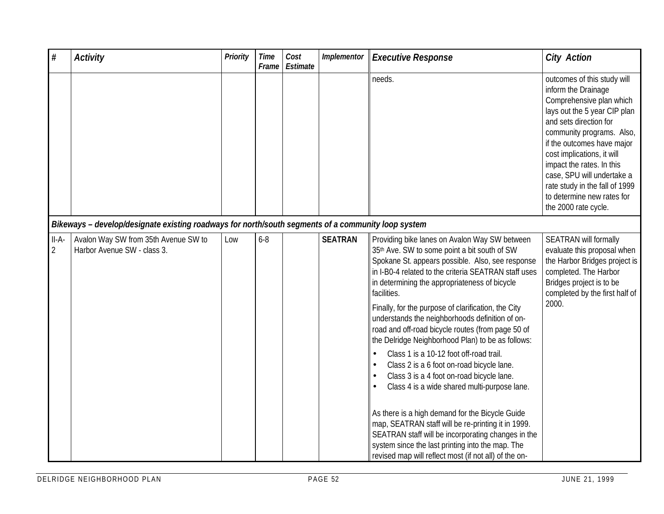| $\#$                      | <b>Activity</b>                                                                                    | <b>Priority</b> | <b>Time</b><br>Frame | Cost<br>Estimate | Implementor    | <b>Executive Response</b>                                                                                                                                                                                                                                                                                                                                                                                                                                                                                                                                                                                                                                                                                                                                                                                                                                                                                                                                                   | <b>City Action</b>                                                                                                                                                                                                                                                                                                                                                                   |
|---------------------------|----------------------------------------------------------------------------------------------------|-----------------|----------------------|------------------|----------------|-----------------------------------------------------------------------------------------------------------------------------------------------------------------------------------------------------------------------------------------------------------------------------------------------------------------------------------------------------------------------------------------------------------------------------------------------------------------------------------------------------------------------------------------------------------------------------------------------------------------------------------------------------------------------------------------------------------------------------------------------------------------------------------------------------------------------------------------------------------------------------------------------------------------------------------------------------------------------------|--------------------------------------------------------------------------------------------------------------------------------------------------------------------------------------------------------------------------------------------------------------------------------------------------------------------------------------------------------------------------------------|
|                           |                                                                                                    |                 |                      |                  |                | needs.                                                                                                                                                                                                                                                                                                                                                                                                                                                                                                                                                                                                                                                                                                                                                                                                                                                                                                                                                                      | outcomes of this study will<br>inform the Drainage<br>Comprehensive plan which<br>lays out the 5 year CIP plan<br>and sets direction for<br>community programs. Also,<br>if the outcomes have major<br>cost implications, it will<br>impact the rates. In this<br>case, SPU will undertake a<br>rate study in the fall of 1999<br>to determine new rates for<br>the 2000 rate cycle. |
|                           | Bikeways - develop/designate existing roadways for north/south segments of a community loop system |                 |                      |                  |                |                                                                                                                                                                                                                                                                                                                                                                                                                                                                                                                                                                                                                                                                                                                                                                                                                                                                                                                                                                             |                                                                                                                                                                                                                                                                                                                                                                                      |
| $II-A-$<br>$\overline{2}$ | Avalon Way SW from 35th Avenue SW to<br>Harbor Avenue SW - class 3.                                | Low             | $6 - 8$              |                  | <b>SEATRAN</b> | Providing bike lanes on Avalon Way SW between<br>35th Ave. SW to some point a bit south of SW<br>Spokane St. appears possible. Also, see response<br>in I-B0-4 related to the criteria SEATRAN staff uses<br>in determining the appropriateness of bicycle<br>facilities.<br>Finally, for the purpose of clarification, the City<br>understands the neighborhoods definition of on-<br>road and off-road bicycle routes (from page 50 of<br>the Delridge Neighborhood Plan) to be as follows:<br>Class 1 is a 10-12 foot off-road trail.<br>$\bullet$<br>Class 2 is a 6 foot on-road bicycle lane.<br>Class 3 is a 4 foot on-road bicycle lane.<br>Class 4 is a wide shared multi-purpose lane.<br>As there is a high demand for the Bicycle Guide<br>map, SEATRAN staff will be re-printing it in 1999.<br>SEATRAN staff will be incorporating changes in the<br>system since the last printing into the map. The<br>revised map will reflect most (if not all) of the on- | SEATRAN will formally<br>evaluate this proposal when<br>the Harbor Bridges project is<br>completed. The Harbor<br>Bridges project is to be<br>completed by the first half of<br>2000.                                                                                                                                                                                                |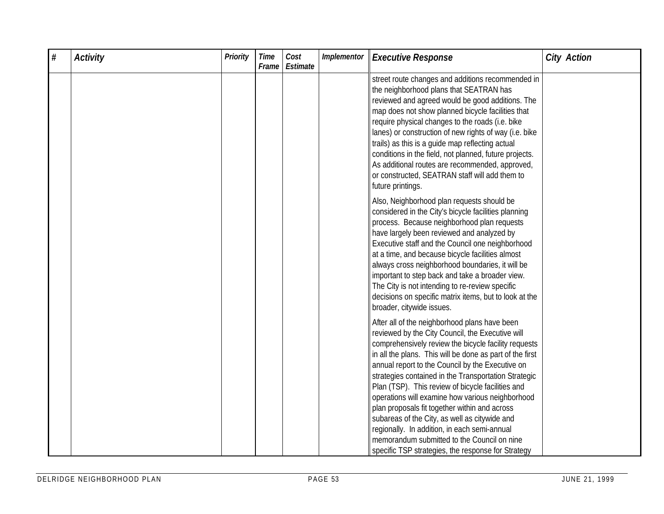| $\#$ | <b>Activity</b> | Priority | <b>Time</b><br>Frame | Cost<br>Estimate | Implementor | <b>Executive Response</b>                                                                                                                                                                                                                                                                                                                                                                                                                                                                                                                                                                                                                                                                         | <b>City Action</b> |
|------|-----------------|----------|----------------------|------------------|-------------|---------------------------------------------------------------------------------------------------------------------------------------------------------------------------------------------------------------------------------------------------------------------------------------------------------------------------------------------------------------------------------------------------------------------------------------------------------------------------------------------------------------------------------------------------------------------------------------------------------------------------------------------------------------------------------------------------|--------------------|
|      |                 |          |                      |                  |             | street route changes and additions recommended in<br>the neighborhood plans that SEATRAN has<br>reviewed and agreed would be good additions. The<br>map does not show planned bicycle facilities that<br>require physical changes to the roads (i.e. bike<br>lanes) or construction of new rights of way (i.e. bike<br>trails) as this is a guide map reflecting actual<br>conditions in the field, not planned, future projects.<br>As additional routes are recommended, approved,<br>or constructed, SEATRAN staff will add them to<br>future printings.                                                                                                                                       |                    |
|      |                 |          |                      |                  |             | Also, Neighborhood plan requests should be<br>considered in the City's bicycle facilities planning<br>process. Because neighborhood plan requests<br>have largely been reviewed and analyzed by<br>Executive staff and the Council one neighborhood<br>at a time, and because bicycle facilities almost<br>always cross neighborhood boundaries, it will be<br>important to step back and take a broader view.<br>The City is not intending to re-review specific<br>decisions on specific matrix items, but to look at the<br>broader, citywide issues.                                                                                                                                          |                    |
|      |                 |          |                      |                  |             | After all of the neighborhood plans have been<br>reviewed by the City Council, the Executive will<br>comprehensively review the bicycle facility requests<br>in all the plans. This will be done as part of the first<br>annual report to the Council by the Executive on<br>strategies contained in the Transportation Strategic<br>Plan (TSP). This review of bicycle facilities and<br>operations will examine how various neighborhood<br>plan proposals fit together within and across<br>subareas of the City, as well as citywide and<br>regionally. In addition, in each semi-annual<br>memorandum submitted to the Council on nine<br>specific TSP strategies, the response for Strategy |                    |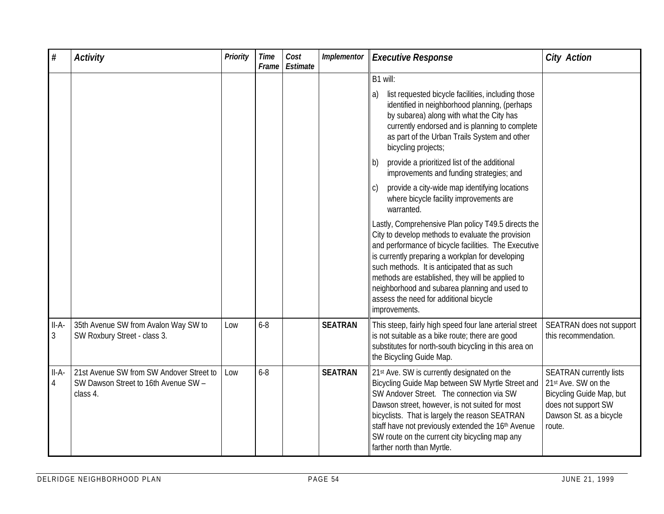| $\#$         | <b>Activity</b>                                                                              | Priority | <b>Time</b><br>Frame | Cost<br>Estimate | Implementor    | <b>Executive Response</b>                                                                                                                                                                                                                                                                                                                                                             | <b>City Action</b>                                                                                                                            |
|--------------|----------------------------------------------------------------------------------------------|----------|----------------------|------------------|----------------|---------------------------------------------------------------------------------------------------------------------------------------------------------------------------------------------------------------------------------------------------------------------------------------------------------------------------------------------------------------------------------------|-----------------------------------------------------------------------------------------------------------------------------------------------|
|              |                                                                                              |          |                      |                  |                | B1 will:<br>list requested bicycle facilities, including those<br>a)<br>identified in neighborhood planning, (perhaps<br>by subarea) along with what the City has<br>currently endorsed and is planning to complete<br>as part of the Urban Trails System and other<br>bicycling projects;<br>provide a prioritized list of the additional<br>b)                                      |                                                                                                                                               |
|              |                                                                                              |          |                      |                  |                | improvements and funding strategies; and<br>provide a city-wide map identifying locations<br>where bicycle facility improvements are<br>warranted.<br>Lastly, Comprehensive Plan policy T49.5 directs the                                                                                                                                                                             |                                                                                                                                               |
|              |                                                                                              |          |                      |                  |                | City to develop methods to evaluate the provision<br>and performance of bicycle facilities. The Executive<br>is currently preparing a workplan for developing<br>such methods. It is anticipated that as such<br>methods are established, they will be applied to<br>neighborhood and subarea planning and used to<br>assess the need for additional bicycle<br>improvements.         |                                                                                                                                               |
| II-A-<br>3   | 35th Avenue SW from Avalon Way SW to<br>SW Roxbury Street - class 3.                         | Low      | $6 - 8$              |                  | <b>SEATRAN</b> | This steep, fairly high speed four lane arterial street<br>is not suitable as a bike route; there are good<br>substitutes for north-south bicycling in this area on<br>the Bicycling Guide Map.                                                                                                                                                                                       | SEATRAN does not support<br>this recommendation.                                                                                              |
| $II-A-$<br>4 | 21st Avenue SW from SW Andover Street to<br>SW Dawson Street to 16th Avenue SW -<br>class 4. | Low      | $6 - 8$              |                  | <b>SEATRAN</b> | 21st Ave. SW is currently designated on the<br>Bicycling Guide Map between SW Myrtle Street and<br>SW Andover Street. The connection via SW<br>Dawson street, however, is not suited for most<br>bicyclists. That is largely the reason SEATRAN<br>staff have not previously extended the 16th Avenue<br>SW route on the current city bicycling map any<br>farther north than Myrtle. | <b>SEATRAN currently lists</b><br>21st Ave. SW on the<br>Bicycling Guide Map, but<br>does not support SW<br>Dawson St. as a bicycle<br>route. |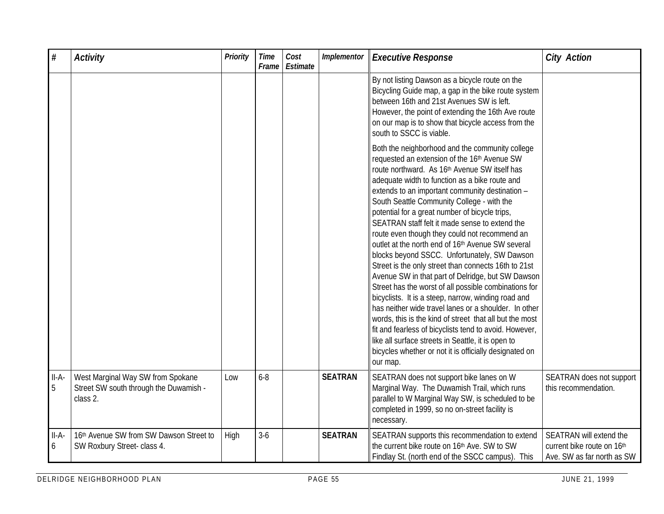| $\#$         | <b>Activity</b>                                                                         | Priority | <b>Time</b><br>Frame | Cost<br>Estimate | Implementor    | <b>Executive Response</b>                                                                                                                                                                                                                                                                                                                                                                                                                                                                                                                                                                                                                                                                                                                                                                                                                                                                                                                                                                                                                                                                                                    | <b>City Action</b>                                                                  |
|--------------|-----------------------------------------------------------------------------------------|----------|----------------------|------------------|----------------|------------------------------------------------------------------------------------------------------------------------------------------------------------------------------------------------------------------------------------------------------------------------------------------------------------------------------------------------------------------------------------------------------------------------------------------------------------------------------------------------------------------------------------------------------------------------------------------------------------------------------------------------------------------------------------------------------------------------------------------------------------------------------------------------------------------------------------------------------------------------------------------------------------------------------------------------------------------------------------------------------------------------------------------------------------------------------------------------------------------------------|-------------------------------------------------------------------------------------|
|              |                                                                                         |          |                      |                  |                | By not listing Dawson as a bicycle route on the<br>Bicycling Guide map, a gap in the bike route system<br>between 16th and 21st Avenues SW is left.<br>However, the point of extending the 16th Ave route<br>on our map is to show that bicycle access from the<br>south to SSCC is viable.                                                                                                                                                                                                                                                                                                                                                                                                                                                                                                                                                                                                                                                                                                                                                                                                                                  |                                                                                     |
|              |                                                                                         |          |                      |                  |                | Both the neighborhood and the community college<br>requested an extension of the 16 <sup>th</sup> Avenue SW<br>route northward. As 16 <sup>th</sup> Avenue SW itself has<br>adequate width to function as a bike route and<br>extends to an important community destination -<br>South Seattle Community College - with the<br>potential for a great number of bicycle trips,<br>SEATRAN staff felt it made sense to extend the<br>route even though they could not recommend an<br>outlet at the north end of 16th Avenue SW several<br>blocks beyond SSCC. Unfortunately, SW Dawson<br>Street is the only street than connects 16th to 21st<br>Avenue SW in that part of Delridge, but SW Dawson<br>Street has the worst of all possible combinations for<br>bicyclists. It is a steep, narrow, winding road and<br>has neither wide travel lanes or a shoulder. In other<br>words, this is the kind of street that all but the most<br>fit and fearless of bicyclists tend to avoid. However,<br>like all surface streets in Seattle, it is open to<br>bicycles whether or not it is officially designated on<br>our map. |                                                                                     |
| $II-A-$<br>5 | West Marginal Way SW from Spokane<br>Street SW south through the Duwamish -<br>class 2. | Low      | $6 - 8$              |                  | <b>SEATRAN</b> | SEATRAN does not support bike lanes on W<br>Marginal Way. The Duwamish Trail, which runs<br>parallel to W Marginal Way SW, is scheduled to be<br>completed in 1999, so no on-street facility is<br>necessary.                                                                                                                                                                                                                                                                                                                                                                                                                                                                                                                                                                                                                                                                                                                                                                                                                                                                                                                | SEATRAN does not support<br>this recommendation.                                    |
| $II-A-$<br>6 | 16th Avenue SW from SW Dawson Street to<br>SW Roxbury Street- class 4.                  | High     | $3-6$                |                  | <b>SEATRAN</b> | SEATRAN supports this recommendation to extend<br>the current bike route on 16th Ave. SW to SW<br>Findlay St. (north end of the SSCC campus). This                                                                                                                                                                                                                                                                                                                                                                                                                                                                                                                                                                                                                                                                                                                                                                                                                                                                                                                                                                           | SEATRAN will extend the<br>current bike route on 16th<br>Ave. SW as far north as SW |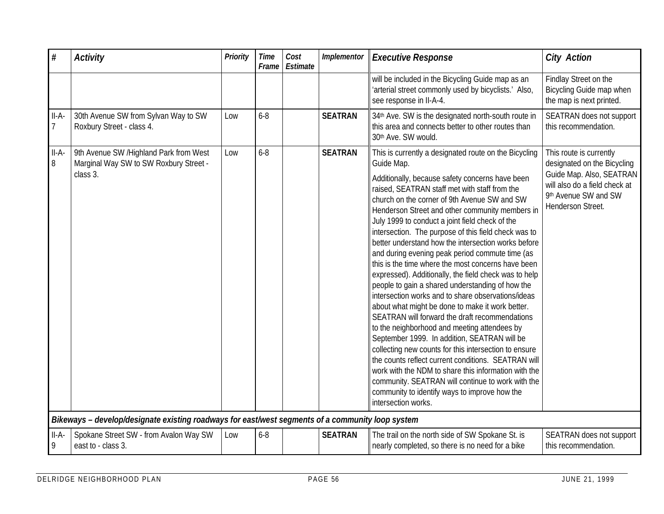| $\#$                    | <b>Activity</b>                                                                                  | Priority | <b>Time</b><br>Frame | Cost<br>Estimate | Implementor    | <b>Executive Response</b>                                                                                                                                                                                                                                                                                                                                                                                                                                                                                                                                                                                                                                                                                                                                                                                                                                                                                                                                                                                                                                                                                                                                                                                    | <b>City Action</b>                                                                                                                                               |
|-------------------------|--------------------------------------------------------------------------------------------------|----------|----------------------|------------------|----------------|--------------------------------------------------------------------------------------------------------------------------------------------------------------------------------------------------------------------------------------------------------------------------------------------------------------------------------------------------------------------------------------------------------------------------------------------------------------------------------------------------------------------------------------------------------------------------------------------------------------------------------------------------------------------------------------------------------------------------------------------------------------------------------------------------------------------------------------------------------------------------------------------------------------------------------------------------------------------------------------------------------------------------------------------------------------------------------------------------------------------------------------------------------------------------------------------------------------|------------------------------------------------------------------------------------------------------------------------------------------------------------------|
|                         |                                                                                                  |          |                      |                  |                | will be included in the Bicycling Guide map as an<br>'arterial street commonly used by bicyclists.' Also,<br>see response in II-A-4.                                                                                                                                                                                                                                                                                                                                                                                                                                                                                                                                                                                                                                                                                                                                                                                                                                                                                                                                                                                                                                                                         | Findlay Street on the<br>Bicycling Guide map when<br>the map is next printed.                                                                                    |
| II-A-<br>$\overline{7}$ | 30th Avenue SW from Sylvan Way to SW<br>Roxbury Street - class 4.                                | Low      | $6 - 8$              |                  | <b>SEATRAN</b> | 34th Ave. SW is the designated north-south route in<br>this area and connects better to other routes than<br>30th Ave. SW would.                                                                                                                                                                                                                                                                                                                                                                                                                                                                                                                                                                                                                                                                                                                                                                                                                                                                                                                                                                                                                                                                             | SEATRAN does not support<br>this recommendation.                                                                                                                 |
| $II-A-$<br>8            | 9th Avenue SW /Highland Park from West<br>Marginal Way SW to SW Roxbury Street -<br>class 3.     | Low      | $6 - 8$              |                  | <b>SEATRAN</b> | This is currently a designated route on the Bicycling<br>Guide Map.<br>Additionally, because safety concerns have been<br>raised, SEATRAN staff met with staff from the<br>church on the corner of 9th Avenue SW and SW<br>Henderson Street and other community members in<br>July 1999 to conduct a joint field check of the<br>intersection. The purpose of this field check was to<br>better understand how the intersection works before<br>and during evening peak period commute time (as<br>this is the time where the most concerns have been<br>expressed). Additionally, the field check was to help<br>people to gain a shared understanding of how the<br>intersection works and to share observations/ideas<br>about what might be done to make it work better.<br>SEATRAN will forward the draft recommendations<br>to the neighborhood and meeting attendees by<br>September 1999. In addition, SEATRAN will be<br>collecting new counts for this intersection to ensure<br>the counts reflect current conditions. SEATRAN will<br>work with the NDM to share this information with the<br>community. SEATRAN will continue to work with the<br>community to identify ways to improve how the | This route is currently<br>designated on the Bicycling<br>Guide Map. Also, SEATRAN<br>will also do a field check at<br>9th Avenue SW and SW<br>Henderson Street. |
|                         |                                                                                                  |          |                      |                  |                | intersection works.                                                                                                                                                                                                                                                                                                                                                                                                                                                                                                                                                                                                                                                                                                                                                                                                                                                                                                                                                                                                                                                                                                                                                                                          |                                                                                                                                                                  |
|                         | Bikeways - develop/designate existing roadways for east/west segments of a community loop system |          |                      |                  |                |                                                                                                                                                                                                                                                                                                                                                                                                                                                                                                                                                                                                                                                                                                                                                                                                                                                                                                                                                                                                                                                                                                                                                                                                              |                                                                                                                                                                  |
| $II-A-$<br>9            | Spokane Street SW - from Avalon Way SW<br>east to - class 3.                                     | Low      | $6 - 8$              |                  | <b>SEATRAN</b> | The trail on the north side of SW Spokane St. is<br>nearly completed, so there is no need for a bike                                                                                                                                                                                                                                                                                                                                                                                                                                                                                                                                                                                                                                                                                                                                                                                                                                                                                                                                                                                                                                                                                                         | SEATRAN does not support<br>this recommendation.                                                                                                                 |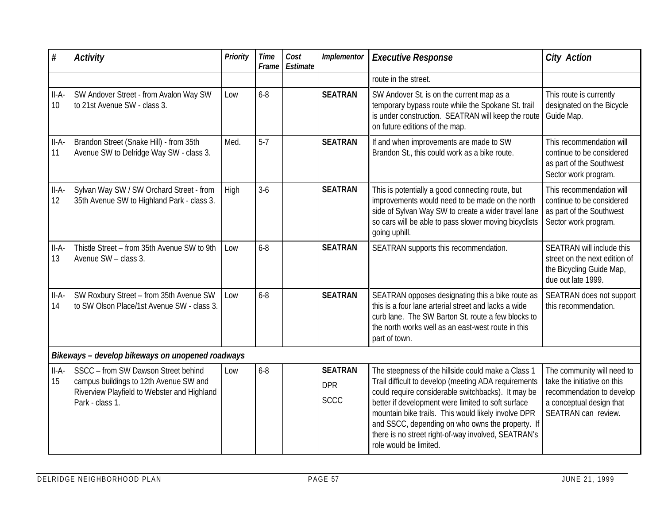| #             | <b>Activity</b>                                                                                                                                 | <b>Priority</b> | <b>Time</b><br>Frame | Cost<br>Estimate | Implementor                                 | <b>Executive Response</b>                                                                                                                                                                                                                                                                                                                                                                                          | <b>City Action</b>                                                                                                                        |
|---------------|-------------------------------------------------------------------------------------------------------------------------------------------------|-----------------|----------------------|------------------|---------------------------------------------|--------------------------------------------------------------------------------------------------------------------------------------------------------------------------------------------------------------------------------------------------------------------------------------------------------------------------------------------------------------------------------------------------------------------|-------------------------------------------------------------------------------------------------------------------------------------------|
|               |                                                                                                                                                 |                 |                      |                  |                                             | route in the street.                                                                                                                                                                                                                                                                                                                                                                                               |                                                                                                                                           |
| $II-A-$<br>10 | SW Andover Street - from Avalon Way SW<br>to 21st Avenue SW - class 3.                                                                          | Low             | $6 - 8$              |                  | <b>SEATRAN</b>                              | SW Andover St. is on the current map as a<br>temporary bypass route while the Spokane St. trail<br>is under construction. SEATRAN will keep the route<br>on future editions of the map.                                                                                                                                                                                                                            | This route is currently<br>designated on the Bicycle<br>Guide Map.                                                                        |
| $II-A-$<br>11 | Brandon Street (Snake Hill) - from 35th<br>Avenue SW to Delridge Way SW - class 3.                                                              | Med.            | $5 - 7$              |                  | <b>SEATRAN</b>                              | If and when improvements are made to SW<br>Brandon St., this could work as a bike route.                                                                                                                                                                                                                                                                                                                           | This recommendation will<br>continue to be considered<br>as part of the Southwest<br>Sector work program.                                 |
| $II-A-$<br>12 | Sylvan Way SW / SW Orchard Street - from<br>35th Avenue SW to Highland Park - class 3.                                                          | <b>High</b>     | $3-6$                |                  | <b>SEATRAN</b>                              | This is potentially a good connecting route, but<br>improvements would need to be made on the north<br>side of Sylvan Way SW to create a wider travel lane<br>so cars will be able to pass slower moving bicyclists<br>going uphill.                                                                                                                                                                               | This recommendation will<br>continue to be considered<br>as part of the Southwest<br>Sector work program.                                 |
| $II-A-$<br>13 | Thistle Street - from 35th Avenue SW to 9th<br>Avenue SW - class 3.                                                                             | Low             | $6 - 8$              |                  | <b>SEATRAN</b>                              | SEATRAN supports this recommendation.                                                                                                                                                                                                                                                                                                                                                                              | SEATRAN will include this<br>street on the next edition of<br>the Bicycling Guide Map,<br>due out late 1999.                              |
| $II-A-$<br>14 | SW Roxbury Street - from 35th Avenue SW<br>to SW Olson Place/1st Avenue SW - class 3.                                                           | Low             | $6 - 8$              |                  | <b>SEATRAN</b>                              | SEATRAN opposes designating this a bike route as<br>this is a four lane arterial street and lacks a wide<br>curb lane. The SW Barton St. route a few blocks to<br>the north works well as an east-west route in this<br>part of town.                                                                                                                                                                              | SEATRAN does not support<br>this recommendation.                                                                                          |
|               | Bikeways - develop bikeways on unopened roadways                                                                                                |                 |                      |                  |                                             |                                                                                                                                                                                                                                                                                                                                                                                                                    |                                                                                                                                           |
| $II-A-$<br>15 | SSCC - from SW Dawson Street behind<br>campus buildings to 12th Avenue SW and<br>Riverview Playfield to Webster and Highland<br>Park - class 1. | Low             | $6 - 8$              |                  | <b>SEATRAN</b><br><b>DPR</b><br><b>SCCC</b> | The steepness of the hillside could make a Class 1<br>Trail difficult to develop (meeting ADA requirements<br>could require considerable switchbacks). It may be<br>better if development were limited to soft surface<br>mountain bike trails. This would likely involve DPR<br>and SSCC, depending on who owns the property. If<br>there is no street right-of-way involved, SEATRAN's<br>role would be limited. | The community will need to<br>take the initiative on this<br>recommendation to develop<br>a conceptual design that<br>SEATRAN can review. |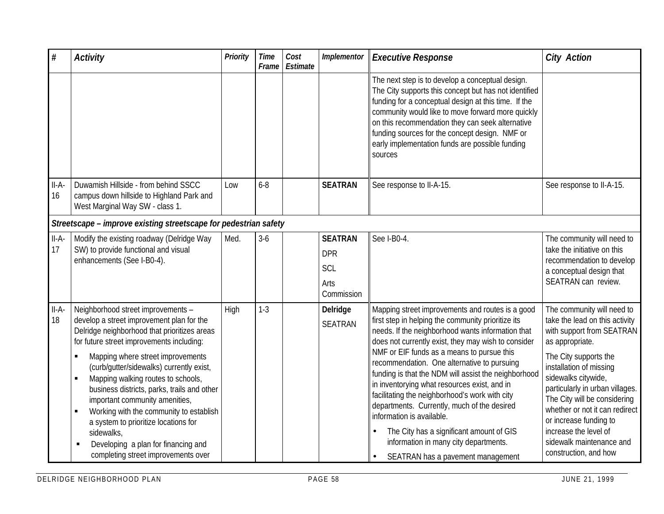| $\#$          | <b>Activity</b>                                                                                                                                                                                                                                                                                                                                                                                                                                                                                                                                                                                 | <b>Priority</b> | <b>Time</b><br>Frame | Cost<br>Estimate | Implementor                                               | <b>Executive Response</b>                                                                                                                                                                                                                                                                                                                                                                                                                                                                                                                                                                                                                                                       | <b>City Action</b>                                                                                                                                                                                                                                                                                                                                                                                   |
|---------------|-------------------------------------------------------------------------------------------------------------------------------------------------------------------------------------------------------------------------------------------------------------------------------------------------------------------------------------------------------------------------------------------------------------------------------------------------------------------------------------------------------------------------------------------------------------------------------------------------|-----------------|----------------------|------------------|-----------------------------------------------------------|---------------------------------------------------------------------------------------------------------------------------------------------------------------------------------------------------------------------------------------------------------------------------------------------------------------------------------------------------------------------------------------------------------------------------------------------------------------------------------------------------------------------------------------------------------------------------------------------------------------------------------------------------------------------------------|------------------------------------------------------------------------------------------------------------------------------------------------------------------------------------------------------------------------------------------------------------------------------------------------------------------------------------------------------------------------------------------------------|
|               |                                                                                                                                                                                                                                                                                                                                                                                                                                                                                                                                                                                                 |                 |                      |                  |                                                           | The next step is to develop a conceptual design.<br>The City supports this concept but has not identified<br>funding for a conceptual design at this time. If the<br>community would like to move forward more quickly<br>on this recommendation they can seek alternative<br>funding sources for the concept design. NMF or<br>early implementation funds are possible funding<br>sources                                                                                                                                                                                                                                                                                      |                                                                                                                                                                                                                                                                                                                                                                                                      |
| $II-A-$<br>16 | Duwamish Hillside - from behind SSCC<br>campus down hillside to Highland Park and<br>West Marginal Way SW - class 1.                                                                                                                                                                                                                                                                                                                                                                                                                                                                            | Low             | $6 - 8$              |                  | <b>SEATRAN</b>                                            | See response to II-A-15.                                                                                                                                                                                                                                                                                                                                                                                                                                                                                                                                                                                                                                                        | See response to II-A-15.                                                                                                                                                                                                                                                                                                                                                                             |
|               | Streetscape - improve existing streetscape for pedestrian safety                                                                                                                                                                                                                                                                                                                                                                                                                                                                                                                                |                 |                      |                  |                                                           |                                                                                                                                                                                                                                                                                                                                                                                                                                                                                                                                                                                                                                                                                 |                                                                                                                                                                                                                                                                                                                                                                                                      |
| $II-A-$<br>17 | Modify the existing roadway (Delridge Way<br>SW) to provide functional and visual<br>enhancements (See I-B0-4).                                                                                                                                                                                                                                                                                                                                                                                                                                                                                 | Med.            | $3-6$                |                  | <b>SEATRAN</b><br><b>DPR</b><br>SCL<br>Arts<br>Commission | See I-B0-4.                                                                                                                                                                                                                                                                                                                                                                                                                                                                                                                                                                                                                                                                     | The community will need to<br>take the initiative on this<br>recommendation to develop<br>a conceptual design that<br>SEATRAN can review.                                                                                                                                                                                                                                                            |
| $II-A-$<br>18 | Neighborhood street improvements -<br>develop a street improvement plan for the<br>Delridge neighborhood that prioritizes areas<br>for future street improvements including:<br>Mapping where street improvements<br>×<br>(curb/gutter/sidewalks) currently exist,<br>Mapping walking routes to schools,<br>×<br>business districts, parks, trails and other<br>important community amenities,<br>Working with the community to establish<br>$\blacksquare$<br>a system to prioritize locations for<br>sidewalks,<br>Developing a plan for financing and<br>completing street improvements over | High            | $1-3$                |                  | Delridge<br><b>SEATRAN</b>                                | Mapping street improvements and routes is a good<br>first step in helping the community prioritize its<br>needs. If the neighborhood wants information that<br>does not currently exist, they may wish to consider<br>NMF or EIF funds as a means to pursue this<br>recommendation. One alternative to pursuing<br>funding is that the NDM will assist the neighborhood<br>in inventorying what resources exist, and in<br>facilitating the neighborhood's work with city<br>departments. Currently, much of the desired<br>information is available.<br>The City has a significant amount of GIS<br>information in many city departments.<br>SEATRAN has a pavement management | The community will need to<br>take the lead on this activity<br>with support from SEATRAN<br>as appropriate.<br>The City supports the<br>installation of missing<br>sidewalks citywide,<br>particularly in urban villages.<br>The City will be considering<br>whether or not it can redirect<br>or increase funding to<br>increase the level of<br>sidewalk maintenance and<br>construction, and how |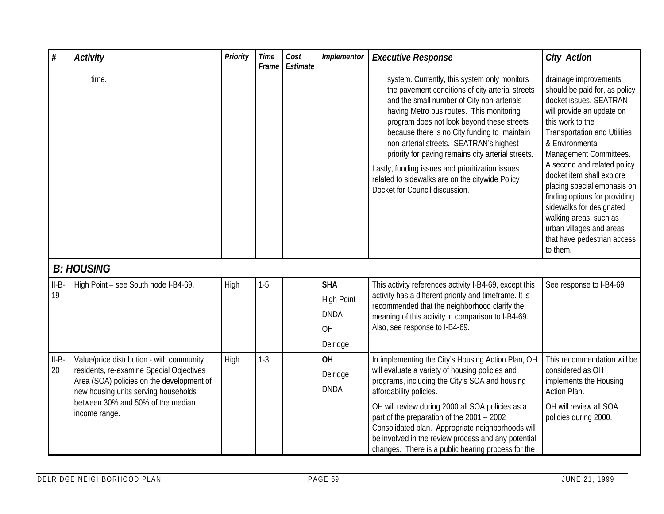| $\#$          | <b>Activity</b>                                                                                                                                                                                                                  | Priority | <b>Time</b><br>Frame | Cost<br>Estimate | Implementor                                                      | <b>Executive Response</b>                                                                                                                                                                                                                                                                                                                                                                                                                                                                                                          | <b>City Action</b>                                                                                                                                                                                                                                                                                                                                                                                                                                                             |
|---------------|----------------------------------------------------------------------------------------------------------------------------------------------------------------------------------------------------------------------------------|----------|----------------------|------------------|------------------------------------------------------------------|------------------------------------------------------------------------------------------------------------------------------------------------------------------------------------------------------------------------------------------------------------------------------------------------------------------------------------------------------------------------------------------------------------------------------------------------------------------------------------------------------------------------------------|--------------------------------------------------------------------------------------------------------------------------------------------------------------------------------------------------------------------------------------------------------------------------------------------------------------------------------------------------------------------------------------------------------------------------------------------------------------------------------|
|               | time.                                                                                                                                                                                                                            |          |                      |                  |                                                                  | system. Currently, this system only monitors<br>the pavement conditions of city arterial streets<br>and the small number of City non-arterials<br>having Metro bus routes. This monitoring<br>program does not look beyond these streets<br>because there is no City funding to maintain<br>non-arterial streets. SEATRAN's highest<br>priority for paving remains city arterial streets.<br>Lastly, funding issues and prioritization issues<br>related to sidewalks are on the citywide Policy<br>Docket for Council discussion. | drainage improvements<br>should be paid for, as policy<br>docket issues. SEATRAN<br>will provide an update on<br>this work to the<br><b>Transportation and Utilities</b><br>& Environmental<br>Management Committees.<br>A second and related policy<br>docket item shall explore<br>placing special emphasis on<br>finding options for providing<br>sidewalks for designated<br>walking areas, such as<br>urban villages and areas<br>that have pedestrian access<br>to them. |
|               | <b>B: HOUSING</b>                                                                                                                                                                                                                |          |                      |                  |                                                                  |                                                                                                                                                                                                                                                                                                                                                                                                                                                                                                                                    |                                                                                                                                                                                                                                                                                                                                                                                                                                                                                |
| $II-B$<br>19  | High Point - see South node I-B4-69.                                                                                                                                                                                             | High     | $1 - 5$              |                  | <b>SHA</b><br><b>High Point</b><br><b>DNDA</b><br>OH<br>Delridge | This activity references activity I-B4-69, except this<br>activity has a different priority and timeframe. It is<br>recommended that the neighborhood clarify the<br>meaning of this activity in comparison to I-B4-69.<br>Also, see response to I-B4-69.                                                                                                                                                                                                                                                                          | See response to I-B4-69.                                                                                                                                                                                                                                                                                                                                                                                                                                                       |
| $II-B-$<br>20 | Value/price distribution - with community<br>residents, re-examine Special Objectives<br>Area (SOA) policies on the development of<br>new housing units serving households<br>between 30% and 50% of the median<br>income range. | High     | $1-3$                |                  | OH<br>Delridge<br><b>DNDA</b>                                    | In implementing the City's Housing Action Plan, OH<br>will evaluate a variety of housing policies and<br>programs, including the City's SOA and housing<br>affordability policies.<br>OH will review during 2000 all SOA policies as a<br>part of the preparation of the 2001 - 2002<br>Consolidated plan. Appropriate neighborhoods will<br>be involved in the review process and any potential<br>changes. There is a public hearing process for the                                                                             | This recommendation will be<br>considered as OH<br>implements the Housing<br>Action Plan.<br>OH will review all SOA<br>policies during 2000.                                                                                                                                                                                                                                                                                                                                   |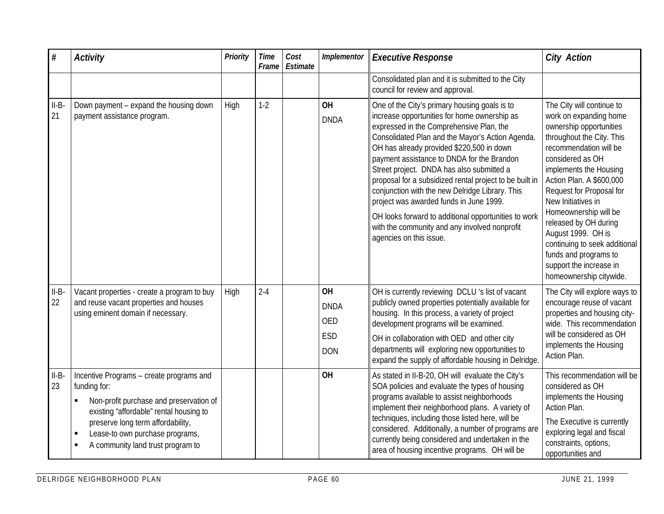| $\#$          | <b>Activity</b>                                                                                                                                                                                                                                                  | Priority | Time<br>Frame | Cost<br>Estimate | Implementor                                                        | <b>Executive Response</b>                                                                                                                                                                                                                                                                                                                                                                                                                                                                                                                                                                                                          | <b>City Action</b>                                                                                                                                                                                                                                                                                                                                                                                                                                        |
|---------------|------------------------------------------------------------------------------------------------------------------------------------------------------------------------------------------------------------------------------------------------------------------|----------|---------------|------------------|--------------------------------------------------------------------|------------------------------------------------------------------------------------------------------------------------------------------------------------------------------------------------------------------------------------------------------------------------------------------------------------------------------------------------------------------------------------------------------------------------------------------------------------------------------------------------------------------------------------------------------------------------------------------------------------------------------------|-----------------------------------------------------------------------------------------------------------------------------------------------------------------------------------------------------------------------------------------------------------------------------------------------------------------------------------------------------------------------------------------------------------------------------------------------------------|
|               |                                                                                                                                                                                                                                                                  |          |               |                  |                                                                    | Consolidated plan and it is submitted to the City<br>council for review and approval.                                                                                                                                                                                                                                                                                                                                                                                                                                                                                                                                              |                                                                                                                                                                                                                                                                                                                                                                                                                                                           |
| $II-B$<br>21  | Down payment - expand the housing down<br>payment assistance program.                                                                                                                                                                                            | High     | $1-2$         |                  | <b>OH</b><br><b>DNDA</b>                                           | One of the City's primary housing goals is to<br>increase opportunities for home ownership as<br>expressed in the Comprehensive Plan, the<br>Consolidated Plan and the Mayor's Action Agenda.<br>OH has already provided \$220,500 in down<br>payment assistance to DNDA for the Brandon<br>Street project. DNDA has also submitted a<br>proposal for a subsidized rental project to be built in<br>conjunction with the new Delridge Library. This<br>project was awarded funds in June 1999.<br>OH looks forward to additional opportunities to work<br>with the community and any involved nonprofit<br>agencies on this issue. | The City will continue to<br>work on expanding home<br>ownership opportunities<br>throughout the City. This<br>recommendation will be<br>considered as OH<br>implements the Housing<br>Action Plan. A \$600,000<br>Request for Proposal for<br>New Initiatives in<br>Homeownership will be<br>released by OH during<br>August 1999. OH is<br>continuing to seek additional<br>funds and programs to<br>support the increase in<br>homeownership citywide. |
| $II-B-$<br>22 | Vacant properties - create a program to buy<br>and reuse vacant properties and houses<br>using eminent domain if necessary.                                                                                                                                      | High     | $2 - 4$       |                  | <b>OH</b><br><b>DNDA</b><br><b>OED</b><br><b>ESD</b><br><b>DON</b> | OH is currently reviewing DCLU 's list of vacant<br>publicly owned properties potentially available for<br>housing. In this process, a variety of project<br>development programs will be examined.<br>OH in collaboration with OED and other city<br>departments will exploring new opportunities to<br>expand the supply of affordable housing in Delridge.                                                                                                                                                                                                                                                                      | The City will explore ways to<br>encourage reuse of vacant<br>properties and housing city-<br>wide. This recommendation<br>will be considered as OH<br>implements the Housing<br>Action Plan.                                                                                                                                                                                                                                                             |
| $II-B-$<br>23 | Incentive Programs - create programs and<br>funding for:<br>Non-profit purchase and preservation of<br>existing "affordable" rental housing to<br>preserve long term affordability,<br>Lease-to own purchase programs,<br>л<br>A community land trust program to |          |               |                  | <b>OH</b>                                                          | As stated in II-B-20, OH will evaluate the City's<br>SOA policies and evaluate the types of housing<br>programs available to assist neighborhoods<br>implement their neighborhood plans. A variety of<br>techniques, including those listed here, will be<br>considered. Additionally, a number of programs are<br>currently being considered and undertaken in the<br>area of housing incentive programs. OH will be                                                                                                                                                                                                              | This recommendation will be<br>considered as OH<br>implements the Housing<br>Action Plan.<br>The Executive is currently<br>exploring legal and fiscal<br>constraints, options,<br>opportunities and                                                                                                                                                                                                                                                       |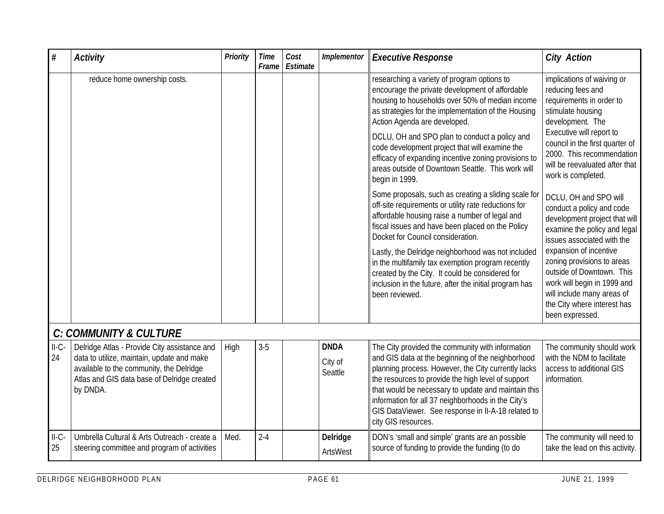| #             | <b>Activity</b>                                                                                                                                                                                   | Priority | <b>Time</b><br>Frame | Cost<br>Estimate | Implementor                       | <b>Executive Response</b>                                                                                                                                                                                                                                                                                                                                                                                    | <b>City Action</b>                                                                                                                                                                               |
|---------------|---------------------------------------------------------------------------------------------------------------------------------------------------------------------------------------------------|----------|----------------------|------------------|-----------------------------------|--------------------------------------------------------------------------------------------------------------------------------------------------------------------------------------------------------------------------------------------------------------------------------------------------------------------------------------------------------------------------------------------------------------|--------------------------------------------------------------------------------------------------------------------------------------------------------------------------------------------------|
|               | reduce home ownership costs.                                                                                                                                                                      |          |                      |                  |                                   | researching a variety of program options to<br>encourage the private development of affordable<br>housing to households over 50% of median income<br>as strategies for the implementation of the Housing<br>Action Agenda are developed.                                                                                                                                                                     | implications of waiving or<br>reducing fees and<br>requirements in order to<br>stimulate housing<br>development. The                                                                             |
|               |                                                                                                                                                                                                   |          |                      |                  |                                   | DCLU, OH and SPO plan to conduct a policy and<br>code development project that will examine the<br>efficacy of expanding incentive zoning provisions to<br>areas outside of Downtown Seattle. This work will<br>begin in 1999.                                                                                                                                                                               | Executive will report to<br>council in the first quarter of<br>2000. This recommendation<br>will be reevaluated after that<br>work is completed.                                                 |
|               |                                                                                                                                                                                                   |          |                      |                  |                                   | Some proposals, such as creating a sliding scale for<br>off-site requirements or utility rate reductions for<br>affordable housing raise a number of legal and<br>fiscal issues and have been placed on the Policy<br>Docket for Council consideration.                                                                                                                                                      | DCLU, OH and SPO will<br>conduct a policy and code<br>development project that will<br>examine the policy and legal<br>issues associated with the                                                |
|               |                                                                                                                                                                                                   |          |                      |                  |                                   | Lastly, the Delridge neighborhood was not included<br>in the multifamily tax exemption program recently<br>created by the City. It could be considered for<br>inclusion in the future, after the initial program has<br>been reviewed.                                                                                                                                                                       | expansion of incentive<br>zoning provisions to areas<br>outside of Downtown. This<br>work will begin in 1999 and<br>will include many areas of<br>the City where interest has<br>been expressed. |
|               | <b>C: COMMUNITY &amp; CULTURE</b>                                                                                                                                                                 |          |                      |                  |                                   |                                                                                                                                                                                                                                                                                                                                                                                                              |                                                                                                                                                                                                  |
| $II-C-$<br>24 | Delridge Atlas - Provide City assistance and<br>data to utilize, maintain, update and make<br>available to the community, the Delridge<br>Atlas and GIS data base of Delridge created<br>by DNDA. | High     | $3-5$                |                  | <b>DNDA</b><br>City of<br>Seattle | The City provided the community with information<br>and GIS data at the beginning of the neighborhood<br>planning process. However, the City currently lacks<br>the resources to provide the high level of support<br>that would be necessary to update and maintain this<br>information for all 37 neighborhoods in the City's<br>GIS DataViewer. See response in II-A-18 related to<br>city GIS resources. | The community should work<br>with the NDM to facilitate<br>access to additional GIS<br>information.                                                                                              |
| $II-C-$<br>25 | Umbrella Cultural & Arts Outreach - create a<br>steering committee and program of activities                                                                                                      | Med.     | $2 - 4$              |                  | Delridge<br>ArtsWest              | DON's 'small and simple' grants are an possible<br>source of funding to provide the funding (to do                                                                                                                                                                                                                                                                                                           | The community will need to<br>take the lead on this activity.                                                                                                                                    |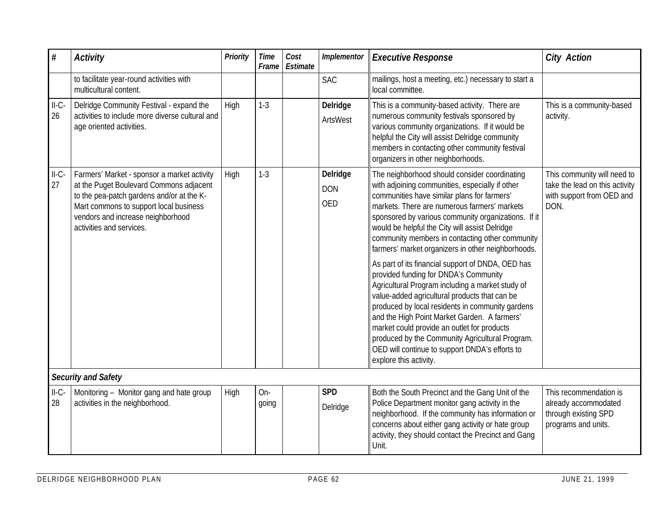| $\#$          | <b>Activity</b>                                                                                                                                                                                                                                | Priority | <b>Time</b><br>Frame | Cost<br>Estimate | Implementor                          | <b>Executive Response</b>                                                                                                                                                                                                                                                                                                                                                                                                                                                                                                                                                                                                                                                                                                                                                                                                                                                                              | <b>City Action</b>                                                                                 |
|---------------|------------------------------------------------------------------------------------------------------------------------------------------------------------------------------------------------------------------------------------------------|----------|----------------------|------------------|--------------------------------------|--------------------------------------------------------------------------------------------------------------------------------------------------------------------------------------------------------------------------------------------------------------------------------------------------------------------------------------------------------------------------------------------------------------------------------------------------------------------------------------------------------------------------------------------------------------------------------------------------------------------------------------------------------------------------------------------------------------------------------------------------------------------------------------------------------------------------------------------------------------------------------------------------------|----------------------------------------------------------------------------------------------------|
|               | to facilitate year-round activities with<br>multicultural content.                                                                                                                                                                             |          |                      |                  | <b>SAC</b>                           | mailings, host a meeting, etc.) necessary to start a<br>local committee.                                                                                                                                                                                                                                                                                                                                                                                                                                                                                                                                                                                                                                                                                                                                                                                                                               |                                                                                                    |
| $II-C-$<br>26 | Delridge Community Festival - expand the<br>activities to include more diverse cultural and<br>age oriented activities.                                                                                                                        | High     | $1-3$                |                  | Delridge<br>ArtsWest                 | This is a community-based activity. There are<br>numerous community festivals sponsored by<br>various community organizations. If it would be<br>helpful the City will assist Delridge community<br>members in contacting other community festival<br>organizers in other neighborhoods.                                                                                                                                                                                                                                                                                                                                                                                                                                                                                                                                                                                                               | This is a community-based<br>activity.                                                             |
| $II-C-$<br>27 | Farmers' Market - sponsor a market activity<br>at the Puget Boulevard Commons adjacent<br>to the pea-patch gardens and/or at the K-<br>Mart commons to support local business<br>vendors and increase neighborhood<br>activities and services. | High     | $1-3$                |                  | Delridge<br><b>DON</b><br><b>OED</b> | The neighborhood should consider coordinating<br>with adjoining communities, especially if other<br>communities have similar plans for farmers'<br>markets. There are numerous farmers' markets<br>sponsored by various community organizations. If it<br>would be helpful the City will assist Delridge<br>community members in contacting other community<br>farmers' market organizers in other neighborhoods.<br>As part of its financial support of DNDA, OED has<br>provided funding for DNDA's Community<br>Agricultural Program including a market study of<br>value-added agricultural products that can be<br>produced by local residents in community gardens<br>and the High Point Market Garden. A farmers'<br>market could provide an outlet for products<br>produced by the Community Agricultural Program.<br>OED will continue to support DNDA's efforts to<br>explore this activity. | This community will need to<br>take the lead on this activity<br>with support from OED and<br>DON. |
|               | <b>Security and Safety</b>                                                                                                                                                                                                                     |          |                      |                  |                                      |                                                                                                                                                                                                                                                                                                                                                                                                                                                                                                                                                                                                                                                                                                                                                                                                                                                                                                        |                                                                                                    |
| $II-C-$<br>28 | Monitoring - Monitor gang and hate group<br>activities in the neighborhood.                                                                                                                                                                    | High     | $On-$<br>going       |                  | <b>SPD</b><br>Delridge               | Both the South Precinct and the Gang Unit of the<br>Police Department monitor gang activity in the<br>neighborhood. If the community has information or<br>concerns about either gang activity or hate group<br>activity, they should contact the Precinct and Gang<br>Unit.                                                                                                                                                                                                                                                                                                                                                                                                                                                                                                                                                                                                                           | This recommendation is<br>already accommodated<br>through existing SPD<br>programs and units.      |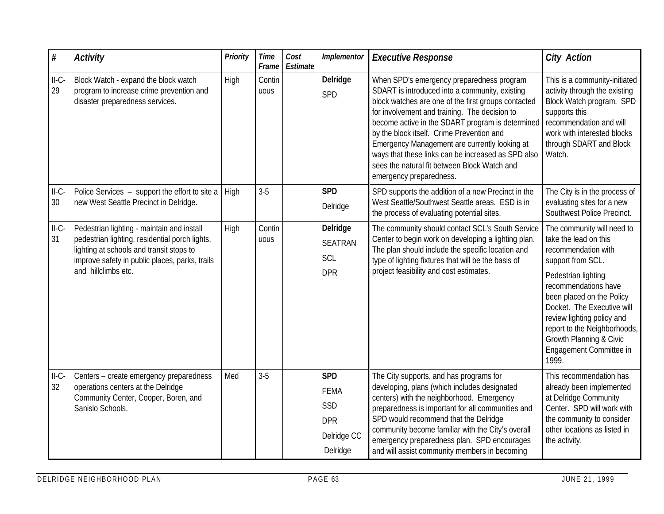| $\#$          | <b>Activity</b>                                                                                                                                                                                                   | Priority | <b>Time</b><br>Frame | Cost<br>Estimate | Implementor                                                               | <b>Executive Response</b>                                                                                                                                                                                                                                                                                                                                                                                                                                                              | <b>City Action</b>                                                                                                                                                                                                                                                                                                                     |
|---------------|-------------------------------------------------------------------------------------------------------------------------------------------------------------------------------------------------------------------|----------|----------------------|------------------|---------------------------------------------------------------------------|----------------------------------------------------------------------------------------------------------------------------------------------------------------------------------------------------------------------------------------------------------------------------------------------------------------------------------------------------------------------------------------------------------------------------------------------------------------------------------------|----------------------------------------------------------------------------------------------------------------------------------------------------------------------------------------------------------------------------------------------------------------------------------------------------------------------------------------|
| $II-C-$<br>29 | Block Watch - expand the block watch<br>program to increase crime prevention and<br>disaster preparedness services.                                                                                               | High     | Contin<br>uous       |                  | Delridge<br>SPD                                                           | When SPD's emergency preparedness program<br>SDART is introduced into a community, existing<br>block watches are one of the first groups contacted<br>for involvement and training. The decision to<br>become active in the SDART program is determined<br>by the block itself. Crime Prevention and<br>Emergency Management are currently looking at<br>ways that these links can be increased as SPD also<br>sees the natural fit between Block Watch and<br>emergency preparedness. | This is a community-initiated<br>activity through the existing<br>Block Watch program. SPD<br>supports this<br>recommendation and will<br>work with interested blocks<br>through SDART and Block<br>Watch.                                                                                                                             |
| $II-C-$<br>30 | Police Services - support the effort to site a<br>new West Seattle Precinct in Delridge.                                                                                                                          | High     | $3-5$                |                  | <b>SPD</b><br>Delridge                                                    | SPD supports the addition of a new Precinct in the<br>West Seattle/Southwest Seattle areas. ESD is in<br>the process of evaluating potential sites.                                                                                                                                                                                                                                                                                                                                    | The City is in the process of<br>evaluating sites for a new<br>Southwest Police Precinct.                                                                                                                                                                                                                                              |
| $II-C-$<br>31 | Pedestrian lighting - maintain and install<br>pedestrian lighting, residential porch lights,<br>lighting at schools and transit stops to<br>improve safety in public places, parks, trails<br>and hillclimbs etc. | High     | Contin<br>uous       |                  | Delridge<br><b>SEATRAN</b><br>SCL<br><b>DPR</b>                           | The community should contact SCL's South Service<br>Center to begin work on developing a lighting plan.<br>The plan should include the specific location and<br>type of lighting fixtures that will be the basis of<br>project feasibility and cost estimates.                                                                                                                                                                                                                         | The community will need to<br>take the lead on this<br>recommendation with<br>support from SCL.<br>Pedestrian lighting<br>recommendations have<br>been placed on the Policy<br>Docket. The Executive will<br>review lighting policy and<br>report to the Neighborhoods,<br>Growth Planning & Civic<br>Engagement Committee in<br>1999. |
| $II-C-$<br>32 | Centers - create emergency preparedness<br>operations centers at the Delridge<br>Community Center, Cooper, Boren, and<br>Sanislo Schools.                                                                         | Med      | $3-5$                |                  | <b>SPD</b><br><b>FEMA</b><br>SSD<br><b>DPR</b><br>Delridge CC<br>Delridge | The City supports, and has programs for<br>developing, plans (which includes designated<br>centers) with the neighborhood. Emergency<br>preparedness is important for all communities and<br>SPD would recommend that the Delridge<br>community become familiar with the City's overall<br>emergency preparedness plan. SPD encourages<br>and will assist community members in becoming                                                                                                | This recommendation has<br>already been implemented<br>at Delridge Community<br>Center. SPD will work with<br>the community to consider<br>other locations as listed in<br>the activity.                                                                                                                                               |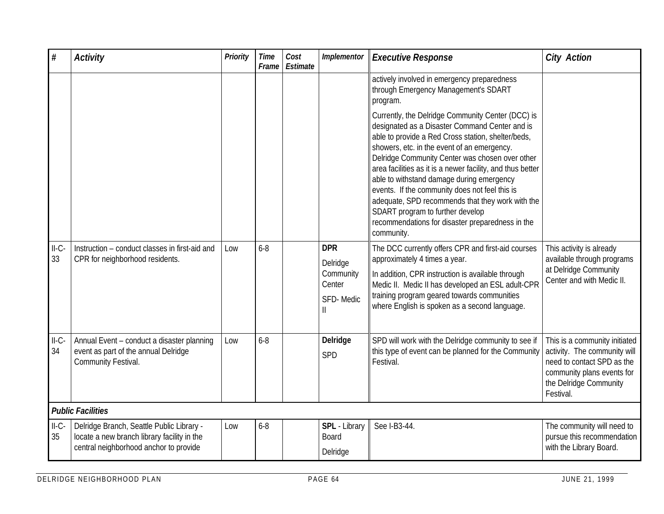| $\#$          | <b>Activity</b>                                                                                                                    | Priority | <b>Time</b><br>Frame | Cost<br>Estimate | Implementor                                                | <b>Executive Response</b>                                                                                                                                                                                                                                                                                                                                                                                                                                                                                                                                                          | <b>City Action</b>                                                                                                                                               |
|---------------|------------------------------------------------------------------------------------------------------------------------------------|----------|----------------------|------------------|------------------------------------------------------------|------------------------------------------------------------------------------------------------------------------------------------------------------------------------------------------------------------------------------------------------------------------------------------------------------------------------------------------------------------------------------------------------------------------------------------------------------------------------------------------------------------------------------------------------------------------------------------|------------------------------------------------------------------------------------------------------------------------------------------------------------------|
|               |                                                                                                                                    |          |                      |                  |                                                            | actively involved in emergency preparedness<br>through Emergency Management's SDART<br>program.                                                                                                                                                                                                                                                                                                                                                                                                                                                                                    |                                                                                                                                                                  |
|               |                                                                                                                                    |          |                      |                  |                                                            | Currently, the Delridge Community Center (DCC) is<br>designated as a Disaster Command Center and is<br>able to provide a Red Cross station, shelter/beds,<br>showers, etc. in the event of an emergency.<br>Delridge Community Center was chosen over other<br>area facilities as it is a newer facility, and thus better<br>able to withstand damage during emergency<br>events. If the community does not feel this is<br>adequate, SPD recommends that they work with the<br>SDART program to further develop<br>recommendations for disaster preparedness in the<br>community. |                                                                                                                                                                  |
| $II-C-$<br>33 | Instruction - conduct classes in first-aid and<br>CPR for neighborhood residents.                                                  | Low      | $6 - 8$              |                  | <b>DPR</b><br>Delridge<br>Community<br>Center<br>SFD-Medic | The DCC currently offers CPR and first-aid courses<br>approximately 4 times a year.<br>In addition, CPR instruction is available through<br>Medic II. Medic II has developed an ESL adult-CPR<br>training program geared towards communities<br>where English is spoken as a second language.                                                                                                                                                                                                                                                                                      | This activity is already<br>available through programs<br>at Delridge Community<br>Center and with Medic II.                                                     |
| $II-C-$<br>34 | Annual Event - conduct a disaster planning<br>event as part of the annual Delridge<br>Community Festival.                          | Low      | $6 - 8$              |                  | Delridge<br>SPD                                            | SPD will work with the Delridge community to see if<br>this type of event can be planned for the Community<br>Festival.                                                                                                                                                                                                                                                                                                                                                                                                                                                            | This is a community initiated<br>activity. The community will<br>need to contact SPD as the<br>community plans events for<br>the Delridge Community<br>Festival. |
|               | <b>Public Facilities</b>                                                                                                           |          |                      |                  |                                                            |                                                                                                                                                                                                                                                                                                                                                                                                                                                                                                                                                                                    |                                                                                                                                                                  |
| $II-C-$<br>35 | Delridge Branch, Seattle Public Library -<br>locate a new branch library facility in the<br>central neighborhood anchor to provide | Low      | $6 - 8$              |                  | SPL - Library<br>Board<br>Delridge                         | See I-B3-44.                                                                                                                                                                                                                                                                                                                                                                                                                                                                                                                                                                       | The community will need to<br>pursue this recommendation<br>with the Library Board.                                                                              |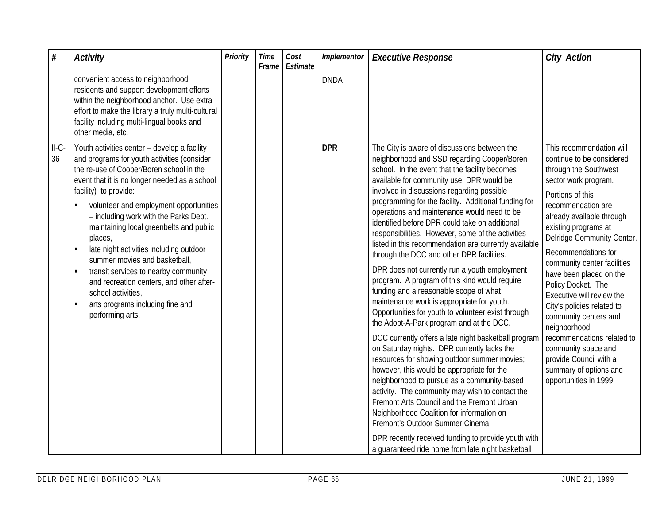| $\#$          | <b>Activity</b>                                                                                                                                                                                                                                                                                                                                                                                                                                                                                                                                                                                                            | <b>Priority</b> | <b>Time</b><br>Frame | Cost<br>Estimate | Implementor | <b>Executive Response</b>                                                                                                                                                                                                                                                                                                                                                                                                                                                                                                                                                                                                                                                                                                                                                                                                                                                                                                                                                                                                                                                                                                                                                                                                                                                                                                                                                                                  | <b>City Action</b>                                                                                                                                                                                                                                                                                                                                                                                                                                                                                                                                                                |
|---------------|----------------------------------------------------------------------------------------------------------------------------------------------------------------------------------------------------------------------------------------------------------------------------------------------------------------------------------------------------------------------------------------------------------------------------------------------------------------------------------------------------------------------------------------------------------------------------------------------------------------------------|-----------------|----------------------|------------------|-------------|------------------------------------------------------------------------------------------------------------------------------------------------------------------------------------------------------------------------------------------------------------------------------------------------------------------------------------------------------------------------------------------------------------------------------------------------------------------------------------------------------------------------------------------------------------------------------------------------------------------------------------------------------------------------------------------------------------------------------------------------------------------------------------------------------------------------------------------------------------------------------------------------------------------------------------------------------------------------------------------------------------------------------------------------------------------------------------------------------------------------------------------------------------------------------------------------------------------------------------------------------------------------------------------------------------------------------------------------------------------------------------------------------------|-----------------------------------------------------------------------------------------------------------------------------------------------------------------------------------------------------------------------------------------------------------------------------------------------------------------------------------------------------------------------------------------------------------------------------------------------------------------------------------------------------------------------------------------------------------------------------------|
|               | convenient access to neighborhood<br>residents and support development efforts<br>within the neighborhood anchor. Use extra<br>effort to make the library a truly multi-cultural<br>facility including multi-lingual books and<br>other media, etc.                                                                                                                                                                                                                                                                                                                                                                        |                 |                      |                  | <b>DNDA</b> |                                                                                                                                                                                                                                                                                                                                                                                                                                                                                                                                                                                                                                                                                                                                                                                                                                                                                                                                                                                                                                                                                                                                                                                                                                                                                                                                                                                                            |                                                                                                                                                                                                                                                                                                                                                                                                                                                                                                                                                                                   |
| $II-C-$<br>36 | Youth activities center - develop a facility<br>and programs for youth activities (consider<br>the re-use of Cooper/Boren school in the<br>event that it is no longer needed as a school<br>facility) to provide:<br>volunteer and employment opportunities<br>- including work with the Parks Dept.<br>maintaining local greenbelts and public<br>places,<br>late night activities including outdoor<br>summer movies and basketball,<br>transit services to nearby community<br>and recreation centers, and other after-<br>school activities,<br>arts programs including fine and<br>$\blacksquare$<br>performing arts. |                 |                      |                  | <b>DPR</b>  | The City is aware of discussions between the<br>neighborhood and SSD regarding Cooper/Boren<br>school. In the event that the facility becomes<br>available for community use, DPR would be<br>involved in discussions regarding possible<br>programming for the facility. Additional funding for<br>operations and maintenance would need to be<br>identified before DPR could take on additional<br>responsibilities. However, some of the activities<br>listed in this recommendation are currently available<br>through the DCC and other DPR facilities.<br>DPR does not currently run a youth employment<br>program. A program of this kind would require<br>funding and a reasonable scope of what<br>maintenance work is appropriate for youth.<br>Opportunities for youth to volunteer exist through<br>the Adopt-A-Park program and at the DCC.<br>DCC currently offers a late night basketball program<br>on Saturday nights. DPR currently lacks the<br>resources for showing outdoor summer movies;<br>however, this would be appropriate for the<br>neighborhood to pursue as a community-based<br>activity. The community may wish to contact the<br>Fremont Arts Council and the Fremont Urban<br>Neighborhood Coalition for information on<br>Fremont's Outdoor Summer Cinema.<br>DPR recently received funding to provide youth with<br>a quaranteed ride home from late night basketball | This recommendation will<br>continue to be considered<br>through the Southwest<br>sector work program.<br>Portions of this<br>recommendation are<br>already available through<br>existing programs at<br>Delridge Community Center.<br>Recommendations for<br>community center facilities<br>have been placed on the<br>Policy Docket. The<br>Executive will review the<br>City's policies related to<br>community centers and<br>neighborhood<br>recommendations related to<br>community space and<br>provide Council with a<br>summary of options and<br>opportunities in 1999. |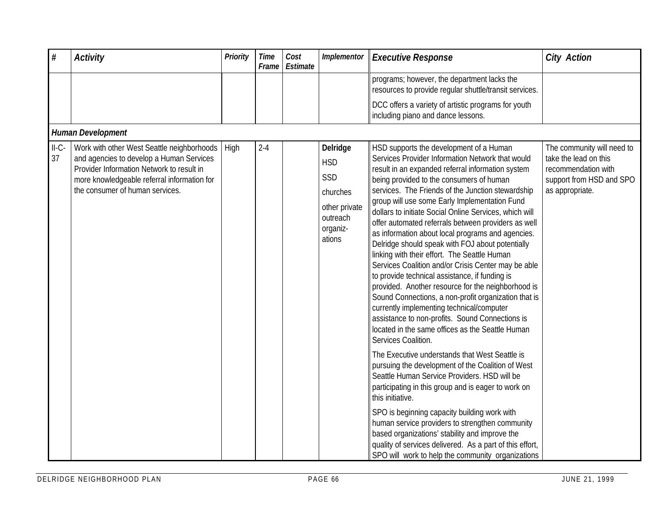| $\#$          | <b>Activity</b>                                                                                                                                                                                                              | Priority | <b>Time</b><br>Frame | Cost<br>Estimate | Implementor                                                                                  | <b>Executive Response</b>                                                                                                                                                                                                                                                                                                                                                                                                                                                                                                                                                                                                                                                                                                                                                                                                                                                                                                                                                                                                                                                                                                                                                                                                                                                                                                                                                                                                                                                              | <b>City Action</b>                                                                                                        |  |  |  |  |
|---------------|------------------------------------------------------------------------------------------------------------------------------------------------------------------------------------------------------------------------------|----------|----------------------|------------------|----------------------------------------------------------------------------------------------|----------------------------------------------------------------------------------------------------------------------------------------------------------------------------------------------------------------------------------------------------------------------------------------------------------------------------------------------------------------------------------------------------------------------------------------------------------------------------------------------------------------------------------------------------------------------------------------------------------------------------------------------------------------------------------------------------------------------------------------------------------------------------------------------------------------------------------------------------------------------------------------------------------------------------------------------------------------------------------------------------------------------------------------------------------------------------------------------------------------------------------------------------------------------------------------------------------------------------------------------------------------------------------------------------------------------------------------------------------------------------------------------------------------------------------------------------------------------------------------|---------------------------------------------------------------------------------------------------------------------------|--|--|--|--|
|               |                                                                                                                                                                                                                              |          |                      |                  |                                                                                              | programs; however, the department lacks the<br>resources to provide regular shuttle/transit services.                                                                                                                                                                                                                                                                                                                                                                                                                                                                                                                                                                                                                                                                                                                                                                                                                                                                                                                                                                                                                                                                                                                                                                                                                                                                                                                                                                                  |                                                                                                                           |  |  |  |  |
|               |                                                                                                                                                                                                                              |          |                      |                  |                                                                                              | DCC offers a variety of artistic programs for youth<br>including piano and dance lessons.                                                                                                                                                                                                                                                                                                                                                                                                                                                                                                                                                                                                                                                                                                                                                                                                                                                                                                                                                                                                                                                                                                                                                                                                                                                                                                                                                                                              |                                                                                                                           |  |  |  |  |
|               | Human Development                                                                                                                                                                                                            |          |                      |                  |                                                                                              |                                                                                                                                                                                                                                                                                                                                                                                                                                                                                                                                                                                                                                                                                                                                                                                                                                                                                                                                                                                                                                                                                                                                                                                                                                                                                                                                                                                                                                                                                        |                                                                                                                           |  |  |  |  |
| $II-C-$<br>37 | Work with other West Seattle neighborhoods   High<br>and agencies to develop a Human Services<br>Provider Information Network to result in<br>more knowledgeable referral information for<br>the consumer of human services. |          | $2 - 4$              |                  | Delridge<br><b>HSD</b><br>SSD<br>churches<br>other private<br>outreach<br>organiz-<br>ations | HSD supports the development of a Human<br>Services Provider Information Network that would<br>result in an expanded referral information system<br>being provided to the consumers of human<br>services. The Friends of the Junction stewardship<br>group will use some Early Implementation Fund<br>dollars to initiate Social Online Services, which will<br>offer automated referrals between providers as well<br>as information about local programs and agencies.<br>Delridge should speak with FOJ about potentially<br>linking with their effort. The Seattle Human<br>Services Coalition and/or Crisis Center may be able<br>to provide technical assistance, if funding is<br>provided. Another resource for the neighborhood is<br>Sound Connections, a non-profit organization that is<br>currently implementing technical/computer<br>assistance to non-profits. Sound Connections is<br>located in the same offices as the Seattle Human<br>Services Coalition.<br>The Executive understands that West Seattle is<br>pursuing the development of the Coalition of West<br>Seattle Human Service Providers. HSD will be<br>participating in this group and is eager to work on<br>this initiative.<br>SPO is beginning capacity building work with<br>human service providers to strengthen community<br>based organizations' stability and improve the<br>quality of services delivered. As a part of this effort,<br>SPO will work to help the community organizations | The community will need to<br>take the lead on this<br>recommendation with<br>support from HSD and SPO<br>as appropriate. |  |  |  |  |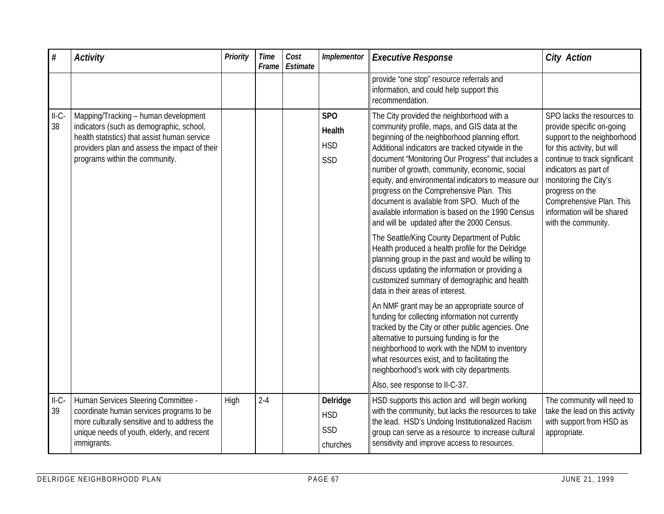| #             | <b>Activity</b>                                                                                                                                                                                                     | <b>Priority</b> | <b>Time</b><br>Frame | Cost<br>Estimate | Implementor                                           | <b>Executive Response</b>                                                                                                                                                                                                                                                                                                                                                                                                                                                                                                                                                                                                                                                                                                                                                                                                                                                                                                                                                                                                                                                                                                                                                                                                                                | <b>City Action</b>                                                                                                                                                                                                                                                                                           |
|---------------|---------------------------------------------------------------------------------------------------------------------------------------------------------------------------------------------------------------------|-----------------|----------------------|------------------|-------------------------------------------------------|----------------------------------------------------------------------------------------------------------------------------------------------------------------------------------------------------------------------------------------------------------------------------------------------------------------------------------------------------------------------------------------------------------------------------------------------------------------------------------------------------------------------------------------------------------------------------------------------------------------------------------------------------------------------------------------------------------------------------------------------------------------------------------------------------------------------------------------------------------------------------------------------------------------------------------------------------------------------------------------------------------------------------------------------------------------------------------------------------------------------------------------------------------------------------------------------------------------------------------------------------------|--------------------------------------------------------------------------------------------------------------------------------------------------------------------------------------------------------------------------------------------------------------------------------------------------------------|
|               |                                                                                                                                                                                                                     |                 |                      |                  |                                                       | provide "one stop" resource referrals and<br>information, and could help support this<br>recommendation.                                                                                                                                                                                                                                                                                                                                                                                                                                                                                                                                                                                                                                                                                                                                                                                                                                                                                                                                                                                                                                                                                                                                                 |                                                                                                                                                                                                                                                                                                              |
| $II-C-$<br>38 | Mapping/Tracking - human development<br>indicators (such as demographic, school,<br>health statistics) that assist human service<br>providers plan and assess the impact of their<br>programs within the community. |                 |                      |                  | SP <sub>O</sub><br><b>Health</b><br><b>HSD</b><br>SSD | The City provided the neighborhood with a<br>community profile, maps, and GIS data at the<br>beginning of the neighborhood planning effort.<br>Additional indicators are tracked citywide in the<br>document 'Monitoring Our Progress" that includes a<br>number of growth, community, economic, social<br>equity, and environmental indicators to measure our<br>progress on the Comprehensive Plan. This<br>document is available from SPO. Much of the<br>available information is based on the 1990 Census<br>and will be updated after the 2000 Census.<br>The Seattle/King County Department of Public<br>Health produced a health profile for the Delridge<br>planning group in the past and would be willing to<br>discuss updating the information or providing a<br>customized summary of demographic and health<br>data in their areas of interest.<br>An NMF grant may be an appropriate source of<br>funding for collecting information not currently<br>tracked by the City or other public agencies. One<br>alternative to pursuing funding is for the<br>neighborhood to work with the NDM to inventory<br>what resources exist, and to facilitating the<br>neighborhood's work with city departments.<br>Also, see response to II-C-37. | SPO lacks the resources to<br>provide specific on-going<br>support to the neighborhood<br>for this activity, but will<br>continue to track significant<br>indicators as part of<br>monitoring the City's<br>progress on the<br>Comprehensive Plan. This<br>information will be shared<br>with the community. |
| $II-C-$<br>39 | Human Services Steering Committee -<br>coordinate human services programs to be<br>more culturally sensitive and to address the<br>unique needs of youth, elderly, and recent<br>immigrants.                        | High            | $2 - 4$              |                  | Delridge<br><b>HSD</b><br>SSD<br>churches             | HSD supports this action and will begin working<br>with the community, but lacks the resources to take<br>the lead. HSD's Undoing Institutionalized Racism<br>group can serve as a resource to increase cultural<br>sensitivity and improve access to resources.                                                                                                                                                                                                                                                                                                                                                                                                                                                                                                                                                                                                                                                                                                                                                                                                                                                                                                                                                                                         | The community will need to<br>take the lead on this activity<br>with support from HSD as<br>appropriate.                                                                                                                                                                                                     |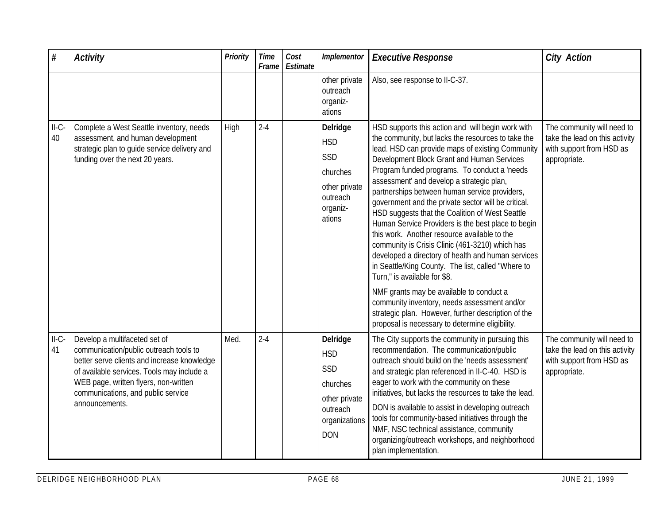| $\#$          | <b>Activity</b>                                                                                                                                                                                                                                                       | Priority | <b>Time</b><br>Frame | Cost<br>Estimate | Implementor                                                                                           | <b>Executive Response</b>                                                                                                                                                                                                                                                                                                                                                                                                                                                                                                                                                                                                                                                                                                                                                                                                                                                                                                                                                    | <b>City Action</b>                                                                                       |
|---------------|-----------------------------------------------------------------------------------------------------------------------------------------------------------------------------------------------------------------------------------------------------------------------|----------|----------------------|------------------|-------------------------------------------------------------------------------------------------------|------------------------------------------------------------------------------------------------------------------------------------------------------------------------------------------------------------------------------------------------------------------------------------------------------------------------------------------------------------------------------------------------------------------------------------------------------------------------------------------------------------------------------------------------------------------------------------------------------------------------------------------------------------------------------------------------------------------------------------------------------------------------------------------------------------------------------------------------------------------------------------------------------------------------------------------------------------------------------|----------------------------------------------------------------------------------------------------------|
|               |                                                                                                                                                                                                                                                                       |          |                      |                  | other private<br>outreach<br>organiz-<br>ations                                                       | Also, see response to II-C-37.                                                                                                                                                                                                                                                                                                                                                                                                                                                                                                                                                                                                                                                                                                                                                                                                                                                                                                                                               |                                                                                                          |
| $II-C-$<br>40 | Complete a West Seattle inventory, needs<br>assessment, and human development<br>strategic plan to guide service delivery and<br>funding over the next 20 years.                                                                                                      | High     | $2 - 4$              |                  | Delridge<br><b>HSD</b><br>SSD<br>churches<br>other private<br>outreach<br>organiz-<br>ations          | HSD supports this action and will begin work with<br>the community, but lacks the resources to take the<br>lead. HSD can provide maps of existing Community<br>Development Block Grant and Human Services<br>Program funded programs. To conduct a 'needs<br>assessment' and develop a strategic plan,<br>partnerships between human service providers,<br>government and the private sector will be critical.<br>HSD suggests that the Coalition of West Seattle<br>Human Service Providers is the best place to begin<br>this work. Another resource available to the<br>community is Crisis Clinic (461-3210) which has<br>developed a directory of health and human services<br>in Seattle/King County. The list, called "Where to<br>Turn," is available for \$8.<br>NMF grants may be available to conduct a<br>community inventory, needs assessment and/or<br>strategic plan. However, further description of the<br>proposal is necessary to determine eligibility. | The community will need to<br>take the lead on this activity<br>with support from HSD as<br>appropriate. |
| $II-C-$<br>41 | Develop a multifaceted set of<br>communication/public outreach tools to<br>better serve clients and increase knowledge<br>of available services. Tools may include a<br>WEB page, written flyers, non-written<br>communications, and public service<br>announcements. | Med.     | $2 - 4$              |                  | Delridge<br><b>HSD</b><br>SSD<br>churches<br>other private<br>outreach<br>organizations<br><b>DON</b> | The City supports the community in pursuing this<br>recommendation. The communication/public<br>outreach should build on the 'needs assessment'<br>and strategic plan referenced in II-C-40. HSD is<br>eager to work with the community on these<br>initiatives, but lacks the resources to take the lead.<br>DON is available to assist in developing outreach<br>tools for community-based initiatives through the<br>NMF, NSC technical assistance, community<br>organizing/outreach workshops, and neighborhood<br>plan implementation.                                                                                                                                                                                                                                                                                                                                                                                                                                  | The community will need to<br>take the lead on this activity<br>with support from HSD as<br>appropriate. |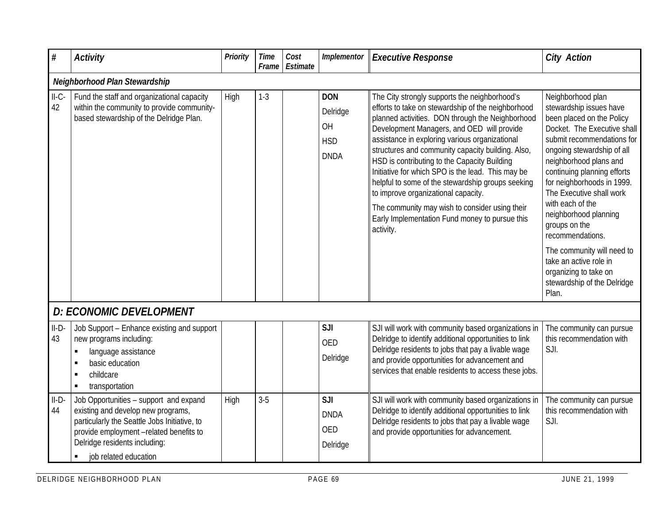| #             | <b>Activity</b>                                                                                                                                                                                                                                     | <b>Priority</b> | <b>Time</b><br>Frame | Cost<br>Estimate | Implementor                                               | <b>Executive Response</b>                                                                                                                                                                                                                                                                                                                                                                                                                                                                                                                                                                                                      | <b>City Action</b>                                                                                                                                                                                                                                                                                                                                                                                                                                                                        |
|---------------|-----------------------------------------------------------------------------------------------------------------------------------------------------------------------------------------------------------------------------------------------------|-----------------|----------------------|------------------|-----------------------------------------------------------|--------------------------------------------------------------------------------------------------------------------------------------------------------------------------------------------------------------------------------------------------------------------------------------------------------------------------------------------------------------------------------------------------------------------------------------------------------------------------------------------------------------------------------------------------------------------------------------------------------------------------------|-------------------------------------------------------------------------------------------------------------------------------------------------------------------------------------------------------------------------------------------------------------------------------------------------------------------------------------------------------------------------------------------------------------------------------------------------------------------------------------------|
|               | Neighborhood Plan Stewardship                                                                                                                                                                                                                       |                 |                      |                  |                                                           |                                                                                                                                                                                                                                                                                                                                                                                                                                                                                                                                                                                                                                |                                                                                                                                                                                                                                                                                                                                                                                                                                                                                           |
| $II-C-$<br>42 | Fund the staff and organizational capacity<br>within the community to provide community-<br>based stewardship of the Delridge Plan.                                                                                                                 | High            | $1 - 3$              |                  | <b>DON</b><br>Delridge<br>OH<br><b>HSD</b><br><b>DNDA</b> | The City strongly supports the neighborhood's<br>efforts to take on stewardship of the neighborhood<br>planned activities. DON through the Neighborhood<br>Development Managers, and OED will provide<br>assistance in exploring various organizational<br>structures and community capacity building. Also,<br>HSD is contributing to the Capacity Building<br>Initiative for which SPO is the lead. This may be<br>helpful to some of the stewardship groups seeking<br>to improve organizational capacity.<br>The community may wish to consider using their<br>Early Implementation Fund money to pursue this<br>activity. | Neighborhood plan<br>stewardship issues have<br>been placed on the Policy<br>Docket. The Executive shall<br>submit recommendations for<br>ongoing stewardship of all<br>neighborhood plans and<br>continuing planning efforts<br>for neighborhoods in 1999.<br>The Executive shall work<br>with each of the<br>neighborhood planning<br>groups on the<br>recommendations.<br>The community will need to<br>take an active role in<br>organizing to take on<br>stewardship of the Delridge |
|               | D: ECONOMIC DEVELOPMENT                                                                                                                                                                                                                             |                 |                      |                  |                                                           |                                                                                                                                                                                                                                                                                                                                                                                                                                                                                                                                                                                                                                | Plan.                                                                                                                                                                                                                                                                                                                                                                                                                                                                                     |
| $II-D-$<br>43 | Job Support - Enhance existing and support<br>new programs including:<br>language assistance<br>٠<br>basic education<br>л<br>childcare<br>transportation<br>٠                                                                                       |                 |                      |                  | SJI<br><b>OED</b><br>Delridge                             | SJI will work with community based organizations in<br>Delridge to identify additional opportunities to link<br>Delridge residents to jobs that pay a livable wage<br>and provide opportunities for advancement and<br>services that enable residents to access these jobs.                                                                                                                                                                                                                                                                                                                                                    | The community can pursue<br>this recommendation with<br>SJI.                                                                                                                                                                                                                                                                                                                                                                                                                              |
| $II-D-$<br>44 | Job Opportunities - support and expand<br>existing and develop new programs,<br>particularly the Seattle Jobs Initiative, to<br>provide employment -related benefits to<br>Delridge residents including:<br>job related education<br>$\blacksquare$ | High            | $3-5$                |                  | SJI<br><b>DNDA</b><br>OED<br>Delridge                     | SJI will work with community based organizations in<br>Delridge to identify additional opportunities to link<br>Delridge residents to jobs that pay a livable wage<br>and provide opportunities for advancement.                                                                                                                                                                                                                                                                                                                                                                                                               | The community can pursue<br>this recommendation with<br>SJI.                                                                                                                                                                                                                                                                                                                                                                                                                              |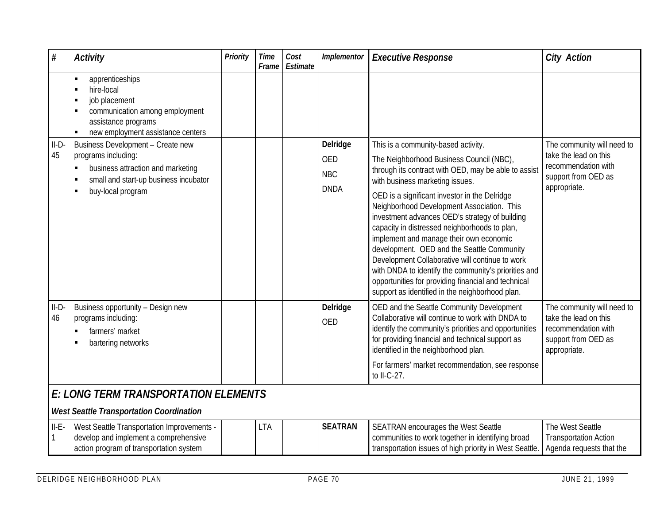| #             | <b>Activity</b>                                                                                                                                                       | <b>Priority</b> | <b>Time</b><br>Frame | Cost<br>Estimate | Implementor                                         | <b>Executive Response</b>                                                                                                                                                                                                                                                                                                                                                                                                                                                                                                                                                                                                                                                                  | <b>City Action</b>                                                                                                |  |  |  |
|---------------|-----------------------------------------------------------------------------------------------------------------------------------------------------------------------|-----------------|----------------------|------------------|-----------------------------------------------------|--------------------------------------------------------------------------------------------------------------------------------------------------------------------------------------------------------------------------------------------------------------------------------------------------------------------------------------------------------------------------------------------------------------------------------------------------------------------------------------------------------------------------------------------------------------------------------------------------------------------------------------------------------------------------------------------|-------------------------------------------------------------------------------------------------------------------|--|--|--|
|               | apprenticeships<br>hire-local<br>job placement<br>communication among employment<br>assistance programs<br>new employment assistance centers                          |                 |                      |                  |                                                     |                                                                                                                                                                                                                                                                                                                                                                                                                                                                                                                                                                                                                                                                                            |                                                                                                                   |  |  |  |
| $II-D-$<br>45 | Business Development - Create new<br>programs including:<br>business attraction and marketing<br>٠<br>small and start-up business incubator<br>buy-local program<br>л |                 |                      |                  | Delridge<br><b>OED</b><br><b>NBC</b><br><b>DNDA</b> | This is a community-based activity.<br>The Neighborhood Business Council (NBC),<br>through its contract with OED, may be able to assist<br>with business marketing issues.<br>OED is a significant investor in the Delridge<br>Neighborhood Development Association. This<br>investment advances OED's strategy of building<br>capacity in distressed neighborhoods to plan,<br>implement and manage their own economic<br>development. OED and the Seattle Community<br>Development Collaborative will continue to work<br>with DNDA to identify the community's priorities and<br>opportunities for providing financial and technical<br>support as identified in the neighborhood plan. | The community will need to<br>take the lead on this<br>recommendation with<br>support from OED as<br>appropriate. |  |  |  |
| $II-D-$<br>46 | Business opportunity - Design new<br>programs including:<br>farmers' market<br>bartering networks                                                                     |                 |                      |                  | Delridge<br><b>OED</b>                              | OED and the Seattle Community Development<br>Collaborative will continue to work with DNDA to<br>identify the community's priorities and opportunities<br>for providing financial and technical support as<br>identified in the neighborhood plan.<br>For farmers' market recommendation, see response<br>to II-C-27.                                                                                                                                                                                                                                                                                                                                                                      | The community will need to<br>take the lead on this<br>recommendation with<br>support from OED as<br>appropriate. |  |  |  |
|               | E: LONG TERM TRANSPORTATION ELEMENTS<br><b>West Seattle Transportation Coordination</b>                                                                               |                 |                      |                  |                                                     |                                                                                                                                                                                                                                                                                                                                                                                                                                                                                                                                                                                                                                                                                            |                                                                                                                   |  |  |  |
| $II-E-$       | West Seattle Transportation Improvements -<br>develop and implement a comprehensive<br>action program of transportation system                                        |                 | <b>LTA</b>           |                  | <b>SEATRAN</b>                                      | SEATRAN encourages the West Seattle<br>communities to work together in identifying broad<br>transportation issues of high priority in West Seattle.                                                                                                                                                                                                                                                                                                                                                                                                                                                                                                                                        | The West Seattle<br><b>Transportation Action</b><br>Agenda requests that the                                      |  |  |  |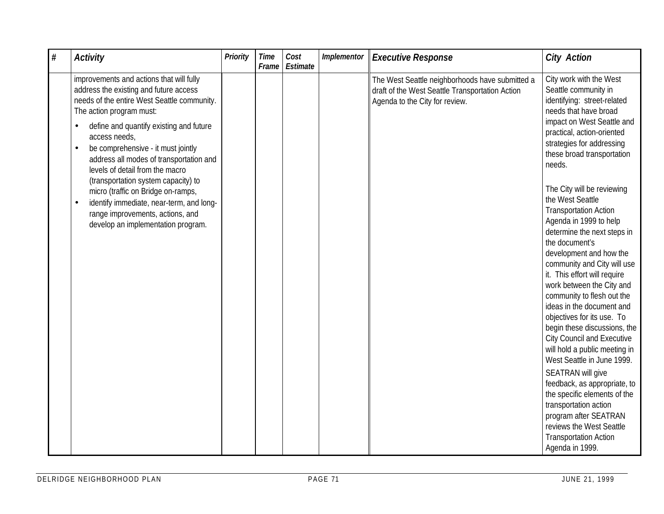| $\#$ | <b>Activity</b>                                                                                                                                                                                 | Priority | <b>Time</b><br>Frame | Cost<br>Estimate | Implementor | <b>Executive Response</b>                                                                                                            | <b>City Action</b>                                                                                                                                                                                                                                                                                                                                                                                                                                                                                            |
|------|-------------------------------------------------------------------------------------------------------------------------------------------------------------------------------------------------|----------|----------------------|------------------|-------------|--------------------------------------------------------------------------------------------------------------------------------------|---------------------------------------------------------------------------------------------------------------------------------------------------------------------------------------------------------------------------------------------------------------------------------------------------------------------------------------------------------------------------------------------------------------------------------------------------------------------------------------------------------------|
|      | improvements and actions that will fully<br>address the existing and future access<br>needs of the entire West Seattle community.<br>The action program must:                                   |          |                      |                  |             | The West Seattle neighborhoods have submitted a<br>draft of the West Seattle Transportation Action<br>Agenda to the City for review. | City work with the West<br>Seattle community in<br>identifying: street-related<br>needs that have broad                                                                                                                                                                                                                                                                                                                                                                                                       |
|      | define and quantify existing and future<br>access needs,<br>be comprehensive - it must jointly<br>$\bullet$<br>address all modes of transportation and<br>levels of detail from the macro       |          |                      |                  |             |                                                                                                                                      | impact on West Seattle and<br>practical, action-oriented<br>strategies for addressing<br>these broad transportation<br>needs.                                                                                                                                                                                                                                                                                                                                                                                 |
|      | (transportation system capacity) to<br>micro (traffic on Bridge on-ramps,<br>identify immediate, near-term, and long-<br>range improvements, actions, and<br>develop an implementation program. |          |                      |                  |             |                                                                                                                                      | The City will be reviewing<br>the West Seattle<br><b>Transportation Action</b><br>Agenda in 1999 to help<br>determine the next steps in<br>the document's<br>development and how the<br>community and City will use<br>it. This effort will require<br>work between the City and<br>community to flesh out the<br>ideas in the document and<br>objectives for its use. To<br>begin these discussions, the<br><b>City Council and Executive</b><br>will hold a public meeting in<br>West Seattle in June 1999. |
|      |                                                                                                                                                                                                 |          |                      |                  |             |                                                                                                                                      | SEATRAN will give<br>feedback, as appropriate, to<br>the specific elements of the<br>transportation action<br>program after SEATRAN<br>reviews the West Seattle<br><b>Transportation Action</b><br>Agenda in 1999.                                                                                                                                                                                                                                                                                            |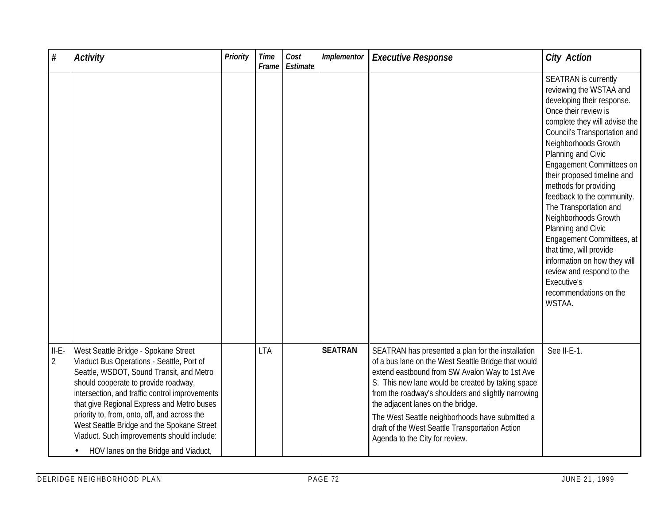| $\#$                      | <b>Activity</b>                                                                                                                                                                                                                                                                                                                                                                                                                                                        | <b>Priority</b> | <b>Time</b><br>Frame | Cost<br>Estimate | Implementor    | <b>Executive Response</b>                                                                                                                                                                                                                                                                                                                                                                                                                           | <b>City Action</b>                                                                                                                                                                                                                                                                                                                                                                                                                                                                                                                                                                            |
|---------------------------|------------------------------------------------------------------------------------------------------------------------------------------------------------------------------------------------------------------------------------------------------------------------------------------------------------------------------------------------------------------------------------------------------------------------------------------------------------------------|-----------------|----------------------|------------------|----------------|-----------------------------------------------------------------------------------------------------------------------------------------------------------------------------------------------------------------------------------------------------------------------------------------------------------------------------------------------------------------------------------------------------------------------------------------------------|-----------------------------------------------------------------------------------------------------------------------------------------------------------------------------------------------------------------------------------------------------------------------------------------------------------------------------------------------------------------------------------------------------------------------------------------------------------------------------------------------------------------------------------------------------------------------------------------------|
|                           |                                                                                                                                                                                                                                                                                                                                                                                                                                                                        |                 |                      |                  |                |                                                                                                                                                                                                                                                                                                                                                                                                                                                     | <b>SEATRAN</b> is currently<br>reviewing the WSTAA and<br>developing their response.<br>Once their review is<br>complete they will advise the<br>Council's Transportation and<br>Neighborhoods Growth<br>Planning and Civic<br>Engagement Committees on<br>their proposed timeline and<br>methods for providing<br>feedback to the community.<br>The Transportation and<br>Neighborhoods Growth<br>Planning and Civic<br>Engagement Committees, at<br>that time, will provide<br>information on how they will<br>review and respond to the<br>Executive's<br>recommendations on the<br>WSTAA. |
| $II-E-$<br>$\overline{2}$ | West Seattle Bridge - Spokane Street<br>Viaduct Bus Operations - Seattle, Port of<br>Seattle, WSDOT, Sound Transit, and Metro<br>should cooperate to provide roadway,<br>intersection, and traffic control improvements<br>that give Regional Express and Metro buses<br>priority to, from, onto, off, and across the<br>West Seattle Bridge and the Spokane Street<br>Viaduct. Such improvements should include:<br>HOV lanes on the Bridge and Viaduct,<br>$\bullet$ |                 | <b>LTA</b>           |                  | <b>SEATRAN</b> | SEATRAN has presented a plan for the installation<br>of a bus lane on the West Seattle Bridge that would<br>extend eastbound from SW Avalon Way to 1st Ave<br>S. This new lane would be created by taking space<br>from the roadway's shoulders and slightly narrowing<br>the adjacent lanes on the bridge.<br>The West Seattle neighborhoods have submitted a<br>draft of the West Seattle Transportation Action<br>Agenda to the City for review. | See II-E-1.                                                                                                                                                                                                                                                                                                                                                                                                                                                                                                                                                                                   |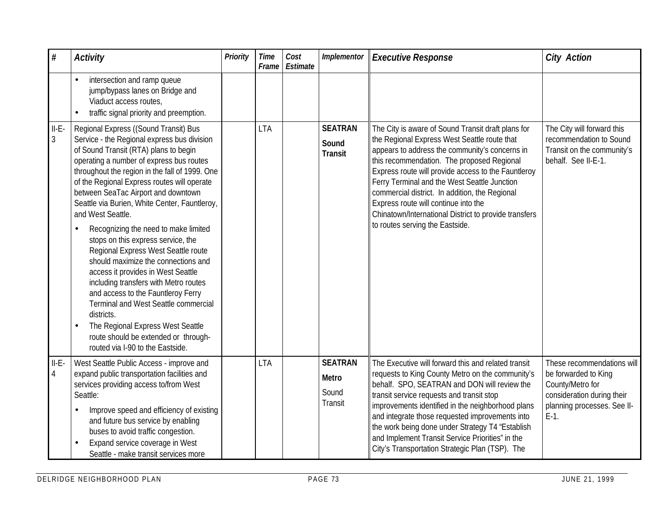| $\#$                      | <b>Activity</b>                                                                                                                                                                                                                                                                                                                                                                                                                                                                                                                                                                                                                                                                                                                                                                                                                                 | Priority | <b>Time</b><br>Frame | Cost<br>Estimate | Implementor                                 | <b>Executive Response</b>                                                                                                                                                                                                                                                                                                                                                                                                                                                                       | <b>City Action</b>                                                                                                                             |
|---------------------------|-------------------------------------------------------------------------------------------------------------------------------------------------------------------------------------------------------------------------------------------------------------------------------------------------------------------------------------------------------------------------------------------------------------------------------------------------------------------------------------------------------------------------------------------------------------------------------------------------------------------------------------------------------------------------------------------------------------------------------------------------------------------------------------------------------------------------------------------------|----------|----------------------|------------------|---------------------------------------------|-------------------------------------------------------------------------------------------------------------------------------------------------------------------------------------------------------------------------------------------------------------------------------------------------------------------------------------------------------------------------------------------------------------------------------------------------------------------------------------------------|------------------------------------------------------------------------------------------------------------------------------------------------|
|                           | intersection and ramp queue<br>jump/bypass lanes on Bridge and<br>Viaduct access routes,<br>traffic signal priority and preemption.                                                                                                                                                                                                                                                                                                                                                                                                                                                                                                                                                                                                                                                                                                             |          |                      |                  |                                             |                                                                                                                                                                                                                                                                                                                                                                                                                                                                                                 |                                                                                                                                                |
| $II-E-$<br>$\mathfrak{Z}$ | Regional Express ((Sound Transit) Bus<br>Service - the Regional express bus division<br>of Sound Transit (RTA) plans to begin<br>operating a number of express bus routes<br>throughout the region in the fall of 1999. One<br>of the Regional Express routes will operate<br>between SeaTac Airport and downtown<br>Seattle via Burien, White Center, Fauntleroy,<br>and West Seattle.<br>Recognizing the need to make limited<br>stops on this express service, the<br>Regional Express West Seattle route<br>should maximize the connections and<br>access it provides in West Seattle<br>including transfers with Metro routes<br>and access to the Fauntleroy Ferry<br>Terminal and West Seattle commercial<br>districts.<br>The Regional Express West Seattle<br>route should be extended or through-<br>routed via I-90 to the Eastside. |          | <b>LTA</b>           |                  | <b>SEATRAN</b><br>Sound<br><b>Transit</b>   | The City is aware of Sound Transit draft plans for<br>the Regional Express West Seattle route that<br>appears to address the community's concerns in<br>this recommendation. The proposed Regional<br>Express route will provide access to the Fauntleroy<br>Ferry Terminal and the West Seattle Junction<br>commercial district. In addition, the Regional<br>Express route will continue into the<br>Chinatown/International District to provide transfers<br>to routes serving the Eastside. | The City will forward this<br>recommendation to Sound<br>Transit on the community's<br>behalf. See II-E-1.                                     |
| $II-E-$<br>$\overline{4}$ | West Seattle Public Access - improve and<br>expand public transportation facilities and<br>services providing access to/from West<br>Seattle:<br>Improve speed and efficiency of existing<br>and future bus service by enabling<br>buses to avoid traffic congestion.<br>Expand service coverage in West<br>Seattle - make transit services more                                                                                                                                                                                                                                                                                                                                                                                                                                                                                                |          | <b>LTA</b>           |                  | <b>SEATRAN</b><br>Metro<br>Sound<br>Transit | The Executive will forward this and related transit<br>requests to King County Metro on the community's<br>behalf. SPO, SEATRAN and DON will review the<br>transit service requests and transit stop<br>improvements identified in the neighborhood plans<br>and integrate those requested improvements into<br>the work being done under Strategy T4 "Establish<br>and Implement Transit Service Priorities" in the<br>City's Transportation Strategic Plan (TSP). The                         | These recommendations will<br>be forwarded to King<br>County/Metro for<br>consideration during their<br>planning processes. See II-<br>$E-1$ . |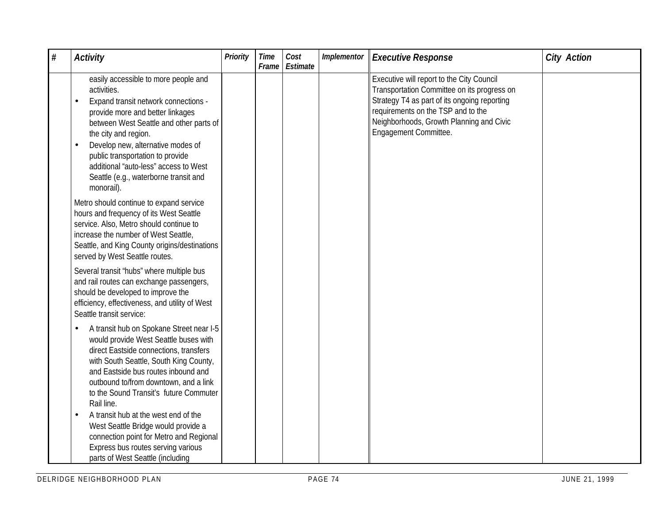| $\#$ | <b>Activity</b>                                                                                                                                                                                                                                                                                                                                                                          | Priority | <b>Time</b><br>Frame | Cost<br>Estimate | Implementor | <b>Executive Response</b>                                                                                                                                                                                                                           | <b>City Action</b> |
|------|------------------------------------------------------------------------------------------------------------------------------------------------------------------------------------------------------------------------------------------------------------------------------------------------------------------------------------------------------------------------------------------|----------|----------------------|------------------|-------------|-----------------------------------------------------------------------------------------------------------------------------------------------------------------------------------------------------------------------------------------------------|--------------------|
|      | easily accessible to more people and<br>activities.<br>Expand transit network connections -<br>provide more and better linkages<br>between West Seattle and other parts of<br>the city and region.<br>Develop new, alternative modes of<br>$\bullet$<br>public transportation to provide<br>additional "auto-less" access to West<br>Seattle (e.g., waterborne transit and<br>monorail). |          |                      |                  |             | Executive will report to the City Council<br>Transportation Committee on its progress on<br>Strategy T4 as part of its ongoing reporting<br>requirements on the TSP and to the<br>Neighborhoods, Growth Planning and Civic<br>Engagement Committee. |                    |
|      | Metro should continue to expand service<br>hours and frequency of its West Seattle<br>service. Also, Metro should continue to<br>increase the number of West Seattle,<br>Seattle, and King County origins/destinations<br>served by West Seattle routes.                                                                                                                                 |          |                      |                  |             |                                                                                                                                                                                                                                                     |                    |
|      | Several transit 'hubs" where multiple bus<br>and rail routes can exchange passengers,<br>should be developed to improve the<br>efficiency, effectiveness, and utility of West<br>Seattle transit service:                                                                                                                                                                                |          |                      |                  |             |                                                                                                                                                                                                                                                     |                    |
|      | A transit hub on Spokane Street near I-5<br>would provide West Seattle buses with<br>direct Eastside connections, transfers<br>with South Seattle, South King County,<br>and Eastside bus routes inbound and<br>outbound to/from downtown, and a link<br>to the Sound Transit's future Commuter<br>Rail line.                                                                            |          |                      |                  |             |                                                                                                                                                                                                                                                     |                    |
|      | A transit hub at the west end of the<br>West Seattle Bridge would provide a<br>connection point for Metro and Regional<br>Express bus routes serving various<br>parts of West Seattle (including                                                                                                                                                                                         |          |                      |                  |             |                                                                                                                                                                                                                                                     |                    |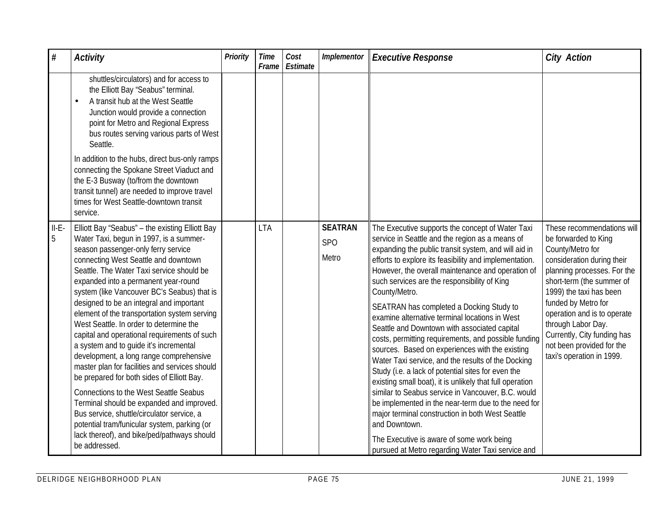| #                          | <b>Activity</b>                                                                                                                                                                                                                                                                                                                                                                                                                                                                                                                                                                                                                                                                                                                                                                                                                                                                                                                                       | Priority | <b>Time</b><br>Frame | Cost<br>Estimate | Implementor                                | <b>Executive Response</b>                                                                                                                                                                                                                                                                                                                                                                                                                                                                                                                                                                                                                                                                                                                                                                                                                                                                                                                                                                                                                                        | <b>City Action</b>                                                                                                                                                                                                                                                                                                                                               |
|----------------------------|-------------------------------------------------------------------------------------------------------------------------------------------------------------------------------------------------------------------------------------------------------------------------------------------------------------------------------------------------------------------------------------------------------------------------------------------------------------------------------------------------------------------------------------------------------------------------------------------------------------------------------------------------------------------------------------------------------------------------------------------------------------------------------------------------------------------------------------------------------------------------------------------------------------------------------------------------------|----------|----------------------|------------------|--------------------------------------------|------------------------------------------------------------------------------------------------------------------------------------------------------------------------------------------------------------------------------------------------------------------------------------------------------------------------------------------------------------------------------------------------------------------------------------------------------------------------------------------------------------------------------------------------------------------------------------------------------------------------------------------------------------------------------------------------------------------------------------------------------------------------------------------------------------------------------------------------------------------------------------------------------------------------------------------------------------------------------------------------------------------------------------------------------------------|------------------------------------------------------------------------------------------------------------------------------------------------------------------------------------------------------------------------------------------------------------------------------------------------------------------------------------------------------------------|
|                            | shuttles/circulators) and for access to<br>the Elliott Bay 'Seabus" terminal.<br>A transit hub at the West Seattle<br>Junction would provide a connection<br>point for Metro and Regional Express<br>bus routes serving various parts of West<br>Seattle.<br>In addition to the hubs, direct bus-only ramps<br>connecting the Spokane Street Viaduct and<br>the E-3 Busway (to/from the downtown<br>transit tunnel) are needed to improve travel                                                                                                                                                                                                                                                                                                                                                                                                                                                                                                      |          |                      |                  |                                            |                                                                                                                                                                                                                                                                                                                                                                                                                                                                                                                                                                                                                                                                                                                                                                                                                                                                                                                                                                                                                                                                  |                                                                                                                                                                                                                                                                                                                                                                  |
|                            | times for West Seattle-downtown transit<br>service.                                                                                                                                                                                                                                                                                                                                                                                                                                                                                                                                                                                                                                                                                                                                                                                                                                                                                                   |          |                      |                  |                                            |                                                                                                                                                                                                                                                                                                                                                                                                                                                                                                                                                                                                                                                                                                                                                                                                                                                                                                                                                                                                                                                                  |                                                                                                                                                                                                                                                                                                                                                                  |
| $II-E-$<br>$5\overline{)}$ | Elliott Bay "Seabus" - the existing Elliott Bay<br>Water Taxi, begun in 1997, is a summer-<br>season passenger-only ferry service<br>connecting West Seattle and downtown<br>Seattle. The Water Taxi service should be<br>expanded into a permanent year-round<br>system (like Vancouver BC's Seabus) that is<br>designed to be an integral and important<br>element of the transportation system serving<br>West Seattle. In order to determine the<br>capital and operational requirements of such<br>a system and to quide it's incremental<br>development, a long range comprehensive<br>master plan for facilities and services should<br>be prepared for both sides of Elliott Bay.<br><b>Connections to the West Seattle Seabus</b><br>Terminal should be expanded and improved.<br>Bus service, shuttle/circulator service, a<br>potential tram/funicular system, parking (or<br>lack thereof), and bike/ped/pathways should<br>be addressed. |          | <b>LTA</b>           |                  | <b>SEATRAN</b><br>SP <sub>O</sub><br>Metro | The Executive supports the concept of Water Taxi<br>service in Seattle and the region as a means of<br>expanding the public transit system, and will aid in<br>efforts to explore its feasibility and implementation.<br>However, the overall maintenance and operation of<br>such services are the responsibility of King<br>County/Metro.<br>SEATRAN has completed a Docking Study to<br>examine alternative terminal locations in West<br>Seattle and Downtown with associated capital<br>costs, permitting requirements, and possible funding<br>sources. Based on experiences with the existing<br>Water Taxi service, and the results of the Docking<br>Study (i.e. a lack of potential sites for even the<br>existing small boat), it is unlikely that full operation<br>similar to Seabus service in Vancouver, B.C. would<br>be implemented in the near-term due to the need for<br>major terminal construction in both West Seattle<br>and Downtown.<br>The Executive is aware of some work being<br>pursued at Metro regarding Water Taxi service and | These recommendations will<br>be forwarded to King<br>County/Metro for<br>consideration during their<br>planning processes. For the<br>short-term (the summer of<br>1999) the taxi has been<br>funded by Metro for<br>operation and is to operate<br>through Labor Day.<br>Currently, City funding has<br>not been provided for the<br>taxi's operation in 1999. |